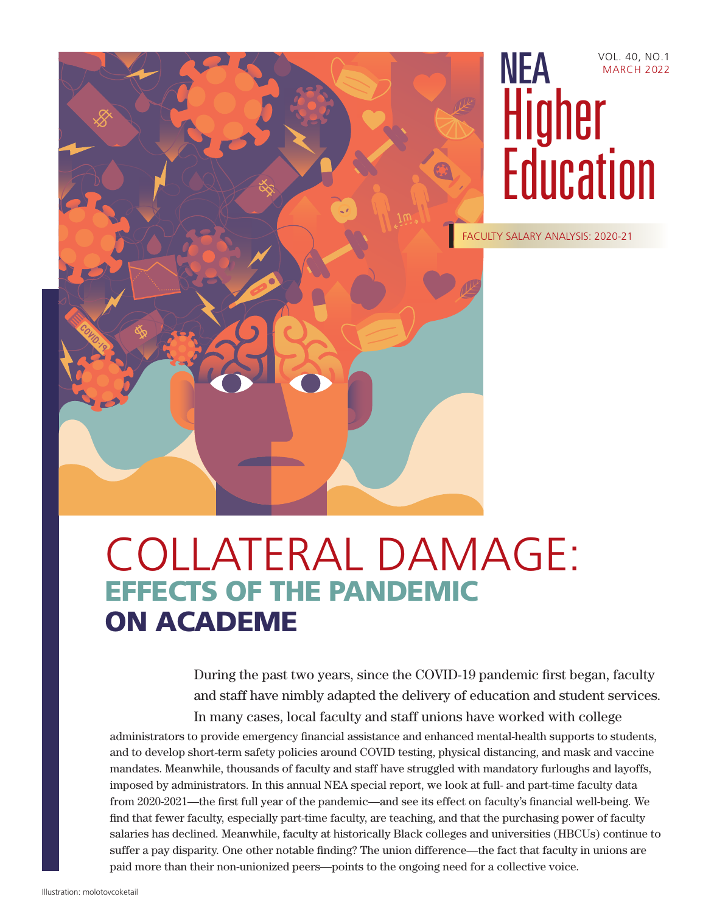



FACULTY SALARY ANALYSIS: 2020-21

# COLLATERAL DAMAGE: EFFECTS OF THE PANDEMIC ON ACADEME

During the past two years, since the COVID-19 pandemic first began, faculty and staff have nimbly adapted the delivery of education and student services. In many cases, local faculty and staff unions have worked with college

administrators to provide emergency financial assistance and enhanced mental-health supports to students, and to develop short-term safety policies around COVID testing, physical distancing, and mask and vaccine mandates. Meanwhile, thousands of faculty and staff have struggled with mandatory furloughs and layoffs, imposed by administrators. In this annual NEA special report, we look at full- and part-time faculty data from 2020-2021—the first full year of the pandemic—and see its effect on faculty's financial well-being. We find that fewer faculty, especially part-time faculty, are teaching, and that the purchasing power of faculty salaries has declined. Meanwhile, faculty at historically Black colleges and universities (HBCUs) continue to suffer a pay disparity. One other notable finding? The union difference—the fact that faculty in unions are paid more than their non-unionized peers—points to the ongoing need for a collective voice.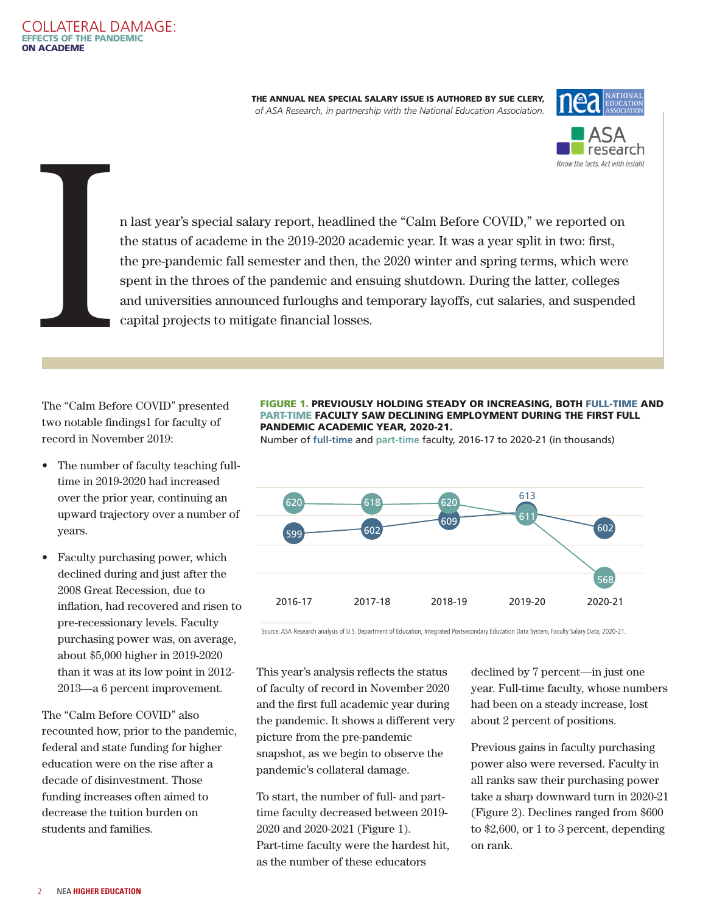THE ANNUAL NEA SPECIAL SALARY ISSUE IS AUTHORED BY SUE CLERY, *of ASA Research, in partnership with the National Education Association.*





n last year's special salary report, headlined the "Calm Before COVID," we reported on the status of academe in the 2019-2020 academic year. It was a year split in two: first, the pre-pandemic fall semester and then, the 2020 winter and spring terms, which were spent in the throes of the pandemic and ensuing shutdown. During the latter, colleges and universities announced furloughs and temporary layoffs, cut salaries, and suspended capital projects to mitigate financial losses.

The "Calm Before COVID" presented [two notable findings1 for faculty of](#page-12-0)  record in November 2019:

<span id="page-1-0"></span>COLLATERAL DAMAGE:

EFFECTS OF THE PANDEMIC

I

ON ACADEME

- The number of faculty teaching fulltime in 2019-2020 had increased over the prior year, continuing an upward trajectory over a number of years.
- Faculty purchasing power, which declined during and just after the 2008 Great Recession, due to inflation, had recovered and risen to pre-recessionary levels. Faculty purchasing power was, on average, about \$5,000 higher in 2019-2020 than it was at its low point in 2012- 2013—a 6 percent improvement.

The "Calm Before COVID" also recounted how, prior to the pandemic, federal and state funding for higher education were on the rise after a decade of disinvestment. Those funding increases often aimed to decrease the tuition burden on students and families.

#### FIGURE 1. PREVIOUSLY HOLDING STEADY OR INCREASING, BOTH FULL-TIME AND PART-TIME FACULTY SAW DECLINING EMPLOYMENT DURING THE FIRST FULL PANDEMIC ACADEMIC YEAR, 2020-21.

Number of **full-time** and **part-time** faculty, 2016-17 to 2020-21 (in thousands)



Source: ASA Research analysis of U.S. Department of Education, Integrated Postsecondary Education Data System, Faculty Salary Data, 2020-21.

This year's analysis reflects the status of faculty of record in November 2020 and the first full academic year during the pandemic. It shows a different very picture from the pre-pandemic snapshot, as we begin to observe the pandemic's collateral damage.

To start, the number of full- and parttime faculty decreased between 2019- 2020 and 2020-2021 (Figure 1). Part-time faculty were the hardest hit, as the number of these educators

declined by 7 percent—in just one year. Full-time faculty, whose numbers had been on a steady increase, lost about 2 percent of positions.

Previous gains in faculty purchasing power also were reversed. Faculty in all ranks saw their purchasing power take a sharp downward turn in 2020-21 (Figure 2). Declines ranged from \$600 to \$2,600, or 1 to 3 percent, depending on rank.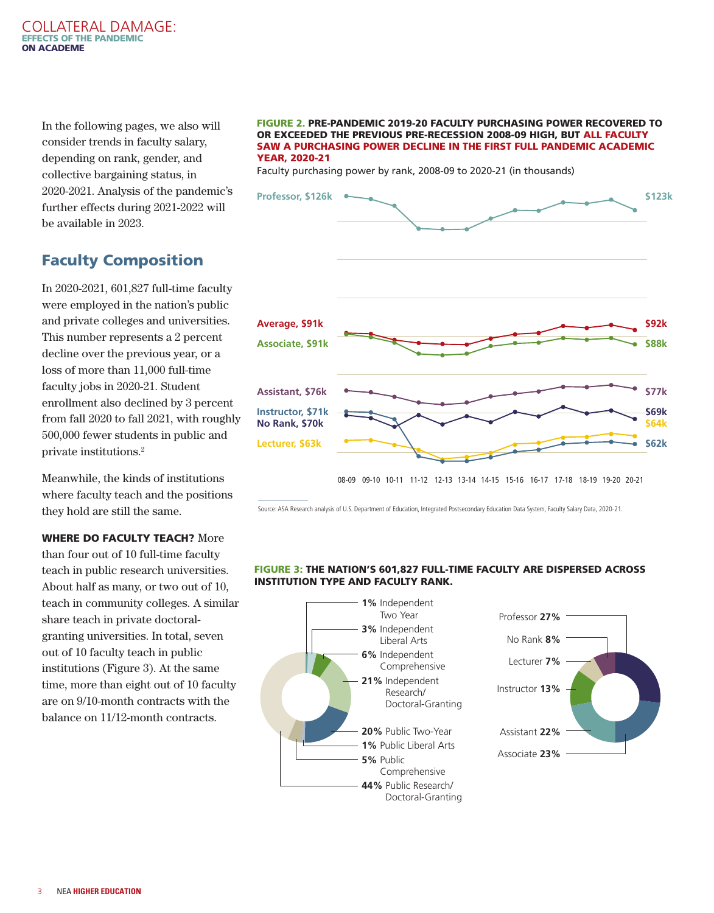#### <span id="page-2-0"></span>COLLATERAL DAMAGE: EFFECTS OF THE PANDEMIC ON ACADEME

In the following pages, we also will consider trends in faculty salary, depending on rank, gender, and collective bargaining status, in 2020-2021. Analysis of the pandemic's further effects during 2021-2022 will be available in 2023.

# Faculty Composition

In 2020-2021, 601,827 full-time faculty were employed in the nation's public and private colleges and universities. This number represents a 2 percent decline over the previous year, or a loss of more than 11,000 full-time faculty jobs in 2020-21. Student enrollment also declined by 3 percent from fall 2020 to fall 2021, with roughly 500,000 fewer students in public and private institutions[.2](#page-12-0)

Meanwhile, the kinds of institutions where faculty teach and the positions they hold are still the same.

WHERE DO FACULTY TEACH? More than four out of 10 full-time faculty teach in public research universities. About half as many, or two out of 10, teach in community colleges. A similar share teach in private doctoralgranting universities. In total, seven out of 10 faculty teach in public institutions (Figure 3). At the same time, more than eight out of 10 faculty are on 9/10-month contracts with the balance on 11/12-month contracts.

#### FIGURE 2. PRE-PANDEMIC 2019-20 FACULTY PURCHASING POWER RECOVERED TO OR EXCEEDED THE PREVIOUS PRE-RECESSION 2008-09 HIGH, BUT ALL FACULTY SAW A PURCHASING POWER DECLINE IN THE FIRST FULL PANDEMIC ACADEMIC YEAR, 2020-21

Faculty purchasing power by rank, 2008-09 to 2020-21 (in thousands)



Source: ASA Research analysis of U.S. Department of Education, Integrated Postsecondary Education Data System, Faculty Salary Data, 2020-21.

#### FIGURE 3: THE NATION'S 601,827 FULL-TIME FACULTY ARE DISPERSED ACROSS INSTITUTION TYPE AND FACULTY RANK.

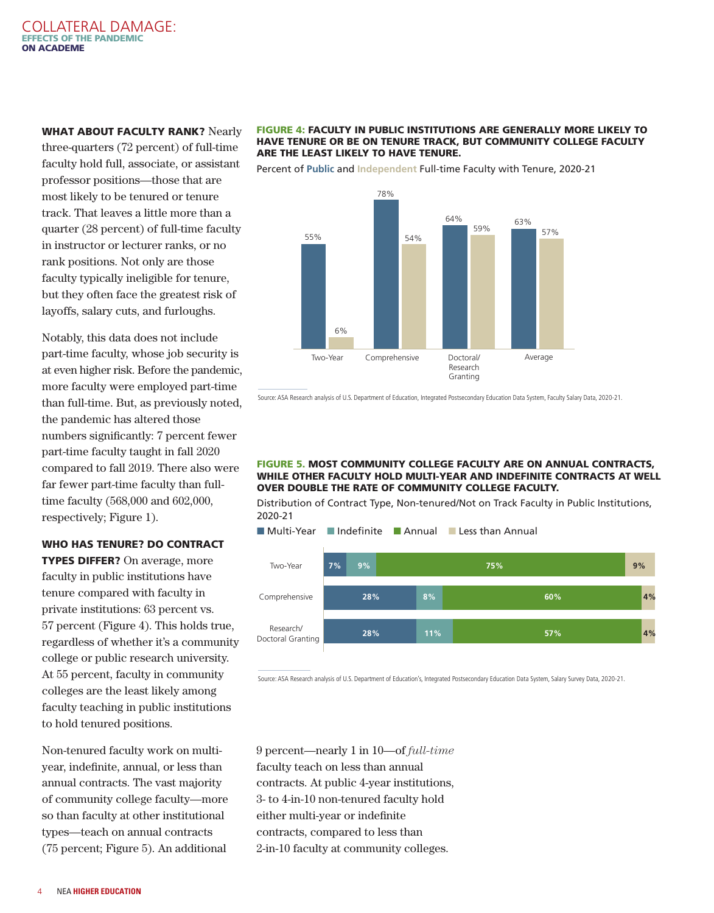#### WHAT ABOUT FACULTY RANK? Nearly

three-quarters (72 percent) of full-time faculty hold full, associate, or assistant professor positions—those that are most likely to be tenured or tenure track. That leaves a little more than a quarter (28 percent) of full-time faculty in instructor or lecturer ranks, or no rank positions. Not only are those faculty typically ineligible for tenure, but they often face the greatest risk of layoffs, salary cuts, and furloughs.

Notably, this data does not include part-time faculty, whose job security is at even higher risk. Before the pandemic, more faculty were employed part-time than full-time. But, as previously noted, the pandemic has altered those numbers significantly: 7 percent fewer part-time faculty taught in fall 2020 compared to fall 2019. There also were far fewer part-time faculty than fulltime faculty (568,000 and 602,000, respectively; Figure 1).

#### WHO HAS TENURE? DO CONTRACT

TYPES DIFFER? On average, more faculty in public institutions have tenure compared with faculty in private institutions: 63 percent vs. 57 percent (Figure 4). This holds true, regardless of whether it's a community college or public research university. At 55 percent, faculty in community colleges are the least likely among faculty teaching in public institutions to hold tenured positions.

Non-tenured faculty work on multiyear, indefinite, annual, or less than annual contracts. The vast majority of community college faculty—more so than faculty at other institutional types—teach on annual contracts (75 percent; Figure 5). An additional

#### FIGURE 4: FACULTY IN PUBLIC INSTITUTIONS ARE GENERALLY MORE LIKELY TO HAVE TENURE OR BE ON TENURE TRACK, BUT COMMUNITY COLLEGE FACULTY ARE THE LEAST LIKELY TO HAVE TENURE.

Percent of **Public** and **Independent** Full-time Faculty with Tenure, 2020-21



Source: ASA Research analysis of U.S. Department of Education, Integrated Postsecondary Education Data System, Faculty Salary Data, 2020-21.

#### FIGURE 5. MOST COMMUNITY COLLEGE FACULTY ARE ON ANNUAL CONTRACTS, WHILE OTHER FACULTY HOLD MULTI-YEAR AND INDEFINITE CONTRACTS AT WELL OVER DOUBLE THE RATE OF COMMUNITY COLLEGE FACULTY.

Distribution of Contract Type, Non-tenured/Not on Track Faculty in Public Institutions, 2020-21

■ Multi-Year ■ Indefinite ■ Annual ■ Less than Annual



Source: ASA Research analysis of U.S. Department of Education's, Integrated Postsecondary Education Data System, Salary Survey Data, 2020-21.

9 percent—nearly 1 in 10—of *full-time*  faculty teach on less than annual contracts. At public 4-year institutions, 3- to 4-in-10 non-tenured faculty hold either multi-year or indefinite contracts, compared to less than 2-in-10 faculty at community colleges.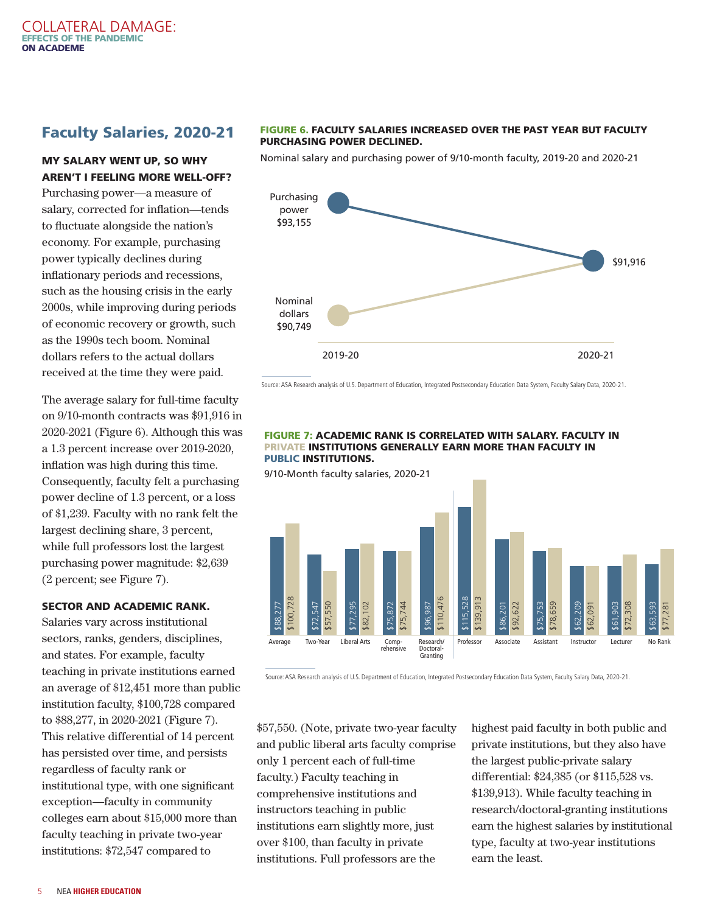# Faculty Salaries, 2020-21

## MY SALARY WENT UP, SO WHY AREN'T I FEELING MORE WELL-OFF?

Purchasing power—a measure of salary, corrected for inflation—tends to fluctuate alongside the nation's economy. For example, purchasing power typically declines during inflationary periods and recessions, such as the housing crisis in the early 2000s, while improving during periods of economic recovery or growth, such as the 1990s tech boom. Nominal dollars refers to the actual dollars received at the time they were paid.

The average salary for full-time faculty on 9/10-month contracts was \$91,916 in 2020-2021 (Figure 6). Although this was a 1.3 percent increase over 2019-2020, inflation was high during this time. Consequently, faculty felt a purchasing power decline of 1.3 percent, or a loss of \$1,239. Faculty with no rank felt the largest declining share, 3 percent, while full professors lost the largest purchasing power magnitude: \$2,639 (2 percent; see Figure 7).

#### SECTOR AND ACADEMIC RANK.

Salaries vary across institutional sectors, ranks, genders, disciplines, and states. For example, faculty teaching in private institutions earned an average of \$12,451 more than public institution faculty, \$100,728 compared to \$88,277, in 2020-2021 (Figure 7). This relative differential of 14 percent has persisted over time, and persists regardless of faculty rank or institutional type, with one significant exception—faculty in community colleges earn about \$15,000 more than faculty teaching in private two-year institutions: \$72,547 compared to

#### FIGURE 6. FACULTY SALARIES INCREASED OVER THE PAST YEAR BUT FACULTY PURCHASING POWER DECLINED.

Nominal salary and purchasing power of 9/10-month faculty, 2019-20 and 2020-21



Source: ASA Research analysis of U.S. Department of Education, Integrated Postsecondary Education Data System, Faculty Salary Data, 2020-21.

#### FIGURE 7: ACADEMIC RANK IS CORRELATED WITH SALARY. FACULTY IN PRIVATE INSTITUTIONS GENERALLY EARN MORE THAN FACULTY IN PUBLIC INSTITUTIONS.

9/10-Month faculty salaries, 2020-21



Source: ASA Research analysis of U.S. Department of Education, Integrated Postsecondary Education Data System, Faculty Salary Data, 2020-21.

\$57,550. (Note, private two-year faculty and public liberal arts faculty comprise only 1 percent each of full-time faculty.) Faculty teaching in comprehensive institutions and instructors teaching in public institutions earn slightly more, just over \$100, than faculty in private institutions. Full professors are the

highest paid faculty in both public and private institutions, but they also have the largest public-private salary differential: \$24,385 (or \$115,528 vs. \$139,913). While faculty teaching in research/doctoral-granting institutions earn the highest salaries by institutional type, faculty at two-year institutions earn the least.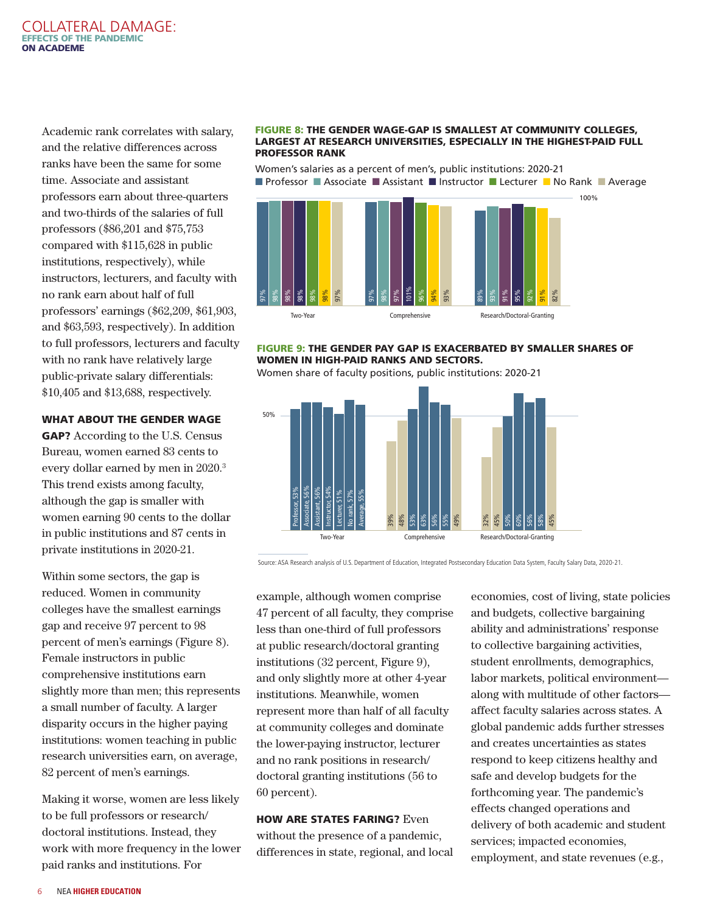<span id="page-5-0"></span>Academic rank correlates with salary, and the relative differences across ranks have been the same for some time. Associate and assistant professors earn about three-quarters and two-thirds of the salaries of full professors (\$86,201 and \$75,753 compared with \$115,628 in public institutions, respectively), while instructors, lecturers, and faculty with no rank earn about half of full professors' earnings (\$62,209, \$61,903, and \$63,593, respectively). In addition to full professors, lecturers and faculty with no rank have relatively large public-private salary differentials: \$10,405 and \$13,688, respectively.

#### WHAT ABOUT THE GENDER WAGE

GAP? According to the U.S. Census Bureau, women earned 83 cents to every dollar earned by men in 2020.[3](#page-12-0) This trend exists among faculty, although the gap is smaller with women earning 90 cents to the dollar in public institutions and 87 cents in private institutions in 2020-21.

Within some sectors, the gap is reduced. Women in community colleges have the smallest earnings gap and receive 97 percent to 98 percent of men's earnings (Figure 8). Female instructors in public comprehensive institutions earn slightly more than men; this represents a small number of faculty. A larger disparity occurs in the higher paying institutions: women teaching in public research universities earn, on average, 82 percent of men's earnings.

Making it worse, women are less likely to be full professors or research/ doctoral institutions. Instead, they work with more frequency in the lower paid ranks and institutions. For

#### FIGURE 8: THE GENDER WAGE-GAP IS SMALLEST AT COMMUNITY COLLEGES, LARGEST AT RESEARCH UNIVERSITIES, ESPECIALLY IN THE HIGHEST-PAID FULL PROFESSOR RANK

Women's salaries as a percent of men's, public institutions: 2020-21 **n** Professor **n** Associate **n** Assistant **n** Instructor **n** Lecturer **n** No Rank **n** Average



#### FIGURE 9: THE GENDER PAY GAP IS EXACERBATED BY SMALLER SHARES OF WOMEN IN HIGH-PAID RANKS AND SECTORS.

Women share of faculty positions, public institutions: 2020-21



Source: ASA Research analysis of U.S. Department of Education, Integrated Postsecondary Education Data System, Faculty Salary Data, 2020-21.

example, although women comprise 47 percent of all faculty, they comprise less than one-third of full professors at public research/doctoral granting institutions (32 percent, Figure 9), and only slightly more at other 4-year institutions. Meanwhile, women represent more than half of all faculty at community colleges and dominate the lower-paying instructor, lecturer and no rank positions in research/ doctoral granting institutions (56 to 60 percent).

**HOW ARE STATES FARING? Even** without the presence of a pandemic, differences in state, regional, and local economies, cost of living, state policies and budgets, collective bargaining ability and administrations' response to collective bargaining activities, student enrollments, demographics, labor markets, political environment along with multitude of other factors affect faculty salaries across states. A global pandemic adds further stresses and creates uncertainties as states respond to keep citizens healthy and safe and develop budgets for the forthcoming year. The pandemic's effects changed operations and delivery of both academic and student services; impacted economies, employment, and state revenues (e.g.,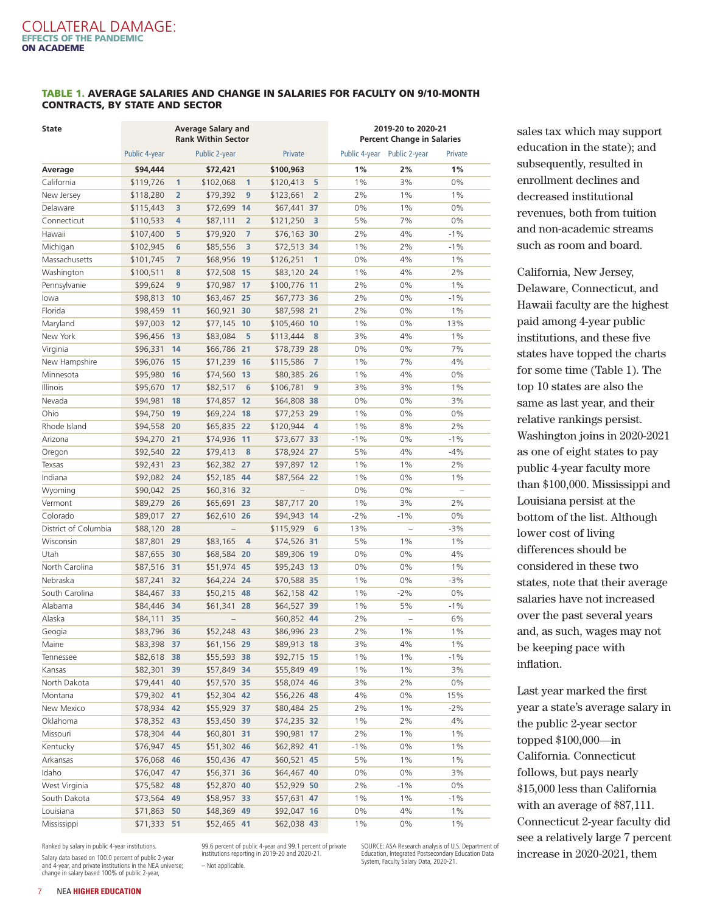#### TABLE 1. AVERAGE SALARIES AND CHANGE IN SALARIES FOR FACULTY ON 9/10-MONTH CONTRACTS, BY STATE AND SECTOR

| State                |               | <b>Average Salary and</b><br><b>Rank Within Sector</b> |                  |                |                | 2019-20 to 2020-21<br><b>Percent Change in Salaries</b> |       |                             |         |
|----------------------|---------------|--------------------------------------------------------|------------------|----------------|----------------|---------------------------------------------------------|-------|-----------------------------|---------|
|                      | Public 4-year |                                                        | Public 2-year    |                | Private        |                                                         |       | Public 4-year Public 2-year | Private |
| Average              | \$94,444      |                                                        | \$72,421         |                | \$100,963      |                                                         | 1%    | 2%                          | 1%      |
| California           | \$119,726     | 1                                                      | \$102,068        | $\mathbf{1}$   | \$120,413      | 5                                                       | 1%    | 3%                          | 0%      |
| New Jersey           | \$118,280     | 2                                                      | \$79,392         | 9              | \$123,661      | $\overline{2}$                                          | 2%    | 1%                          | 1%      |
| Delaware             | \$115,443     | 3                                                      | \$72,699         | 14             | \$67,441 37    |                                                         | 0%    | 1%                          | 0%      |
| Connecticut          | \$110,533     | 4                                                      | \$87,111         | $\overline{2}$ | \$121,250      | 3                                                       | 5%    | 7%                          | 0%      |
| Hawaii               | \$107,400     | 5                                                      | \$79,920         | $\overline{7}$ | \$76,163 30    |                                                         | 2%    | 4%                          | $-1%$   |
| Michigan             | \$102,945     | 6                                                      | \$85,556         | 3              | \$72,513 34    |                                                         | 1%    | 2%                          | $-1%$   |
| Massachusetts        | \$101,745     | 7                                                      | \$68,956 19      |                | \$126,251      | $\overline{1}$                                          | 0%    | 4%                          | 1%      |
| Washington           | \$100,511     | 8                                                      | \$72,508<br>- 15 |                | \$83,120 24    |                                                         | 1%    | 4%                          | 2%      |
| Pennsylvanie         | \$99,624      | 9                                                      | \$70,987         | 17             | \$100,776 11   |                                                         | 2%    | 0%                          | 1%      |
| lowa                 | \$98,813      | 10                                                     | \$63,467 25      |                | \$67,773 36    |                                                         | 2%    | 0%                          | $-1%$   |
| Florida              | \$98,459      | 11                                                     | \$60,921         | 30             | \$87,598 21    |                                                         | 2%    | 0%                          | 1%      |
| Maryland             | \$97,003      | 12                                                     | \$77,145         | 10             | \$105,460      | 10                                                      | 1%    | 0%                          | 13%     |
| New York             | \$96,456      | 13                                                     | \$83,084         | 5              | \$113,444      | 8                                                       | 3%    | 4%                          | 1%      |
| Virginia             | \$96,331      | 14                                                     | \$66,786 21      |                | \$78,739 28    |                                                         | 0%    | 0%                          | 7%      |
| New Hampshire        | \$96,076      | 15                                                     | \$71,239         | 16             | \$115,586      | $\overline{7}$                                          | 1%    | 7%                          | 4%      |
| Minnesota            | \$95,980      | 16                                                     | \$74,560         | 13             | \$80,385 26    |                                                         | 1%    | 4%                          | 0%      |
| Illinois             | \$95,670      | 17                                                     | \$82,517         | 6              | \$106,781      | 9                                                       | 3%    | 3%                          | 1%      |
| Nevada               | \$94,981      | 18                                                     | \$74,857         | 12             | \$64,808 38    |                                                         | 0%    | 0%                          | 3%      |
| Ohio                 | \$94,750      | 19                                                     | \$69,224         | 18             | \$77,253 29    |                                                         | 1%    | 0%                          | 0%      |
| Rhode Island         | \$94,558      | 20                                                     | \$65,835 22      |                | \$120,944      | $\overline{4}$                                          | 1%    | 8%                          | 2%      |
| Arizona              | \$94,270      | 21                                                     | \$74,936         | 11             | \$73,677 33    |                                                         | $-1%$ | 0%                          | $-1%$   |
| Oregon               | \$92,540      | 22                                                     | \$79,413         | 8              | \$78,924 27    |                                                         | 5%    | 4%                          | $-4%$   |
| Texsas               | \$92,431      | 23                                                     | \$62,382 27      |                | \$97,897 12    |                                                         | 1%    | $1\%$                       | 2%      |
| Indiana              | \$92,082      | 24                                                     | \$52,185 44      |                | \$87,564 22    |                                                         | 1%    | 0%                          | 1%      |
| Wyoming              | \$90,042      | 25                                                     | \$60,316 32      |                | $\overline{a}$ |                                                         | 0%    | 0%                          |         |
| Vermont              | \$89,279      | 26                                                     | \$65,691         | 23             | \$87,717 20    |                                                         | 1%    | 3%                          | 2%      |
| Colorado             | \$89,017      | 27                                                     | \$62,610<br>- 26 |                | \$94,943       | 14                                                      | $-2%$ | $-1%$                       | 0%      |
| District of Columbia | \$88,120      | 28                                                     | $\overline{a}$   |                | \$115,929      | 6                                                       | 13%   | $\overline{\phantom{0}}$    | $-3%$   |
| Wisconsin            | \$87,801      | 29                                                     | \$83,165         | 4              | \$74,526 31    |                                                         | 5%    | $1\%$                       | 1%      |
| Utah                 | \$87,655      | 30                                                     | \$68,584 20      |                | \$89,306 19    |                                                         | 0%    | 0%                          | 4%      |
| North Carolina       | \$87,516      | 31                                                     | \$51,974 45      |                | \$95,243 13    |                                                         | 0%    | 0%                          | 1%      |
| Nebraska             | \$87,241      | 32                                                     | \$64,224 24      |                | \$70,588 35    |                                                         | 1%    | 0%                          | $-3%$   |
| South Carolina       | \$84,467      | 33                                                     | \$50,215 48      |                | \$62,158 42    |                                                         | 1%    | $-2%$                       | 0%      |
| Alabama              | \$84,446      | 34                                                     | \$61,341 28      |                | \$64,527 39    |                                                         | 1%    | 5%                          | $-1%$   |
| Alaska               | \$84,111      | 35                                                     |                  |                | \$60,852 44    |                                                         | 2%    |                             | 6%      |
| Geogia               | \$83,796 36   |                                                        | \$52,248 43      |                | \$86,996 23    |                                                         | 2%    | 1%                          | 1%      |
| Maine                | \$83,398 37   |                                                        | \$61,156 29      |                | \$89,913 18    |                                                         | 3%    | 4%                          | 1%      |
| Tennessee            | \$82,618 38   |                                                        | \$55,593 38      |                | \$92,715 15    |                                                         | $1\%$ | $1\%$                       | $-1%$   |
| Kansas               | \$82,301      | 39                                                     | \$57,849 34      |                | \$55,849 49    |                                                         | $1\%$ | $1\%$                       | 3%      |
| North Dakota         | \$79,441      | 40                                                     | \$57,570 35      |                | \$58,074 46    |                                                         | 3%    | 2%                          | 0%      |
| Montana              | \$79,302 41   |                                                        | \$52,304 42      |                | \$56,226 48    |                                                         | 4%    | 0%                          | 15%     |
| New Mexico           | \$78,934 42   |                                                        | \$55,929 37      |                | \$80,484 25    |                                                         | 2%    | $1\%$                       | $-2%$   |
| Oklahoma             | $$78,352$ 43  |                                                        | \$53,450 39      |                | \$74,235 32    |                                                         | $1\%$ | 2%                          | 4%      |
| Missouri             | \$78,304 44   |                                                        | \$60,801 31      |                | \$90,981 17    |                                                         | 2%    | $1\%$                       | $1\%$   |
| Kentucky             | \$76,947      | 45                                                     | \$51,302 46      |                | \$62,892 41    |                                                         | $-1%$ | 0%                          | $1\%$   |
| Arkansas             | \$76,068 46   |                                                        | \$50,436 47      |                | \$60,521 45    |                                                         | 5%    | $1\%$                       | $1\%$   |
| Idaho                | $$76,047$ 47  |                                                        | \$56,371 36      |                | \$64,467 40    |                                                         | 0%    | 0%                          | 3%      |
| West Virginia        | \$75,582      | 48                                                     | \$52,870 40      |                | \$52,929 50    |                                                         | 2%    | $-1\%$                      | 0%      |
| South Dakota         | \$73,564 49   |                                                        | \$58,957 33      |                | \$57,631 47    |                                                         | $1\%$ | $1\%$                       | $-1%$   |
| Louisiana            | \$71,863 50   |                                                        | \$48,369 49      |                | \$92,047 16    |                                                         | 0%    | 4%                          | $1\%$   |
| Mississippi          | \$71,333 51   |                                                        | $$52,465$ 41     |                | $$62,038$ 43   |                                                         | $1\%$ | 0%                          | $1\%$   |

Ranked by salary in public 4-year institutions.

Salary data based on 100.0 percent of public 2-year and 4-year, and private institutions in the NEA universe; change in salary based 100% of public 2-year, 99.6 percent of public 4-year and 99.1 percent of private institutions reporting in 2019-20 and 2020-21.

– Not applicable.

SOURCE: ASA Research analysis of U.S. Department of Education, Integrated Postsecondary Education Data System, Faculty Salary Data, 2020-21.

sales tax which may support education in the state); and subsequently, resulted in enrollment declines and decreased institutional revenues, both from tuition and non-academic streams such as room and board.

California, New Jersey, Delaware, Connecticut, and Hawaii faculty are the highest paid among 4-year public institutions, and these five states have topped the charts for some time (Table 1). The top 10 states are also the same as last year, and their relative rankings persist. Washington joins in 2020-2021 as one of eight states to pay public 4-year faculty more than \$100,000. Mississippi and Louisiana persist at the bottom of the list. Although lower cost of living differences should be considered in these two states, note that their average salaries have not increased over the past several years and, as such, wages may not be keeping pace with inflation.

Last year marked the first year a state's average salary in the public 2-year sector topped \$100,000—in California. Connecticut follows, but pays nearly \$15,000 less than California with an average of \$87,111. Connecticut 2-year faculty did see a relatively large 7 percent increase in 2020-2021, them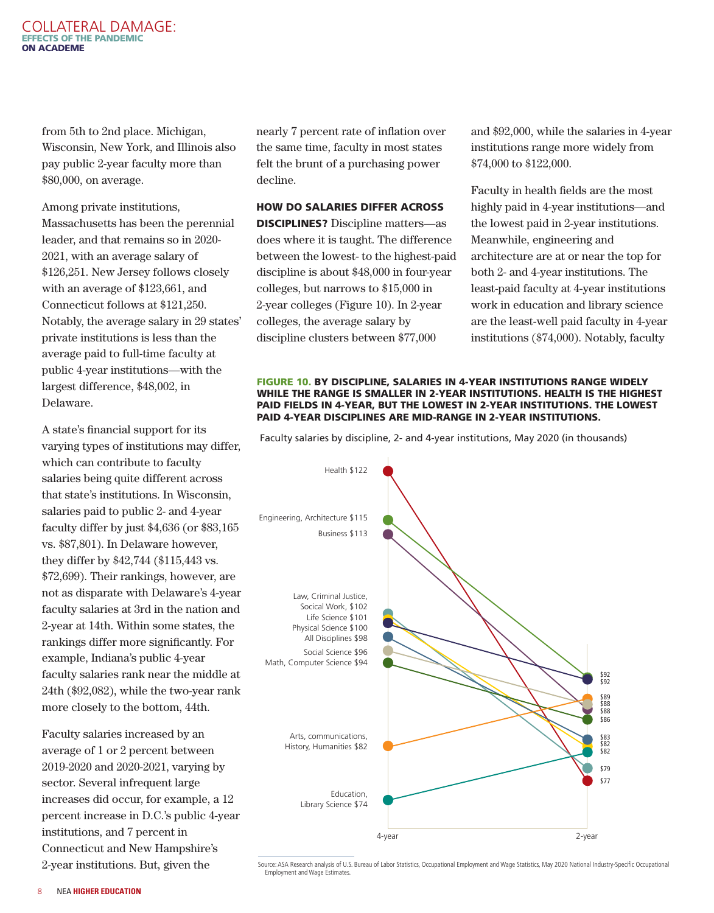#### COLLATERAL DAMAGE: EFFECTS OF THE PANDEMIC ON ACADEME

from 5th to 2nd place. Michigan, Wisconsin, New York, and Illinois also pay public 2-year faculty more than \$80,000, on average.

Among private institutions, Massachusetts has been the perennial leader, and that remains so in 2020- 2021, with an average salary of \$126,251. New Jersey follows closely with an average of \$123,661, and Connecticut follows at \$121,250. Notably, the average salary in 29 states' private institutions is less than the average paid to full-time faculty at public 4-year institutions—with the largest difference, \$48,002, in Delaware.

A state's financial support for its varying types of institutions may differ, which can contribute to faculty salaries being quite different across that state's institutions. In Wisconsin, salaries paid to public 2- and 4-year faculty differ by just \$4,636 (or \$83,165 vs. \$87,801). In Delaware however, they differ by \$42,744 (\$115,443 vs. \$72,699). Their rankings, however, are not as disparate with Delaware's 4-year faculty salaries at 3rd in the nation and 2-year at 14th. Within some states, the rankings differ more significantly. For example, Indiana's public 4-year faculty salaries rank near the middle at 24th (\$92,082), while the two-year rank more closely to the bottom, 44th.

Faculty salaries increased by an average of 1 or 2 percent between 2019-2020 and 2020-2021, varying by sector. Several infrequent large increases did occur, for example, a 12 percent increase in D.C.'s public 4-year institutions, and 7 percent in Connecticut and New Hampshire's 2-year institutions. But, given the

nearly 7 percent rate of inflation over the same time, faculty in most states felt the brunt of a purchasing power decline.

HOW DO SALARIES DIFFER ACROSS

DISCIPLINES? Discipline matters—as does where it is taught. The difference between the lowest- to the highest-paid discipline is about \$48,000 in four-year colleges, but narrows to \$15,000 in 2-year colleges (Figure 10). In 2-year colleges, the average salary by discipline clusters between \$77,000

and \$92,000, while the salaries in 4-year institutions range more widely from \$74,000 to \$122,000.

Faculty in health fields are the most highly paid in 4-year institutions—and the lowest paid in 2-year institutions. Meanwhile, engineering and architecture are at or near the top for both 2- and 4-year institutions. The least-paid faculty at 4-year institutions work in education and library science are the least-well paid faculty in 4-year institutions (\$74,000). Notably, faculty

#### FIGURE 10. BY DISCIPLINE, SALARIES IN 4-YEAR INSTITUTIONS RANGE WIDELY WHILE THE RANGE IS SMALLER IN 2-YEAR INSTITUTIONS. HEALTH IS THE HIGHEST PAID FIELDS IN 4-YEAR, BUT THE LOWEST IN 2-YEAR INSTITUTIONS. THE LOWEST PAID 4-YEAR DISCIPLINES ARE MID-RANGE IN 2-YEAR INSTITUTIONS.

Faculty salaries by discipline, 2- and 4-year institutions, May 2020 (in thousands)



Source: ASA Research analysis of U.S. Bureau of Labor Statistics, Occupational Employment and Wage Statistics, May 2020 National Industry-Specific Occupational Employment and Wage Estimates.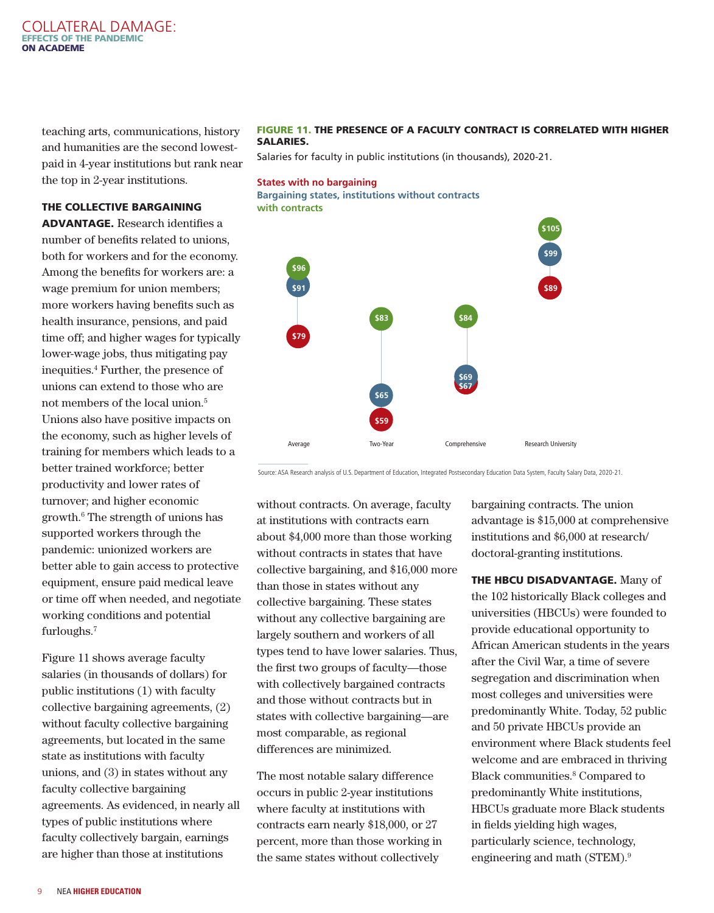#### <span id="page-8-0"></span>COLLATERAL DAMAGE: EFFECTS OF THE PANDEMIC ON ACADEME

teaching arts, communications, history and humanities are the second lowestpaid in 4-year institutions but rank near the top in 2-year institutions.

#### FIGURE 11. THE PRESENCE OF A FACULTY CONTRACT IS CORRELATED WITH HIGHER SALARIES.

Salaries for faculty in public institutions (in thousands), 2020-21.

#### **States with no bargaining Bargaining states, institutions without contracts with contracts**

 **\$105 1999 1999 \$96 \$91 \$89 1 \$83 \$84 \$79 \$69 \$67 \$65 \$59** Average Two-Year Comprehensive Research University

Source: ASA Research analysis of U.S. Department of Education, Integrated Postsecondary Education Data System, Faculty Salary Data, 2020-21.

without contracts. On average, faculty at institutions with contracts earn about \$4,000 more than those working without contracts in states that have collective bargaining, and \$16,000 more than those in states without any collective bargaining. These states without any collective bargaining are largely southern and workers of all types tend to have lower salaries. Thus, the first two groups of faculty—those with collectively bargained contracts and those without contracts but in states with collective bargaining—are most comparable, as regional differences are minimized.

The most notable salary difference occurs in public 2-year institutions where faculty at institutions with contracts earn nearly \$18,000, or 27 percent, more than those working in the same states without collectively

bargaining contracts. The union advantage is \$15,000 at comprehensive institutions and \$6,000 at research/ doctoral-granting institutions.

THE HBCU DISADVANTAGE. Many of the 102 historically Black colleges and universities (HBCUs) were founded to provide educational opportunity to African American students in the years after the Civil War, a time of severe segregation and discrimination when most colleges and universities were predominantly White. Today, 52 public and 50 private HBCUs provide an environment where Black students feel welcome and are embraced in thriving Black communities.<sup>8</sup> Compared to predominantly White institutions, HBCUs graduate more Black students in fields yielding high wages, particularly science, technology, engineering and math (STEM)[.9](#page-12-0)

#### THE COLLECTIVE BARGAINING

ADVANTAGE. Research identifies a number of benefits related to unions, both for workers and for the economy. Among the benefits for workers are: a wage premium for union members; more workers having benefits such as health insurance, pensions, and paid time off; and higher wages for typically lower-wage jobs, thus mitigating pay inequities.[4](#page-12-0) Further, the presence of unions can extend to those who are not members of the local union.[5](#page-12-0) Unions also have positive impacts on the economy, such as higher levels of training for members which leads to a better trained workforce; better productivity and lower rates of turnover; and higher economic growth.<sup>[6](#page-12-0)</sup> The strength of unions has supported workers through the pandemic: unionized workers are better able to gain access to protective equipment, ensure paid medical leave or time off when needed, and negotiate working conditions and potential furloughs[.7](#page-12-0)

Figure 11 shows average faculty salaries (in thousands of dollars) for public institutions (1) with faculty collective bargaining agreements, (2) without faculty collective bargaining agreements, but located in the same state as institutions with faculty unions, and (3) in states without any faculty collective bargaining agreements. As evidenced, in nearly all types of public institutions where faculty collectively bargain, earnings are higher than those at institutions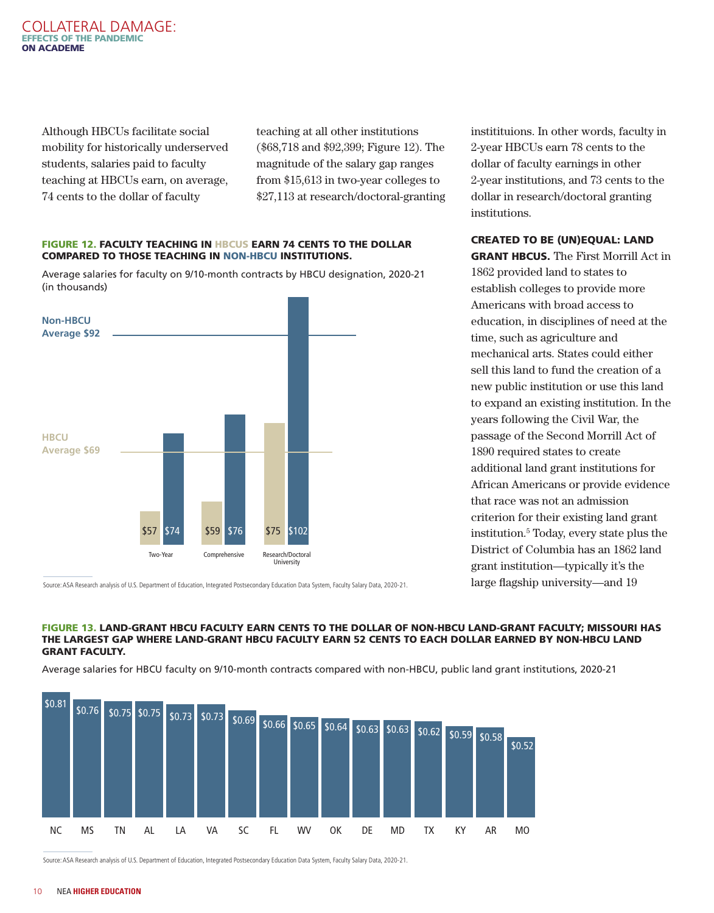Although HBCUs facilitate social mobility for historically underserved students, salaries paid to faculty teaching at HBCUs earn, on average, 74 cents to the dollar of faculty

teaching at all other institutions (\$68,718 and \$92,399; Figure 12). The magnitude of the salary gap ranges from \$15,613 in two-year colleges to \$27,113 at research/doctoral-granting

#### FIGURE 12. FACULTY TEACHING IN HBCUS EARN 74 CENTS TO THE DOLLAR COMPARED TO THOSE TEACHING IN NON-HBCU INSTITUTIONS.

Average salaries for faculty on 9/10-month contracts by HBCU designation, 2020-21 (in thousands)



institituions. In other words, faculty in 2-year HBCUs earn 78 cents to the dollar of faculty earnings in other 2-year institutions, and 73 cents to the dollar in research/doctoral granting institutions.

#### CREATED TO BE (UN)EQUAL: LAND

GRANT HBCUS. The First Morrill Act in 1862 provided land to states to establish colleges to provide more Americans with broad access to education, in disciplines of need at the time, such as agriculture and mechanical arts. States could either sell this land to fund the creation of a new public institution or use this land to expand an existing institution. In the years following the Civil War, the passage of the Second Morrill Act of 1890 required states to create additional land grant institutions for African Americans or provide evidence that race was not an admission criterion for their existing land grant institution.5 Today, every state plus the District of Columbia has an 1862 land grant institution—typically it's the large flagship university—and 19

Source: ASA Research analysis of U.S. Department of Education, Integrated Postsecondary Education Data System, Faculty Salary Data, 2020-21.

#### FIGURE 13. LAND-GRANT HBCU FACULTY EARN CENTS TO THE DOLLAR OF NON-HBCU LAND-GRANT FACULTY; MISSOURI HAS THE LARGEST GAP WHERE LAND-GRANT HBCU FACULTY EARN 52 CENTS TO EACH DOLLAR EARNED BY NON-HBCU LAND GRANT FACULTY.

Average salaries for HBCU faculty on 9/10-month contracts compared with non-HBCU, public land grant institutions, 2020-21



Source: ASA Research analysis of U.S. Department of Education, Integrated Postsecondary Education Data System, Faculty Salary Data, 2020-21.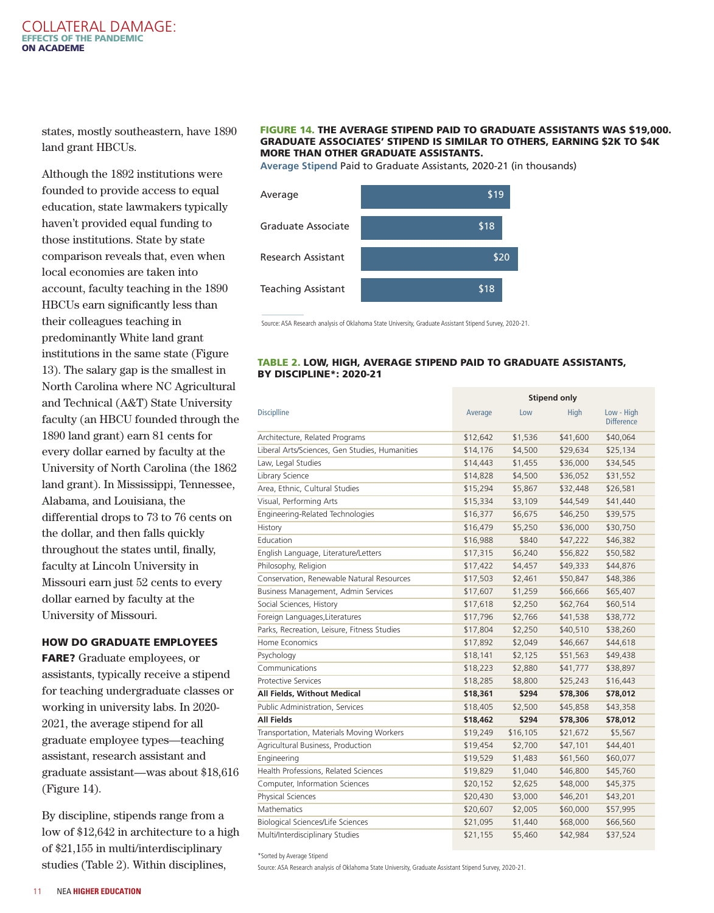#### COLLATERAL DAMAGE: EFFECTS OF THE PANDEMIC ON ACADEME

states, mostly southeastern, have 1890 land grant HBCUs.

Although the 1892 institutions were founded to provide access to equal education, state lawmakers typically haven't provided equal funding to those institutions. State by state comparison reveals that, even when local economies are taken into account, faculty teaching in the 1890 HBCUs earn significantly less than their colleagues teaching in predominantly White land grant institutions in the same state (Figure 13). The salary gap is the smallest in North Carolina where NC Agricultural and Technical (A&T) State University faculty (an HBCU founded through the 1890 land grant) earn 81 cents for every dollar earned by faculty at the University of North Carolina (the 1862 land grant). In Mississippi, Tennessee, Alabama, and Louisiana, the differential drops to 73 to 76 cents on the dollar, and then falls quickly throughout the states until, finally, faculty at Lincoln University in Missouri earn just 52 cents to every dollar earned by faculty at the University of Missouri.

#### HOW DO GRADUATE EMPLOYEES

FARE? Graduate employees, or assistants, typically receive a stipend for teaching undergraduate classes or working in university labs. In 2020- 2021, the average stipend for all graduate employee types—teaching assistant, research assistant and graduate assistant—was about \$18,616 (Figure 14).

By discipline, stipends range from a low of \$12,642 in architecture to a high of \$21,155 in multi/interdisciplinary studies (Table 2). Within disciplines,

#### FIGURE 14. THE AVERAGE STIPEND PAID TO GRADUATE ASSISTANTS WAS \$19,000. GRADUATE ASSOCIATES' STIPEND IS SIMILAR TO OTHERS, EARNING \$2K TO \$4K MORE THAN OTHER GRADUATE ASSISTANTS.

**Average Stipend** Paid to Graduate Assistants, 2020-21 (in thousands)



Source: ASA Research analysis of Oklahoma State University, Graduate Assistant Stipend Survey, 2020-21.

#### TABLE 2. LOW, HIGH, AVERAGE STIPEND PAID TO GRADUATE ASSISTANTS, BY DISCIPLINE\*: 2020-21

**Stipend only**

|                                                |          |          | Jupcnu VIII |                                 |
|------------------------------------------------|----------|----------|-------------|---------------------------------|
| <b>Disciplline</b>                             | Average  | Low      | <b>High</b> | Low - High<br><b>Difference</b> |
| Architecture, Related Programs                 | \$12,642 | \$1,536  | \$41,600    | \$40,064                        |
| Liberal Arts/Sciences, Gen Studies, Humanities | \$14,176 | \$4,500  | \$29,634    | \$25,134                        |
| Law, Legal Studies                             | \$14,443 | \$1,455  | \$36,000    | \$34,545                        |
| Library Science                                | \$14,828 | \$4,500  | \$36,052    | \$31,552                        |
| Area, Ethnic, Cultural Studies                 | \$15,294 | \$5,867  | \$32,448    | \$26,581                        |
| Visual, Performing Arts                        | \$15,334 | \$3,109  | \$44,549    | \$41,440                        |
| Engineering-Related Technologies               | \$16,377 | \$6,675  | \$46,250    | \$39,575                        |
| History                                        | \$16,479 | \$5,250  | \$36,000    | \$30,750                        |
| Education                                      | \$16,988 | \$840    | \$47,222    | \$46,382                        |
| English Language, Literature/Letters           | \$17,315 | \$6,240  | \$56,822    | \$50,582                        |
| Philosophy, Religion                           | \$17,422 | \$4,457  | \$49,333    | \$44,876                        |
| Conservation, Renewable Natural Resources      | \$17,503 | \$2,461  | \$50,847    | \$48,386                        |
| Business Management, Admin Services            | \$17,607 | \$1,259  | \$66,666    | \$65,407                        |
| Social Sciences, History                       | \$17,618 | \$2,250  | \$62,764    | \$60,514                        |
| Foreign Languages, Literatures                 | \$17,796 | \$2,766  | \$41,538    | \$38,772                        |
| Parks, Recreation, Leisure, Fitness Studies    | \$17,804 | \$2,250  | \$40,510    | \$38,260                        |
| Home Economics                                 | \$17,892 | \$2,049  | \$46,667    | \$44,618                        |
| Psychology                                     | \$18,141 | \$2,125  | \$51,563    | \$49,438                        |
| Communications                                 | \$18,223 | \$2,880  | \$41,777    | \$38,897                        |
| <b>Protective Services</b>                     | \$18,285 | \$8,800  | \$25,243    | \$16,443                        |
| All Fields, Without Medical                    | \$18,361 | \$294    | \$78,306    | \$78,012                        |
| Public Administration, Services                | \$18,405 | \$2,500  | \$45,858    | \$43,358                        |
| <b>All Fields</b>                              | \$18,462 | \$294    | \$78,306    | \$78,012                        |
| Transportation, Materials Moving Workers       | \$19,249 | \$16,105 | \$21,672    | \$5,567                         |
| Agricultural Business, Production              | \$19,454 | \$2,700  | \$47,101    | \$44,401                        |
| Engineering                                    | \$19,529 | \$1,483  | \$61,560    | \$60,077                        |
| Health Professions, Related Sciences           | \$19,829 | \$1,040  | \$46,800    | \$45,760                        |
| Computer, Information Sciences                 | \$20,152 | \$2,625  | \$48,000    | \$45,375                        |
| Physical Sciences                              | \$20,430 | \$3,000  | \$46,201    | \$43,201                        |
| Mathematics                                    | \$20,607 | \$2,005  | \$60,000    | \$57,995                        |
| Biological Sciences/Life Sciences              | \$21,095 | \$1,440  | \$68,000    | \$66,560                        |
| Multi/Interdisciplinary Studies                | \$21,155 | \$5,460  | \$42,984    | \$37,524                        |

\*Sorted by Average Stipend

Source: ASA Research analysis of Oklahoma State University, Graduate Assistant Stipend Survey, 2020-21.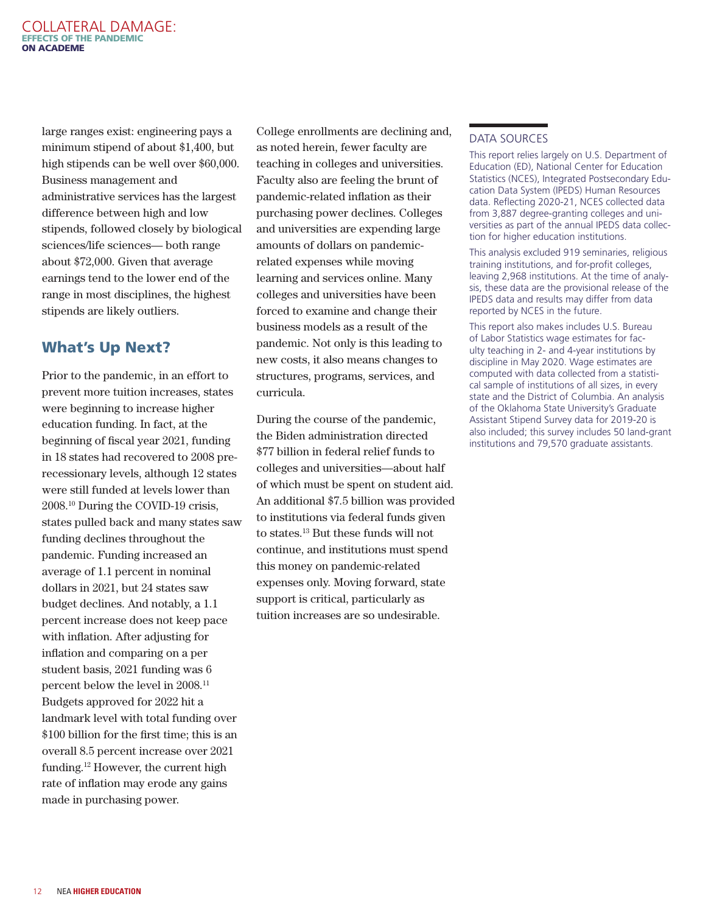<span id="page-11-0"></span>large ranges exist: engineering pays a minimum stipend of about \$1,400, but high stipends can be well over \$60,000. Business management and administrative services has the largest difference between high and low stipends, followed closely by biological sciences/life sciences— both range about \$72,000. Given that average earnings tend to the lower end of the range in most disciplines, the highest stipends are likely outliers.

# What's Up Next?

Prior to the pandemic, in an effort to prevent more tuition increases, states were beginning to increase higher education funding. In fact, at the beginning of fiscal year 2021, funding in 18 states had recovered to 2008 prerecessionary levels, although 12 states were still funded at levels lower than 2008[.10](#page-12-0) During the COVID-19 crisis, states pulled back and many states saw funding declines throughout the pandemic. Funding increased an average of 1.1 percent in nominal dollars in 2021, but 24 states saw budget declines. And notably, a 1.1 percent increase does not keep pace with inflation. After adjusting for inflation and comparing on a per student basis, 2021 funding was 6 percent below the level in 2008.[11](#page-12-0) Budgets approved for 2022 hit a landmark level with total funding over \$100 billion for the first time; this is an overall 8.5 percent increase over 2021 funding.[12](#page-12-0) However, the current high rate of inflation may erode any gains made in purchasing power.

College enrollments are declining and, as noted herein, fewer faculty are teaching in colleges and universities. Faculty also are feeling the brunt of pandemic-related inflation as their purchasing power declines. Colleges and universities are expending large amounts of dollars on pandemicrelated expenses while moving learning and services online. Many colleges and universities have been forced to examine and change their business models as a result of the pandemic. Not only is this leading to new costs, it also means changes to structures, programs, services, and curricula.

During the course of the pandemic, the Biden administration directed \$77 billion in federal relief funds to colleges and universities—about half of which must be spent on student aid. An additional \$7.5 billion was provided to institutions via federal funds given to states[.13](#page-12-0) But these funds will not continue, and institutions must spend this money on pandemic-related expenses only. Moving forward, state support is critical, particularly as tuition increases are so undesirable.

## DATA SOURCES

This report relies largely on U.S. Department of Education (ED), National Center for Education Statistics (NCES), Integrated Postsecondary Education Data System (IPEDS) Human Resources data. Reflecting 2020-21, NCES collected data from 3,887 degree-granting colleges and universities as part of the annual IPEDS data collection for higher education institutions.

This analysis excluded 919 seminaries, religious training institutions, and for-profit colleges, leaving 2,968 institutions. At the time of analysis, these data are the provisional release of the IPEDS data and results may differ from data reported by NCES in the future.

This report also makes includes U.S. Bureau of Labor Statistics wage estimates for faculty teaching in 2- and 4-year institutions by discipline in May 2020. Wage estimates are computed with data collected from a statistical sample of institutions of all sizes, in every state and the District of Columbia. An analysis of the Oklahoma State University's Graduate Assistant Stipend Survey data for 2019-20 is also included; this survey includes 50 land-grant institutions and 79,570 graduate assistants.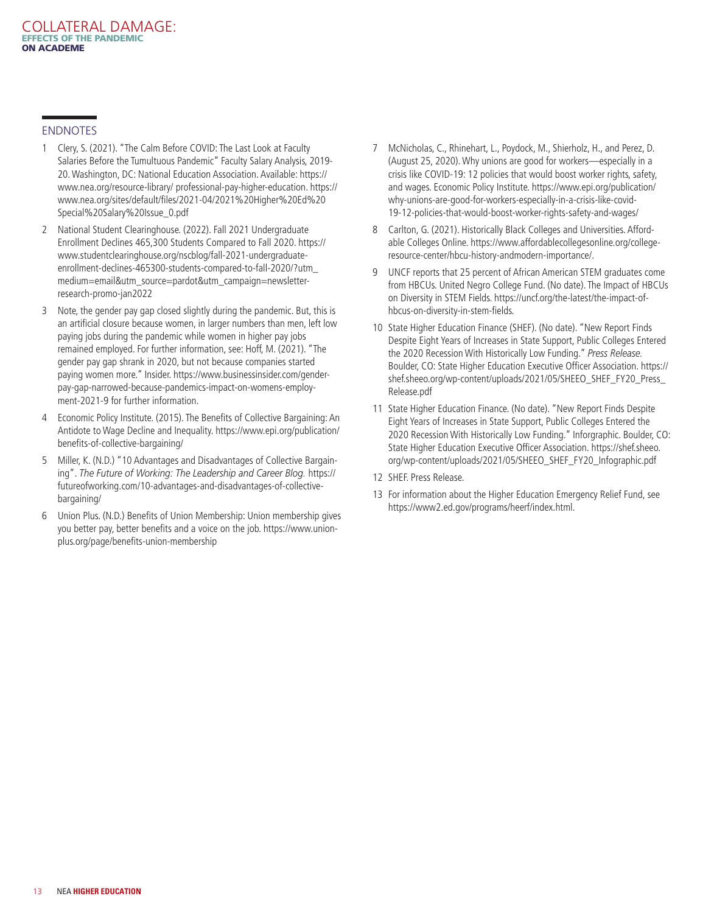#### <span id="page-12-0"></span>ENDNOTES

- [1](#page-1-0) Clery, S. (2021). "The Calm Before COVID: The Last Look at Faculty Salaries Before the Tumultuous Pandemic" Faculty Salary Analysis, 2019- 20. Washington, DC: National Education Association. Available: https:// www.nea.org/resource-library/ professional-pay-higher-education. https:// www.nea.org/sites/default/files/2021-04/2021%20Higher%20Ed%20 Special%20Salary%20Issue\_0.pdf
- [2](#page-2-0) National Student Clearinghouse. (2022). Fall 2021 Undergraduate Enrollment Declines 465,300 Students Compared to Fall 2020. https:// www.studentclearinghouse.org/nscblog/fall-2021-undergraduateenrollment-declines-465300-students-compared-to-fall-2020/?utm\_ medium=email&utm\_source=pardot&utm\_campaign=newsletterresearch-promo-jan2022
- [3](#page-5-0) Note, the gender pay gap closed slightly during the pandemic. But, this is an artificial closure because women, in larger numbers than men, left low paying jobs during the pandemic while women in higher pay jobs remained employed. For further information, see: Hoff, M. (2021). "The gender pay gap shrank in 2020, but not because companies started paying women more." Insider. https://www.businessinsider.com/genderpay-gap-narrowed-because-pandemics-impact-on-womens-employment-2021-9 for further information.
- [4](#page-8-0) Economic Policy Institute. (2015). The Benefits of Collective Bargaining: An Antidote to Wage Decline and Inequality. https://www.epi.org/publication/ benefits-of-collective-bargaining/
- [5](#page-8-0) Miller, K. (N.D.) "10 Advantages and Disadvantages of Collective Bargaining". *The Future of Working: The Leadership and Career Blog.* https:// futureofworking.com/10-advantages-and-disadvantages-of-collectivebargaining/
- [6](#page-8-0) Union Plus. (N.D.) Benefits of Union Membership: Union membership gives you better pay, better benefits and a voice on the job. https://www.unionplus.org/page/benefits-union-membership
- [7](#page-8-0) McNicholas, C., Rhinehart, L., Poydock, M., Shierholz, H., and Perez, D. (August 25, 2020). Why unions are good for workers—especially in a crisis like COVID-19: 12 policies that would boost worker rights, safety, and wages. Economic Policy Institute. https://www.epi.org/publication/ why-unions-are-good-for-workers-especially-in-a-crisis-like-covid-19-12-policies-that-would-boost-worker-rights-safety-and-wages/
- [8](#page-8-0) Carlton, G. (2021). Historically Black Colleges and Universities. Affordable Colleges Online. https://www.affordablecollegesonline.org/collegeresource-center/hbcu-history-andmodern-importance/.
- [9](#page-8-0) UNCF reports that 25 percent of African American STEM graduates come from HBCUs. United Negro College Fund. (No date). The Impact of HBCUs on Diversity in STEM Fields. https://uncf.org/the-latest/the-impact-ofhbcus-on-diversity-in-stem-fields.
- [10](#page-11-0) State Higher Education Finance (SHEF). (No date). "New Report Finds Despite Eight Years of Increases in State Support, Public Colleges Entered the 2020 Recession With Historically Low Funding." *Press Release.*  Boulder, CO: State Higher Education Executive Officer Association. https:// shef.sheeo.org/wp-content/uploads/2021/05/SHEEO\_SHEF\_FY20\_Press\_ Release.pdf
- [11](#page-11-0) State Higher Education Finance. (No date). "New Report Finds Despite Eight Years of Increases in State Support, Public Colleges Entered the 2020 Recession With Historically Low Funding." Inforgraphic. Boulder, CO: State Higher Education Executive Officer Association. https://shef.sheeo. org/wp-content/uploads/2021/05/SHEEO\_SHEF\_FY20\_Infographic.pdf
- [12](#page-11-0) SHEF. Press Release.
- [13](#page-11-0) For information about the Higher Education Emergency Relief Fund, see https://www2.ed.gov/programs/heerf/index.html.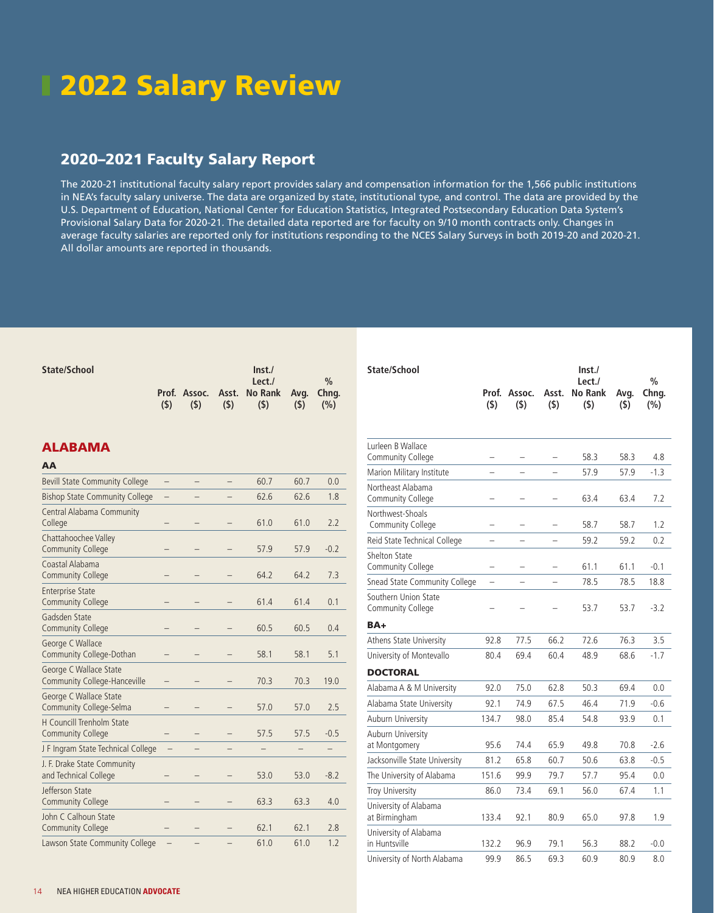# 2022 Salary Review

## 2020–2021 Faculty Salary Report

The 2020-21 institutional faculty salary report provides salary and compensation information for the 1,566 public institutions in NEA's faculty salary universe. The data are organized by state, institutional type, and control. The data are provided by the U.S. Department of Education, National Center for Education Statistics, Integrated Postsecondary Education Data System's Provisional Salary Data for 2020-21. The detailed data reported are for faculty on 9/10 month contracts only. Changes in average faculty salaries are reported only for institutions responding to the NCES Salary Surveys in both 2019-20 and 2020-21. All dollar amounts are reported in thousands.

| State/School |     |     |     | Inst.                                 |     |     |  |
|--------------|-----|-----|-----|---------------------------------------|-----|-----|--|
|              |     |     |     | Let.                                  |     | 0/2 |  |
|              |     |     |     | Prof. Assoc. Asst. No Rank Avg. Chng. |     |     |  |
|              | (S) | (S) | (S) | (5)                                   | (5) | (%) |  |

## ALABAMA

| <b>Bevill State Community College</b>                         |                   |   | 60.7 | 60.7 | 0.0    |
|---------------------------------------------------------------|-------------------|---|------|------|--------|
| <b>Bishop State Community College</b>                         |                   |   | 62.6 | 62.6 | 1.8    |
| Central Alabama Community<br>College                          |                   |   | 61.0 | 61.0 | 2.2    |
| Chattahoochee Valley<br><b>Community College</b>              |                   |   | 57.9 | 57.9 | $-0.2$ |
| Coastal Alabama<br><b>Community College</b>                   |                   |   | 64.2 | 64.2 | 7.3    |
| <b>Enterprise State</b><br><b>Community College</b>           |                   |   | 61.4 | 61.4 | 0.1    |
| Gadsden State<br><b>Community College</b>                     |                   |   | 60.5 | 60.5 | 0.4    |
| George C Wallace<br>Community College-Dothan                  |                   |   | 58.1 | 58.1 | 5.1    |
| George C Wallace State<br><b>Community College-Hanceville</b> |                   |   | 70.3 | 70.3 | 19.0   |
| George C Wallace State<br>Community College-Selma             |                   |   | 57.0 | 57.0 | 2.5    |
| <b>H</b> Councill Trenholm State<br><b>Community College</b>  |                   |   | 57.5 | 57.5 | $-0.5$ |
| J F Ingram State Technical College                            |                   |   |      |      |        |
| J. F. Drake State Community<br>and Technical College          |                   |   | 53.0 | 53.0 | $-8.2$ |
| Jefferson State<br><b>Community College</b>                   |                   |   | 63.3 | 63.3 | 4.0    |
| John C Calhoun State<br><b>Community College</b>              |                   |   | 62.1 | 62.1 | 2.8    |
| Lawson State Community College                                | $\qquad \qquad -$ | - | 61.0 | 61.0 | 1.2    |

| State/School                                 |                  |               |                          | Inst.<br>Lect./    |             | $\frac{0}{0}$ |
|----------------------------------------------|------------------|---------------|--------------------------|--------------------|-------------|---------------|
|                                              | Prof.<br>$($ \$) | Assoc.<br>(5) | Asst.<br>$($ \$)         | No Rank<br>$($ \$) | Avg.<br>(5) | Chng.<br>(%)  |
|                                              |                  |               |                          |                    |             |               |
| Lurleen B Wallace<br>Community College       |                  |               |                          | 58.3               | 58.3        | 4.8           |
| Marion Military Institute                    |                  |               |                          | 57.9               | 57.9        | $-1.3$        |
| Northeast Alabama<br>Community College       |                  |               |                          | 63.4               | 63.4        | 7.2           |
| Northwest-Shoals<br><b>Community College</b> |                  |               |                          | 58.7               | 58.7        | 1.2           |
| Reid State Technical College                 |                  |               |                          | 59.2               | 59.2        | 0.2           |
| <b>Shelton State</b><br>Community College    | -                |               | $\overline{\phantom{0}}$ | 61.1               | 61.1        | $-0.1$        |
| Snead State Community College                |                  |               |                          | 78.5               | 78.5        | 18.8          |
| Southern Union State<br>Community College    |                  |               |                          | 53.7               | 53.7        | $-3.2$        |
| BA+                                          |                  |               |                          |                    |             |               |
| Athens State University                      | 92.8             | 77.5          | 66.2                     | 72.6               | 76.3        | 3.5           |
| University of Montevallo                     | 80.4             | 69.4          | 60.4                     | 48.9               | 68.6        | $-1.7$        |
| <b>DOCTORAL</b>                              |                  |               |                          |                    |             |               |
| Alabama A & M University                     | 92.0             | 75.0          | 62.8                     | 50.3               | 69.4        | 0.0           |
| Alabama State University                     | 92.1             | 74.9          | 67.5                     | 46.4               | 71.9        | $-0.6$        |
| Auburn University                            | 134.7            | 98.0          | 85.4                     | 54.8               | 93.9        | 0.1           |
| Auburn University<br>at Montgomery           | 95.6             | 74.4          | 65.9                     | 49.8               | 70.8        | $-2.6$        |
| Jacksonville State University                | 81.2             | 65.8          | 60.7                     | 50.6               | 63.8        | $-0.5$        |
| The University of Alabama                    | 151.6            | 99.9          | 79.7                     | 57.7               | 95.4        | 0.0           |
| Troy University                              | 86.0             | 73.4          | 69.1                     | 56.0               | 67.4        | 1.1           |
| University of Alabama<br>at Birmingham       | 133.4            | 92.1          | 80.9                     | 65.0               | 97.8        | 1.9           |
| University of Alabama<br>in Huntsville       | 132.2            | 96.9          | 79.1                     | 56.3               | 88.2        | $-0.0$        |
| University of North Alabama                  | 99.9             | 86.5          | 69.3                     | 60.9               | 80.9        | 8.0           |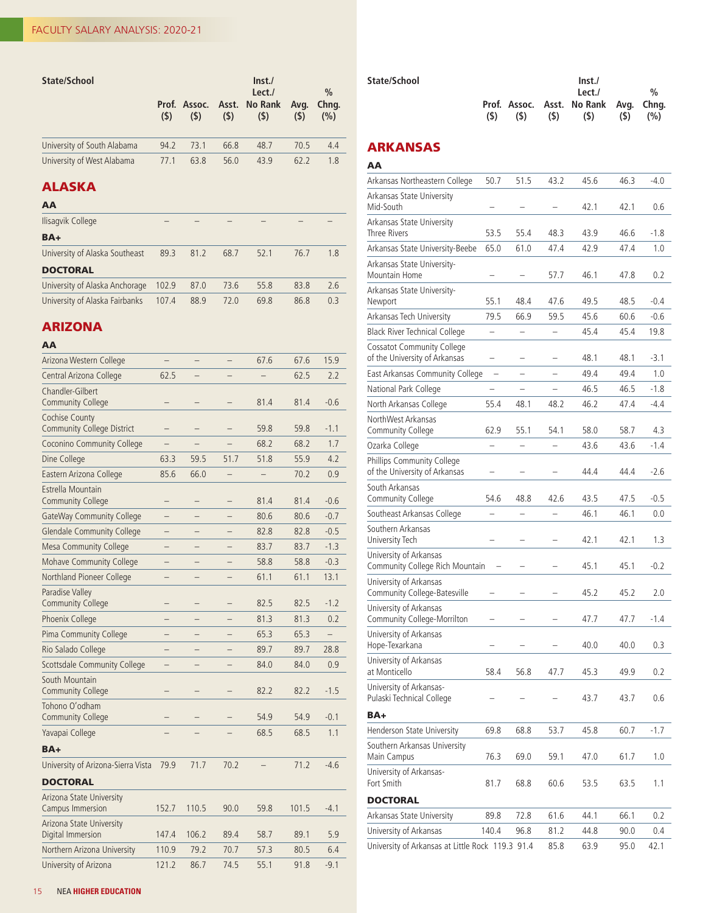| State/School                | (5)  | (5)  | (5)  | Inst.<br>Let.<br>Prof. Assoc. Asst. No Rank<br>(5) | Avg.<br>(5) | $\%$<br>Chng.<br>(%) |
|-----------------------------|------|------|------|----------------------------------------------------|-------------|----------------------|
| University of South Alabama | 94.2 | 73.1 | 66.8 | 48.7                                               | 70.5        | 4.4                  |
| University of West Alabama  | 77.1 | 63.8 | 56.0 | 43.9                                               | 62.2        | 1.8                  |

## ALASKA

| AA                             |       |      |      |      |      |     |
|--------------------------------|-------|------|------|------|------|-----|
| Ilisagvik College              |       |      |      |      |      |     |
| BA+                            |       |      |      |      |      |     |
| University of Alaska Southeast | 89.3  | 81.2 | 68.7 | 52.1 | 76.7 | 1.8 |
| <b>DOCTORAL</b>                |       |      |      |      |      |     |
| University of Alaska Anchorage | 102.9 | 87.0 | 73.6 | 55.8 | 83.8 | 2.6 |
| University of Alaska Fairbanks | 107.4 | 88.9 | 72.0 | 69.8 | 86.8 | 0.3 |

## ARIZONA

# AA

| Arizona Western College                                    |       |       |                          | 67.6 | 67.6  | 15.9                     |
|------------------------------------------------------------|-------|-------|--------------------------|------|-------|--------------------------|
| Central Arizona College                                    | 62.5  |       |                          |      | 62.5  | 2.2                      |
| Chandler-Gilbert<br><b>Community College</b>               |       |       |                          | 81.4 | 81.4  | $-0.6$                   |
| <b>Cochise County</b><br><b>Community College District</b> |       |       |                          | 59.8 | 59.8  | $-1.1$                   |
| Coconino Community College                                 |       |       |                          | 68.2 | 68.2  | 1.7                      |
| Dine College                                               | 63.3  | 59.5  | 51.7                     | 51.8 | 55.9  | 4.2                      |
| Eastern Arizona College                                    | 85.6  | 66.0  |                          |      | 70.2  | 0.9                      |
| Estrella Mountain<br><b>Community College</b>              | -     | -     | $\overline{\phantom{0}}$ | 81.4 | 81.4  | $-0.6$                   |
| GateWay Community College                                  | -     |       |                          | 80.6 | 80.6  | $-0.7$                   |
| <b>Glendale Community College</b>                          |       |       |                          | 82.8 | 82.8  | $-0.5$                   |
| <b>Mesa Community College</b>                              |       |       |                          | 83.7 | 83.7  | $-1.3$                   |
| Mohave Community College                                   |       |       |                          | 58.8 | 58.8  | $-0.3$                   |
| Northland Pioneer College                                  |       |       |                          | 61.1 | 61.1  | 13.1                     |
| Paradise Valley<br><b>Community College</b>                |       |       |                          | 82.5 | 82.5  | $-1.2$                   |
| Phoenix College                                            |       |       |                          | 81.3 | 81.3  | 0.2                      |
| Pima Community College                                     |       |       |                          | 65.3 | 65.3  | $\overline{\phantom{0}}$ |
| Rio Salado College                                         |       |       |                          | 89.7 | 89.7  | 28.8                     |
| Scottsdale Community College                               |       |       |                          | 84.0 | 84.0  | 0.9                      |
| South Mountain<br><b>Community College</b>                 |       |       |                          | 82.2 | 82.2  | $-1.5$                   |
| Tohono O'odham<br><b>Community College</b>                 |       |       |                          | 54.9 | 54.9  | $-0.1$                   |
| Yavapai College                                            |       |       |                          | 68.5 | 68.5  | 1.1                      |
| BA+                                                        |       |       |                          |      |       |                          |
| University of Arizona-Sierra Vista                         | 79.9  | 71.7  | 70.2                     |      | 71.2  | $-4.6$                   |
| <b>DOCTORAL</b>                                            |       |       |                          |      |       |                          |
| Arizona State University<br>Campus Immersion               | 152.7 | 110.5 | 90.0                     | 59.8 | 101.5 | $-4.1$                   |
| Arizona State University<br>Digital Immersion              | 147.4 | 106.2 | 89.4                     | 58.7 | 89.1  | 5.9                      |
| Northern Arizona University                                | 110.9 | 79.2  | 70.7                     | 57.3 | 80.5  | 6.4                      |
| University of Arizona                                      | 121.2 | 86.7  | 74.5                     | 55.1 | 91.8  | $-9.1$                   |

| State/School |     | $\ln$ st./ |     |                                       |     |               |
|--------------|-----|------------|-----|---------------------------------------|-----|---------------|
|              |     |            |     | Lect./                                |     | $\frac{0}{n}$ |
|              |     |            |     | Prof. Assoc. Asst. No Rank Avg. Chng. |     |               |
|              | (S) | (S)        | (S) | (S)                                   | (5) | (% )          |
|              |     |            |     |                                       |     |               |

## ARKANSAS

| 50.7                                              | 51.5                     | 43.2                                             | 45.6 | 46.3 | $-4.0$ |
|---------------------------------------------------|--------------------------|--------------------------------------------------|------|------|--------|
|                                                   |                          |                                                  | 42.1 | 42.1 | 0.6    |
| 53.5                                              | 55.4                     | 48.3                                             | 43.9 | 46.6 | $-1.8$ |
| 65.0                                              | 61.0                     | 47.4                                             | 42.9 | 47.4 | 1.0    |
|                                                   |                          | 57.7                                             | 46.1 | 47.8 | 0.2    |
| 55.1                                              | 48.4                     | 47.6                                             | 49.5 | 48.5 | $-0.4$ |
| 79.5                                              | 66.9                     | 59.5                                             | 45.6 | 60.6 | $-0.6$ |
| $\overline{\phantom{0}}$                          |                          |                                                  | 45.4 | 45.4 | 19.8   |
| -                                                 | -                        | $\overline{\phantom{0}}$                         | 48.1 | 48.1 | $-3.1$ |
| East Arkansas Community College<br>$\overline{a}$ | $\overline{\phantom{0}}$ | $\overline{\phantom{0}}$                         | 49.4 | 49.4 | 1.0    |
|                                                   |                          |                                                  | 46.5 | 46.5 | $-1.8$ |
| 55.4                                              | 48.1                     | 48.2                                             | 46.2 | 47.4 | $-4.4$ |
| 62.9                                              | 55.1                     | 54.1                                             | 58.0 | 58.7 | 4.3    |
|                                                   |                          | $\overline{\phantom{0}}$                         | 43.6 | 43.6 | $-1.4$ |
|                                                   |                          |                                                  | 44.4 | 44.4 | $-2.6$ |
| 54.6                                              | 48.8                     | 42.6                                             | 43.5 | 47.5 | $-0.5$ |
|                                                   |                          |                                                  | 46.1 | 46.1 | 0.0    |
|                                                   |                          |                                                  | 42.1 | 42.1 | 1.3    |
| Community College Rich Mountain                   |                          |                                                  | 45.1 | 45.1 | $-0.2$ |
| $\overline{\phantom{0}}$                          |                          |                                                  | 45.2 | 45.2 | 2.0    |
| -                                                 |                          |                                                  | 47.7 | 47.7 | -1.4   |
|                                                   |                          |                                                  | 40.0 | 40.0 | 0.3    |
| 58.4                                              | 56.8                     | 47.7                                             | 45.3 | 49.9 | 0.2    |
|                                                   |                          |                                                  | 43.7 | 43.7 | 0.6    |
|                                                   |                          |                                                  |      |      |        |
| 69.8                                              | 68.8                     | 53.7                                             | 45.8 | 60.7 | -1.7   |
| 76.3                                              | 69.0                     | 59.1                                             | 47.0 | 61.7 | 1.0    |
| 81.7                                              | 68.8                     | 60.6                                             | 53.5 | 63.5 | 1.1    |
|                                                   |                          |                                                  |      |      |        |
| 89.8                                              | 72.8                     | 61.6                                             | 44.1 | 66.1 | 0.2    |
| 140.4                                             | 96.8                     | 81.2                                             | 44.8 | 90.0 | 0.4    |
|                                                   |                          | 85.8                                             | 63.9 | 95.0 | 42.1   |
|                                                   |                          | University of Arkansas at Little Rock 119.3 91.4 |      |      |        |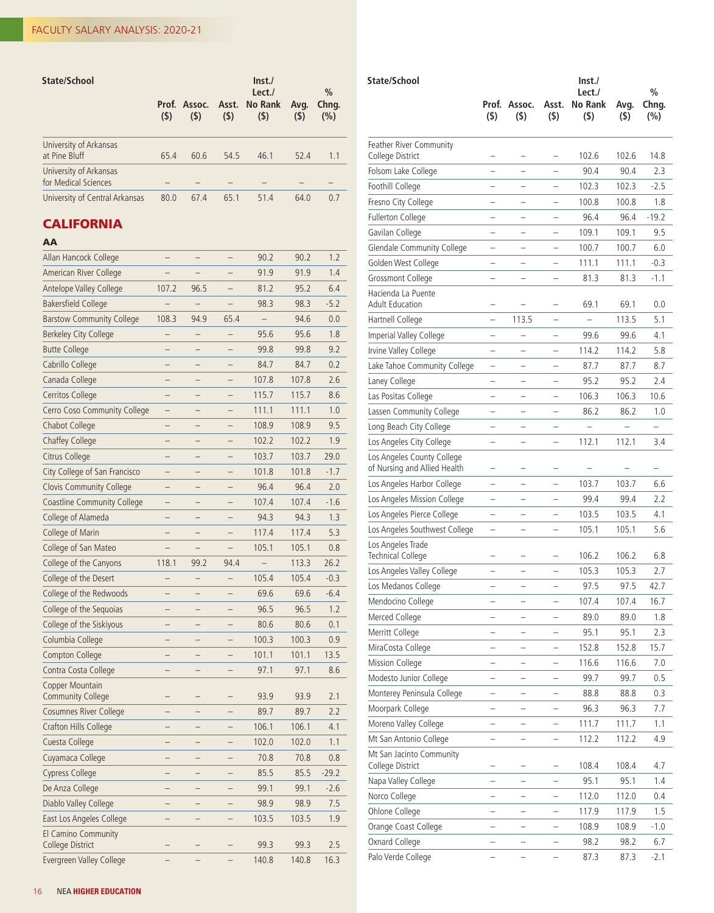| State/School                                   | (5)  | (5)  | (5)  | Inst.<br>Lect./<br>Prof. Assoc. Asst. No Rank<br>(5) | Avg.<br>(5) | $\%$<br>Chng.<br>(%) |
|------------------------------------------------|------|------|------|------------------------------------------------------|-------------|----------------------|
| University of Arkansas<br>at Pine Bluff        | 65.4 | 60.6 | 54.5 | 46.1                                                 | 52.4        | 1.1                  |
| University of Arkansas<br>for Medical Sciences |      |      |      |                                                      |             |                      |
| University of Central Arkansas                 | 80.0 | 67.4 | 65.1 | 51.4                                                 | 64.0        | 0.7                  |

L

## **CALIFORNIA**

| Allan Hancock College                       |                          |                          |                          | 90.2                     | 90.2  | 1.2     |
|---------------------------------------------|--------------------------|--------------------------|--------------------------|--------------------------|-------|---------|
| American River College                      |                          |                          |                          | 91.9                     | 91.9  | 1.4     |
| <b>Antelope Valley College</b>              | 107.2                    | 96.5                     |                          | 81.2                     | 95.2  | 6.4     |
| <b>Bakersfield College</b>                  |                          |                          |                          | 98.3                     | 98.3  | $-5.2$  |
| <b>Barstow Community College</b>            | 108.3                    | 94.9                     | 65.4                     | $\overline{\phantom{0}}$ | 94.6  | 0.0     |
| <b>Berkeley City College</b>                |                          |                          |                          | 95.6                     | 95.6  | 1.8     |
| <b>Butte College</b>                        |                          |                          |                          | 99.8                     | 99.8  | 9.2     |
| Cabrillo College                            | $\overline{\phantom{0}}$ | $\overline{\phantom{0}}$ | $\overline{\phantom{0}}$ | 84.7                     | 84.7  | 0.2     |
| Canada College                              | -                        |                          |                          | 107.8                    | 107.8 | 2.6     |
| Cerritos College                            | $\overline{\phantom{0}}$ |                          | $\overline{\phantom{0}}$ | 115.7                    | 115.7 | 8.6     |
| Cerro Coso Community College                |                          |                          |                          | 111.1                    | 111.1 | 1.0     |
| Chabot College                              |                          |                          |                          | 108.9                    | 108.9 | 9.5     |
| Chaffey College                             |                          |                          |                          | 102.2                    | 102.2 | 1.9     |
| Citrus College                              |                          |                          |                          | 103.7                    | 103.7 | 29.0    |
| City College of San Francisco               | -                        |                          |                          | 101.8                    | 101.8 | $-1.7$  |
| <b>Clovis Community College</b>             | $\overline{\phantom{0}}$ |                          |                          | 96.4                     | 96.4  | 2.0     |
| <b>Coastline Community College</b>          |                          |                          |                          | 107.4                    | 107.4 | $-1.6$  |
| College of Alameda                          | $\overline{\phantom{0}}$ | -                        |                          | 94.3                     | 94.3  | 1.3     |
| College of Marin                            | —                        | -                        | -                        | 117.4                    | 117.4 | 5.3     |
| College of San Mateo                        |                          |                          |                          | 105.1                    | 105.1 | 0.8     |
| College of the Canyons                      | 118.1                    | 99.2                     | 94.4                     |                          | 113.3 | 26.2    |
| College of the Desert                       |                          |                          |                          | 105.4                    | 105.4 | $-0.3$  |
| College of the Redwoods                     |                          |                          |                          | 69.6                     | 69.6  | $-6.4$  |
| College of the Sequoias                     |                          |                          |                          | 96.5                     | 96.5  | 1.2     |
| College of the Siskiyous                    |                          |                          |                          | 80.6                     | 80.6  | 0.1     |
| Columbia College                            |                          |                          |                          | 100.3                    | 100.3 | 0.9     |
| Compton College                             |                          |                          |                          | 101.1                    | 101.1 | 13.5    |
| Contra Costa College                        |                          |                          |                          | 97.1                     | 97.1  | 8.6     |
| Copper Mountain<br><b>Community College</b> |                          |                          |                          | 93.9                     | 93.9  | 2.1     |
| Cosumnes River College                      |                          |                          |                          | 89.7                     | 89.7  | 2.2     |
| Crafton Hills College                       |                          |                          |                          | 106.1                    | 106.1 | 4.1     |
| Cuesta College                              |                          |                          |                          | 102.0                    | 102.0 | 1.1     |
| Cuyamaca College                            |                          |                          |                          | 70.8                     | 70.8  | 0.8     |
| Cypress College                             |                          |                          |                          | 85.5                     | 85.5  | $-29.2$ |
| De Anza College                             |                          |                          |                          | 99.1                     | 99.1  | $-2.6$  |
| Diablo Valley College                       |                          |                          |                          | 98.9                     | 98.9  | 7.5     |
| East Los Angeles College                    |                          |                          |                          | 103.5                    | 103.5 | 1.9     |
| El Camino Community                         |                          |                          |                          |                          |       |         |
| College District                            |                          |                          |                          | 99.3                     | 99.3  | 2.5     |
| Evergreen Valley College                    |                          |                          |                          | 140.8                    | 140.8 | 16.3    |

| State/School                                               | Prof.<br>$($ \$)         | Assoc.<br>$($ \$)        | Asst.<br>$($ \$)         | $\mathsf{Inst}$<br>Lect./<br>No Rank<br>$($ \$) | Avg.<br>(\$) | $\%$<br>Chng.<br>(%) |
|------------------------------------------------------------|--------------------------|--------------------------|--------------------------|-------------------------------------------------|--------------|----------------------|
| <b>Feather River Community</b><br>College District         |                          |                          |                          | 102.6                                           | 102.6        | 14.8                 |
| Folsom Lake College                                        |                          | -                        |                          | 90.4                                            | 90.4         | 2.3                  |
| Foothill College                                           | -                        |                          |                          | 102.3                                           | 102.3        | $-2.5$               |
| Fresno City College                                        | -                        |                          |                          | 100.8                                           | 100.8        | 1.8                  |
| <b>Fullerton College</b>                                   | $\overline{\phantom{0}}$ |                          |                          | 96.4                                            | 96.4         | $-19.2$              |
| Gavilan College                                            | -                        | -                        | -                        | 109.1                                           | 109.1        | 9.5                  |
| Glendale Community College                                 | ÷                        | -                        | -                        | 100.7                                           | 100.7        | 6.0                  |
| Golden West College                                        | -                        |                          |                          | 111.1                                           | 111.1        | $-0.3$               |
| Grossmont College                                          |                          |                          |                          | 81.3                                            | 81.3         | $-1.1$               |
| Hacienda La Puente<br><b>Adult Education</b>               |                          |                          |                          | 69.1                                            | 69.1         | 0.0                  |
| Hartnell College                                           |                          | 113.5                    |                          |                                                 | 113.5        | 5.1                  |
| Imperial Valley College                                    | -                        |                          |                          | 99.6                                            | 99.6         | 4.1                  |
| Irvine Valley College                                      | $\overline{\phantom{0}}$ | $\overline{\phantom{0}}$ |                          | 114.2                                           | 114.2        | 5.8                  |
| Lake Tahoe Community College                               | -                        |                          |                          | 87.7                                            | 87.7         | 8.7                  |
| Laney College                                              | -                        | -                        | -                        | 95.2                                            | 95.2         | 2.4                  |
| Las Positas College                                        |                          |                          |                          | 106.3                                           | 106.3        | 10.6                 |
| Lassen Community College                                   | -                        |                          |                          | 86.2                                            | 86.2         | 1.0                  |
| Long Beach City College                                    | $\overline{\phantom{0}}$ |                          |                          |                                                 |              |                      |
| Los Angeles City College                                   | -                        | -                        | -                        | 112.1                                           | 112.1        | 3.4                  |
| Los Angeles County College<br>of Nursing and Allied Health | -                        | -                        | -                        |                                                 |              |                      |
| Los Angeles Harbor College                                 | -                        | -                        | -                        | 103.7                                           | 103.7        | 6.6                  |
| Los Angeles Mission College                                | Ξ                        |                          |                          | 99.4                                            | 99.4         | 2.2                  |
| Los Angeles Pierce College                                 |                          |                          |                          | 103.5                                           | 103.5        | 4.1                  |
| Los Angeles Southwest College                              |                          |                          |                          | 105.1                                           | 105.1        | 5.6                  |
| Los Angeles Trade<br><b>Technical College</b>              |                          | -                        | -                        | 106.2                                           | 106.2        | 6.8                  |
| Los Angeles Valley College                                 |                          |                          |                          | 105.3                                           | 105.3        | 2.7                  |
| Los Medanos College                                        |                          |                          |                          | 97.5                                            | 97.5         | 42.7                 |
| Mendocino College                                          |                          | -                        | -                        | 107.4                                           | 107.4        | 16.7                 |
| Merced College                                             | -                        | -                        | -                        | 89.0                                            | 89.0         | 1.8                  |
| Merritt College                                            |                          |                          |                          | 95.1                                            | 95.1         | 2.3                  |
| MiraCosta College                                          |                          |                          |                          | 152.8                                           | 152.8        | 15.7                 |
| Mission College                                            |                          |                          |                          | 116.6                                           | 116.6        | 7.0                  |
| Modesto Junior College                                     |                          |                          |                          | 99.7                                            | 99.7         | 0.5                  |
| Monterey Peninsula College                                 | -                        | $\overline{\phantom{0}}$ | $\overline{\phantom{0}}$ | 88.8                                            | 88.8         | 0.3                  |
| Moorpark College                                           |                          |                          | -                        | 96.3                                            | 96.3         | 7.7                  |
| Moreno Valley College                                      |                          | $\overline{\phantom{0}}$ | $\overline{\phantom{0}}$ | 111.7                                           | 111.7        | 1.1                  |
| Mt San Antonio College                                     | -                        | -                        | -                        | 112.2                                           | 112.2        | 4.9                  |
| Mt San Jacinto Community<br>College District               |                          |                          |                          | 108.4                                           | 108.4        | 4.7                  |
| Napa Valley College                                        |                          |                          |                          | 95.1                                            | 95.1         | 1.4                  |
| Norco College                                              |                          |                          |                          | 112.0                                           | 112.0        | 0.4                  |
| Ohlone College                                             | $\overline{\phantom{0}}$ | -                        | -                        | 117.9                                           | 117.9        | 1.5                  |
| Orange Coast College                                       | -                        | -                        | $\overline{\phantom{0}}$ | 108.9                                           | 108.9        | $-1.0$               |
| Oxnard College                                             |                          |                          |                          | 98.2                                            | 98.2         | 6.7                  |
| Palo Verde College                                         | $\overline{\phantom{0}}$ | $\overline{\phantom{0}}$ | $\qquad \qquad -$        | 87.3                                            | 87.3         | $-2.1$               |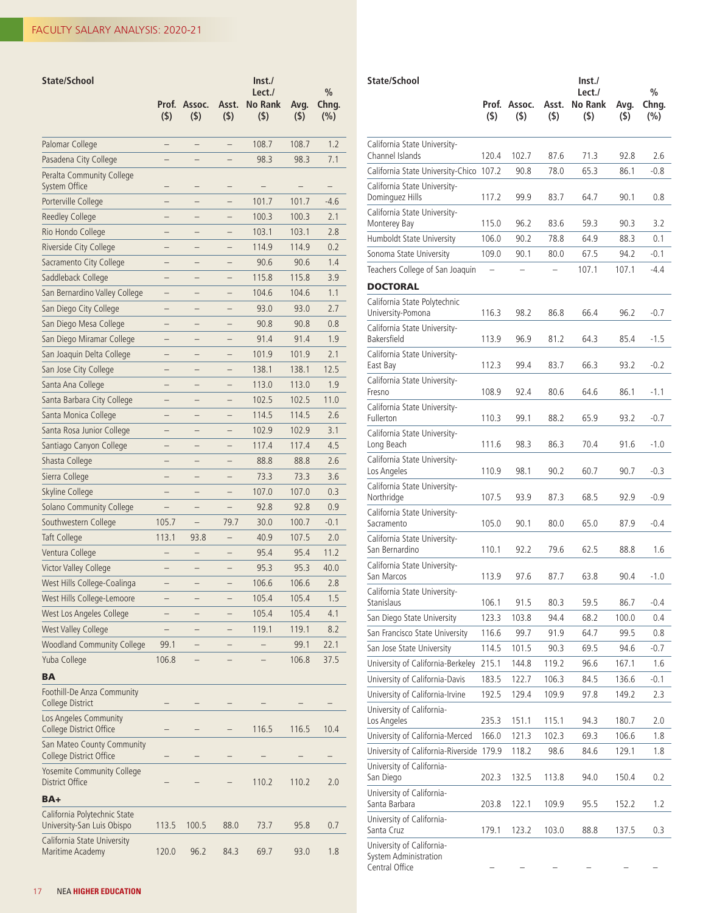| State/School                                               | Prof.<br>$($ \$)         | Assoc.<br>$($ \$)        | Asst.<br>$($ \$)         | $\mathsf{Inst}./$<br>Lect./<br><b>No Rank</b><br>$($ \$) | Avg.<br>(5) | $\%$<br>Chng.<br>(%) |
|------------------------------------------------------------|--------------------------|--------------------------|--------------------------|----------------------------------------------------------|-------------|----------------------|
| Palomar College                                            | $\overline{\phantom{0}}$ | -                        | $\overline{\phantom{0}}$ | 108.7                                                    | 108.7       | 1.2                  |
| Pasadena City College                                      |                          |                          |                          | 98.3                                                     | 98.3        | 7.1                  |
| Peralta Community College<br>System Office                 |                          |                          |                          |                                                          |             |                      |
| Porterville College                                        |                          |                          |                          | 101.7                                                    | 101.7       | $-4.6$               |
| Reedley College                                            |                          |                          |                          | 100.3                                                    | 100.3       | 2.1                  |
| Rio Hondo College                                          | -                        |                          |                          | 103.1                                                    | 103.1       | 2.8                  |
| Riverside City College                                     |                          |                          |                          | 114.9                                                    | 114.9       | 0.2                  |
| Sacramento City College                                    |                          |                          |                          | 90.6                                                     | 90.6        | 1.4                  |
| Saddleback College                                         |                          |                          |                          | 115.8                                                    | 115.8       | 3.9                  |
| San Bernardino Valley College                              |                          |                          |                          | 104.6                                                    | 104.6       | 1.1                  |
| San Diego City College                                     |                          |                          |                          | 93.0                                                     | 93.0        | 2.7                  |
| San Diego Mesa College                                     | $\overline{\phantom{0}}$ |                          |                          | 90.8                                                     | 90.8        | 0.8                  |
| San Diego Miramar College                                  | <sup>-</sup>             |                          | -                        | 91.4                                                     | 91.4        | 1.9                  |
| San Joaquin Delta College                                  | $\overline{\phantom{0}}$ |                          | -                        | 101.9                                                    | 101.9       | 2.1                  |
| San Jose City College                                      |                          |                          |                          | 138.1                                                    | 138.1       | 12.5                 |
| Santa Ana College                                          |                          |                          |                          | 113.0                                                    | 113.0       | 1.9                  |
| Santa Barbara City College                                 | -                        |                          |                          | 102.5                                                    | 102.5       | 11.0                 |
| Santa Monica College                                       |                          |                          |                          | 114.5                                                    | 114.5       | 2.6                  |
| Santa Rosa Junior College                                  |                          |                          |                          | 102.9                                                    | 102.9       | 3.1                  |
| Santiago Canyon College                                    |                          |                          |                          | 117.4                                                    | 117.4       | 4.5                  |
| Shasta College                                             |                          |                          |                          | 88.8                                                     | 88.8        | 2.6                  |
| Sierra College                                             |                          |                          |                          | 73.3                                                     | 73.3        | 3.6                  |
| Skyline College                                            | $\overline{\phantom{0}}$ | $\overline{\phantom{0}}$ |                          | 107.0                                                    | 107.0       | 0.3                  |
| Solano Community College                                   | -                        |                          |                          | 92.8                                                     | 92.8        | 0.9                  |
| Southwestern College                                       | 105.7                    | $\overline{\phantom{0}}$ | 79.7                     | 30.0                                                     | 100.7       | $-0.1$               |
| Taft College                                               | 113.1                    | 93.8                     |                          | 40.9                                                     | 107.5       | 2.0                  |
| Ventura College                                            |                          |                          |                          | 95.4                                                     | 95.4        | 11.2                 |
| Victor Valley College                                      |                          |                          |                          | 95.3                                                     | 95.3        | 40.0                 |
| West Hills College-Coalinga                                | -                        |                          |                          | 106.6                                                    | 106.6       | 2.8                  |
| West Hills College-Lemoore                                 | <sup>-</sup>             |                          |                          | 105.4                                                    | 105.4       | 1.5                  |
| West Los Angeles College                                   |                          |                          |                          | 105.4                                                    | 105.4       | 4.1                  |
| <b>West Valley College</b>                                 |                          |                          |                          | 119.1                                                    | 119.1       | 8.2                  |
| <b>Woodland Community College</b>                          | 99.1                     |                          |                          |                                                          | 99.1        | 22.1                 |
| Yuba College                                               | 106.8                    |                          |                          |                                                          | 106.8       | 37.5                 |
| <b>BA</b>                                                  |                          |                          |                          |                                                          |             |                      |
| Foothill-De Anza Community<br>College District             |                          |                          |                          |                                                          |             |                      |
| Los Angeles Community<br>College District Office           |                          |                          |                          | 116.5                                                    | 116.5       | 10.4                 |
| San Mateo County Community<br>College District Office      |                          |                          |                          |                                                          |             |                      |
| Yosemite Community College<br><b>District Office</b>       |                          |                          |                          | 110.2                                                    | 110.2       | 2.0                  |
| BA+                                                        |                          |                          |                          |                                                          |             |                      |
| California Polytechnic State<br>University-San Luis Obispo | 113.5                    | 100.5                    | 88.0                     | 73.7                                                     | 95.8        | 0.7                  |
| California State University<br>Maritime Academy            | 120.0                    | 96.2                     | 84.3                     | 69.7                                                     | 93.0        | 1.8                  |

| State/School                                                         |                          |                   |              | $\mathsf{Inst}$              |             | $\%$         |
|----------------------------------------------------------------------|--------------------------|-------------------|--------------|------------------------------|-------------|--------------|
|                                                                      | Prof.<br>$($ \$)         | Assoc.<br>$($ \$) | Asst.<br>(5) | Lect./<br>No Rank<br>$($ \$) | Avg.<br>(5) | Chng.<br>(%) |
| California State University-<br>Channel Islands                      | 120.4                    | 102.7             | 87.6         | 71.3                         | 92.8        | 2.6          |
| California State University-Chico                                    | 107.2                    | 90.8              | 78.0         | 65.3                         | 86.1        | $-0.8$       |
| California State University-                                         |                          |                   |              |                              |             |              |
| Dominguez Hills                                                      | 117.2                    | 99.9              | 83.7         | 64.7                         | 90.1        | 0.8          |
| California State University-<br>Monterey Bay                         | 115.0                    | 96.2              | 83.6         | 59.3                         | 90.3        | 3.2          |
| Humboldt State University                                            | 106.0                    | 90.2              | 78.8         | 64.9                         | 88.3        | 0.1          |
| Sonoma State University                                              | 109.0                    | 90.1              | 80.0         | 67.5                         | 94.2        | $-0.1$       |
| Teachers College of San Joaquin                                      | $\overline{\phantom{0}}$ |                   |              | 107.1                        | 107.1       | $-4.4$       |
| DOCTORAL                                                             |                          |                   |              |                              |             |              |
| California State Polytechnic<br>University-Pomona                    | 116.3                    | 98.2              | 86.8         | 66.4                         | 96.2        | $-0.7$       |
| California State University-<br>Bakersfield                          | 113.9                    | 96.9              | 81.2         | 64.3                         | 85.4        | -1.5         |
| California State University-<br>East Bay                             | 112.3                    | 99.4              | 83.7         | 66.3                         | 93.2        | $-0.2$       |
| California State University-<br>Fresno                               | 108.9                    | 92.4              | 80.6         | 64.6                         | 86.1        | -1.1         |
| California State University-<br>Fullerton                            | 110.3                    | 99.1              | 88.2         | 65.9                         | 93.2        | $-0.7$       |
| California State University-<br>Long Beach                           | 111.6                    | 98.3              | 86.3         | 70.4                         | 91.6        | $-1.0$       |
| California State University-<br>Los Angeles                          | 110.9                    | 98.1              | 90.2         | 60.7                         | 90.7        | $-0.3$       |
| California State University-<br>Northridge                           | 107.5                    | 93.9              | 87.3         | 68.5                         | 92.9        | $-0.9$       |
| California State University-<br>Sacramento                           | 105.0                    | 90.1              | 80.0         | 65.0                         | 87.9        | $-0.4$       |
| California State University-<br>San Bernardino                       | 110.1                    | 92.2              | 79.6         | 62.5                         | 88.8        | 1.6          |
| California State University-<br>San Marcos                           | 113.9                    | 97.6              | 87.7         | 63.8                         | 90.4        | -1.0         |
| California State University-<br>Stanislaus                           | 106.1                    | 91.5              | 80.3         | 59.5                         | 86.7        | -0.4         |
| San Diego State University                                           | 123.3                    | 103.8             | 94.4         | 68.2                         | 100.0       | 0.4          |
| San Francisco State University                                       | 116.6                    | 99.7              | 91.9         | 64.7                         | 99.5        | 0.8          |
| San Jose State University                                            | 114.5                    | 101.5             | 90.3         | 69.5                         | 94.6        | $-0.7$       |
| University of California-Berkeley                                    | 215.1                    | 144.8             | 119.2        | 96.6                         | 167.1       | 1.6          |
| University of California-Davis                                       | 183.5                    | 122.7             | 106.3        | 84.5                         | 136.6       | $-0.1$       |
| University of California-Irvine                                      | 192.5                    | 129.4             | 109.9        | 97.8                         | 149.2       | 2.3          |
| University of California-<br>Los Angeles                             | 235.3                    | 151.1             | 115.1        | 94.3                         | 180.7       | 2.0          |
| University of California-Merced                                      | 166.0                    | 121.3             | 102.3        | 69.3                         | 106.6       | 1.8          |
| University of California-Riverside                                   | 179.9                    | 118.2             | 98.6         | 84.6                         | 129.1       | 1.8          |
| University of California-<br>San Diego                               | 202.3                    | 132.5             | 113.8        | 94.0                         | 150.4       | 0.2          |
| University of California-<br>Santa Barbara                           | 203.8                    | 122.1             | 109.9        | 95.5                         | 152.2       | 1.2          |
| University of California-<br>Santa Cruz                              | 179.1                    | 123.2             | 103.0        | 88.8                         | 137.5       | 0.3          |
| University of California-<br>System Administration<br>Central Office |                          |                   |              |                              |             |              |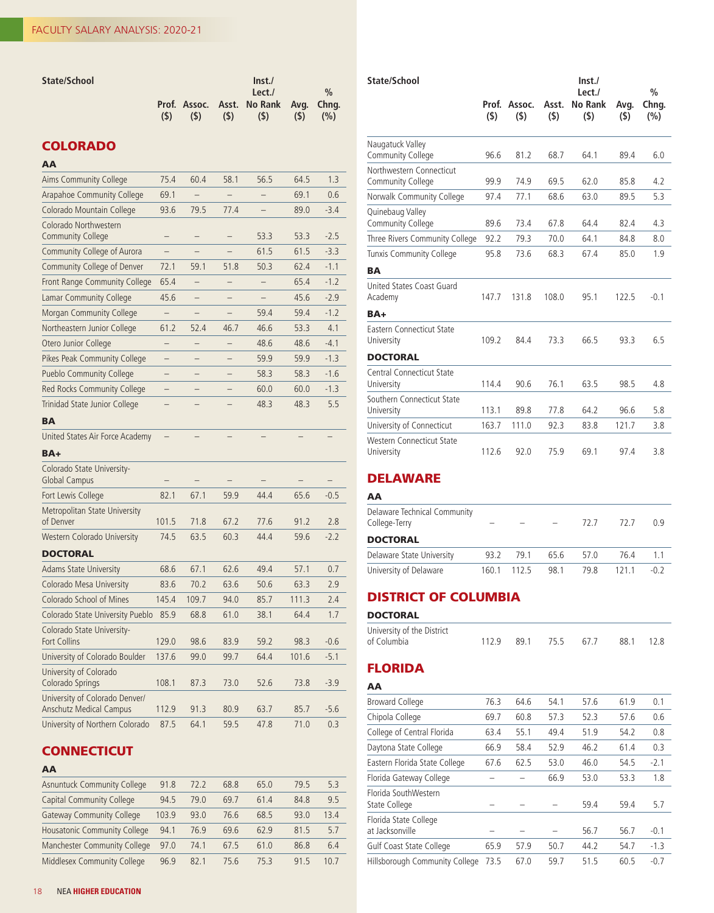| State/School |     |     |     | $\ln$ st./                            |     |               |
|--------------|-----|-----|-----|---------------------------------------|-----|---------------|
|              |     |     |     | Let.                                  |     | $\frac{0}{0}$ |
|              |     |     |     | Prof. Assoc. Asst. No Rank Avg. Chng. |     |               |
|              | (S) | (S) | (5) | (S)                                   | (S) | (%)           |

## COLORADO

# AA

| Aims Community College                                           | 75.4                     | 60.4              | 58.1                     | 56.5 | 64.5  | 1.3    |
|------------------------------------------------------------------|--------------------------|-------------------|--------------------------|------|-------|--------|
| <b>Arapahoe Community College</b>                                | 69.1                     |                   |                          |      | 69.1  | 0.6    |
| Colorado Mountain College                                        | 93.6                     | 79.5              | 77.4                     |      | 89.0  | $-3.4$ |
| Colorado Northwestern<br><b>Community College</b>                |                          |                   |                          | 53.3 | 53.3  | $-2.5$ |
| Community College of Aurora                                      |                          |                   |                          | 61.5 | 61.5  | $-3.3$ |
| Community College of Denver                                      | 72.1                     | 59.1              | 51.8                     | 50.3 | 62.4  | $-1.1$ |
| Front Range Community College                                    | 65.4                     |                   |                          |      | 65.4  | $-1.2$ |
| Lamar Community College                                          | 45.6                     | L,                |                          |      | 45.6  | $-2.9$ |
| Morgan Community College                                         |                          |                   | -                        | 59.4 | 59.4  | $-1.2$ |
| Northeastern Junior College                                      | 61.2                     | 52.4              | 46.7                     | 46.6 | 53.3  | 4.1    |
| Otero Junior College                                             | ÷                        |                   | -                        | 48.6 | 48.6  | $-4.1$ |
| Pikes Peak Community College                                     | $\overline{\phantom{0}}$ |                   |                          | 59.9 | 59.9  | $-1.3$ |
| <b>Pueblo Community College</b>                                  | $\overline{\phantom{0}}$ |                   |                          | 58.3 | 58.3  | $-1.6$ |
| Red Rocks Community College                                      | -                        |                   |                          | 60.0 | 60.0  | $-1.3$ |
| Trinidad State Junior College                                    |                          |                   |                          | 48.3 | 48.3  | 5.5    |
| <b>BA</b>                                                        |                          |                   |                          |      |       |        |
| United States Air Force Academy                                  |                          | $\qquad \qquad -$ | $\overline{\phantom{0}}$ |      |       |        |
| BA+                                                              |                          |                   |                          |      |       |        |
| Colorado State University-<br><b>Global Campus</b>               |                          |                   |                          |      |       |        |
| Fort Lewis College                                               | 82.1                     | 67.1              | 59.9                     | 44.4 | 65.6  | $-0.5$ |
| Metropolitan State University<br>of Denver                       | 101.5                    | 71.8              | 67.2                     | 77.6 | 91.2  | 2.8    |
| Western Colorado University                                      | 74.5                     | 63.5              | 60.3                     | 44.4 | 59.6  | $-2.2$ |
| <b>DOCTORAL</b>                                                  |                          |                   |                          |      |       |        |
| <b>Adams State University</b>                                    | 68.6                     | 67.1              | 62.6                     | 49.4 | 57.1  | 0.7    |
| Colorado Mesa University                                         | 83.6                     | 70.2              | 63.6                     | 50.6 | 63.3  | 2.9    |
| Colorado School of Mines                                         | 145.4                    | 109.7             | 94.0                     | 85.7 | 111.3 | 2.4    |
| Colorado State University Pueblo                                 | 85.9                     | 68.8              | 61.0                     | 38.1 | 64.4  | 1.7    |
| Colorado State University-<br><b>Fort Collins</b>                | 129.0                    | 98.6              | 83.9                     | 59.2 | 98.3  | $-0.6$ |
| University of Colorado Boulder                                   | 137.6                    | 99.0              | 99.7                     | 64.4 | 101.6 | $-5.1$ |
| University of Colorado<br>Colorado Springs                       | 108.1                    | 87.3              | 73.0                     | 52.6 | 73.8  | $-3.9$ |
| University of Colorado Denver/<br><b>Anschutz Medical Campus</b> | 112.9                    | 91.3              | 80.9                     | 63.7 | 85.7  | $-5.6$ |
| University of Northern Colorado                                  | 87.5                     | 64.1              | 59.5                     | 47.8 | 71.0  | 0.3    |

## **CONNECTICUT**

#### AA

| <b>Asnuntuck Community College</b> | 91.8  | 72.2 | 68.8 | 65.0 | 79.5 | 5.3  |
|------------------------------------|-------|------|------|------|------|------|
| Capital Community College          | 94.5  | 79.O | 69.7 | 61.4 | 84.8 | 9.5  |
| <b>Gateway Community College</b>   | 103.9 | 93.0 | 76.6 | 68.5 | 93.0 | 13.4 |
| Housatonic Community College       | 94.1  | 76.9 | 69.6 | 62.9 | 81.5 | 5.7  |
| Manchester Community College       | 97.0  | 74.1 | 67.5 | 61.0 | 86.8 | 6.4  |
| Middlesex Community College        | 96.9  | 82.1 | 75.6 | 75.3 | 91.5 | 10.7 |

| State/School                                   | Prof. | Assoc. | Asst. | Inst.<br>Lect./<br><b>No Rank</b> | Avg.  | $\%$<br>Chng. |
|------------------------------------------------|-------|--------|-------|-----------------------------------|-------|---------------|
|                                                | (5)   | (5)    | (5)   | $($ \$)                           | (5)   | (%)           |
| Naugatuck Valley<br>Community College          | 96.6  | 81.2   | 68.7  | 64.1                              | 89.4  | 6.0           |
| Northwestern Connecticut<br>Community College  | 99.9  | 74.9   | 69.5  | 62.0                              | 85.8  | 4.2           |
| Norwalk Community College                      | 97.4  | 77.1   | 68.6  | 63.0                              | 89.5  | 5.3           |
| Quinebaug Valley<br>Community College          | 89.6  | 73.4   | 67.8  | 64.4                              | 82.4  | 4.3           |
| Three Rivers Community College                 | 92.2  | 79.3   | 70.0  | 64.1                              | 84.8  | 8.0           |
| <b>Tunxis Community College</b>                | 95.8  | 73.6   | 68.3  | 67.4                              | 85.0  | 1.9           |
| <b>BA</b>                                      |       |        |       |                                   |       |               |
| United States Coast Guard<br>Academy           | 147.7 | 131.8  | 108.0 | 95.1                              | 122.5 | $-0.1$        |
| BA+                                            |       |        |       |                                   |       |               |
| Eastern Connecticut State<br>University        | 109.2 | 84.4   | 73.3  | 66.5                              | 93.3  | 6.5           |
| <b>DOCTORAL</b>                                |       |        |       |                                   |       |               |
| <b>Central Connecticut State</b><br>University | 114.4 | 90.6   | 76.1  | 63.5                              | 98.5  | 4.8           |
| Southern Connecticut State<br>University       | 113.1 | 89.8   | 77.8  | 64.2                              | 96.6  | 5.8           |
| University of Connecticut                      | 163.7 | 111.0  | 92.3  | 83.8                              | 121.7 | 3.8           |
| Western Connecticut State<br>University        | 112.6 | 92.0   | 75.9  | 69.1                              | 97.4  | 3.8           |

## DELAWARE

| AA                                            |       |       |      |      |      |        |
|-----------------------------------------------|-------|-------|------|------|------|--------|
| Delaware Technical Community<br>College-Terry |       |       |      | 72 7 | 72 7 | በ ዓ    |
| <b>DOCTORAL</b>                               |       |       |      |      |      |        |
| Delaware State University                     | 93.2  | 79.1  | 65.6 | 57.0 | 76.4 | 1.1    |
| University of Delaware                        | 160.1 | 112.5 | 98.1 | 79.8 | 1211 | $-0.2$ |

## DISTRICT OF COLUMBIA

#### **DOCTORAL**

| University of the District |  |                                |  |
|----------------------------|--|--------------------------------|--|
| of Columbia                |  | 112.9 89.1 75.5 67.7 88.1 12.8 |  |

## FLORIDA

## AA Broward College 76.3 64.6 54.1 57.6 61.9 0.1 Chipola College 69.7 60.8 57.3 52.3 57.6 0.6 College of Central Florida 63.4 55.1 49.4 51.9 54.2 0.8 Daytona State College 66.9 58.4 52.9 46.2 61.4 0.3 Eastern Florida State College 67.6 62.5 53.0 46.0 54.5 -2.1 Florida Gateway College – – 66.9 53.0 53.3 1.8 Florida SouthWestern State College – – – 59.4 59.4 5.7 Florida State College at Jacksonville – – – 56.7 56.7 -0.1 Gulf Coast State College 65.9 57.9 50.7 44.2 54.7 -1.3 Hillsborough Community College 73.5 67.0 59.7 51.5 60.5 -0.7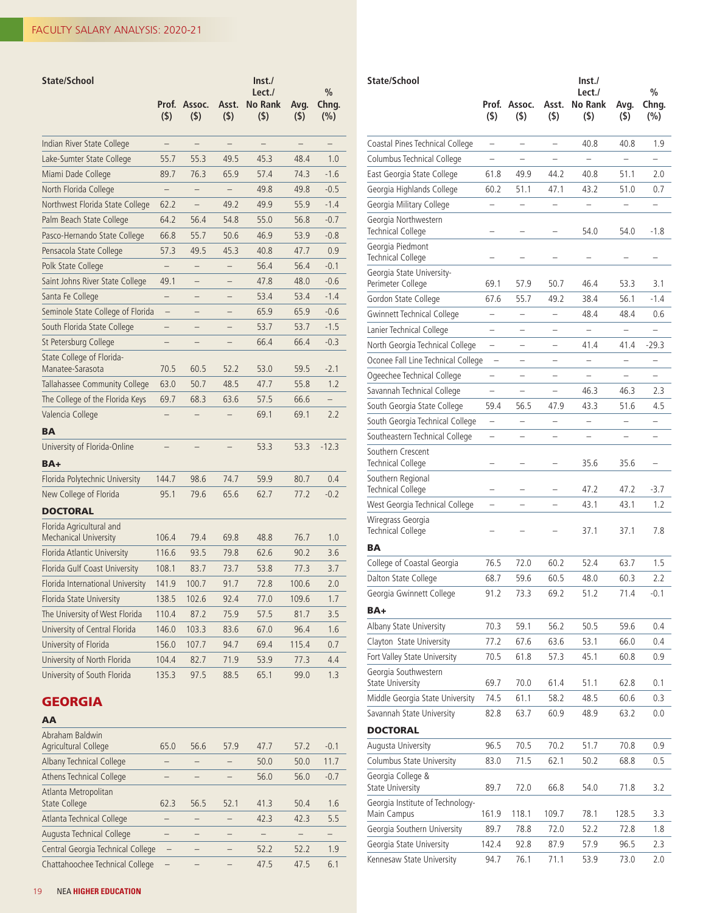| State/School                                             | Prof.                    | Assoc.                   | Asst.             | $\ln$ st./<br>Lect./<br><b>No Rank</b> | Avg.  | $\frac{0}{0}$<br>Chng.   |
|----------------------------------------------------------|--------------------------|--------------------------|-------------------|----------------------------------------|-------|--------------------------|
|                                                          | (5)                      | (5)                      | (5)               | (5)                                    | (5)   | (%)                      |
| Indian River State College                               |                          |                          |                   |                                        |       |                          |
| Lake-Sumter State College                                | 55.7                     | 55.3                     | 49.5              | 45.3                                   | 48.4  | 1.0                      |
| Miami Dade College                                       | 89.7                     | 76.3                     | 65.9              | 57.4                                   | 74.3  | $-1.6$                   |
| North Florida College                                    | $\qquad \qquad -$        | $\qquad \qquad -$        | $\qquad \qquad -$ | 49.8                                   | 49.8  | $-0.5$                   |
| Northwest Florida State College                          | 62.2                     | $\overline{\phantom{0}}$ | 49.2              | 49.9                                   | 55.9  | $-1.4$                   |
| Palm Beach State College                                 | 64.2                     | 56.4                     | 54.8              | 55.0                                   | 56.8  | $-0.7$                   |
| Pasco-Hernando State College                             | 66.8                     | 55.7                     | 50.6              | 46.9                                   | 53.9  | $-0.8$                   |
| Pensacola State College                                  | 57.3                     | 49.5                     | 45.3              | 40.8                                   | 47.7  | 0.9                      |
| Polk State College                                       |                          | —                        | -                 | 56.4                                   | 56.4  | $-0.1$                   |
| Saint Johns River State College                          | 49.1                     | -                        | -                 | 47.8                                   | 48.0  | $-0.6$                   |
| Santa Fe College                                         | $\overline{\phantom{0}}$ |                          |                   | 53.4                                   | 53.4  | $-1.4$                   |
| Seminole State College of Florida                        | $\qquad \qquad -$        |                          |                   | 65.9                                   | 65.9  | $-0.6$                   |
| South Florida State College                              |                          |                          |                   | 53.7                                   | 53.7  | $-1.5$                   |
| St Petersburg College                                    |                          |                          |                   | 66.4                                   | 66.4  | $-0.3$                   |
| State College of Florida-<br>Manatee-Sarasota            | 70.5                     | 60.5                     | 52.2              | 53.0                                   | 59.5  | $-2.1$                   |
| Tallahassee Community College                            | 63.0                     | 50.7                     | 48.5              | 47.7                                   | 55.8  | 1.2                      |
| The College of the Florida Keys                          | 69.7                     | 68.3                     | 63.6              | 57.5                                   | 66.6  | $\overline{\phantom{0}}$ |
| Valencia College                                         |                          |                          |                   | 69.1                                   | 69.1  | 2.2                      |
| BA                                                       |                          |                          |                   |                                        |       |                          |
| University of Florida-Online                             |                          |                          |                   | 53.3                                   | 53.3  | $-12.3$                  |
| $BA+$                                                    |                          |                          |                   |                                        |       |                          |
| Florida Polytechnic University                           | 144.7                    | 98.6                     | 74.7              | 59.9                                   | 80.7  | 0.4                      |
| New College of Florida                                   | 95.1                     | 79.6                     | 65.6              | 62.7                                   | 77.2  | $-0.2$                   |
| <b>DOCTORAL</b>                                          |                          |                          |                   |                                        |       |                          |
| Florida Agricultural and<br><b>Mechanical University</b> | 106.4                    | 79.4                     | 69.8              | 48.8                                   | 76.7  | 1.0                      |
| Florida Atlantic University                              | 116.6                    | 93.5                     | 79.8              | 62.6                                   | 90.2  | 3.6                      |
| Florida Gulf Coast University                            | 108.1                    | 83.7                     | 73.7              | 53.8                                   | 77.3  | 3.7                      |
| Florida International University                         | 141.9                    | 100.7                    | 91.7              | 72.8                                   | 100.6 | 2.0                      |
| Florida State University                                 | 138.5                    | 102.6                    | 92.4              | 77.0                                   | 109.6 | 1.7                      |
| The University of West Florida                           | 110.4                    | 87.2                     | 75.9              | 57.5                                   | 81.7  | 3.5                      |
| University of Central Florida                            | 146.0                    | 103.3                    | 83.6              | 67.0                                   | 96.4  | 1.6                      |
| University of Florida                                    | 156.0                    | 107.7                    | 94.7              | 69.4                                   | 115.4 | 0.7                      |
| University of North Florida                              | 104.4                    | 82.7                     | 71.9              | 53.9                                   | 77.3  | 4.4                      |
| University of South Florida                              | 135.3                    | 97.5                     | 88.5              | 65.1                                   | 99.0  | 1.3                      |
|                                                          |                          |                          |                   |                                        |       |                          |

## GEORGIA

| AA                                           |      |      |      |      |      |        |
|----------------------------------------------|------|------|------|------|------|--------|
| Abraham Baldwin<br>Agricultural College      | 65.0 | 56.6 | 57.9 | 47.7 | 57.2 | $-0.1$ |
| Albany Technical College                     |      |      |      | 50.0 | 50.0 | 11.7   |
| <b>Athens Technical College</b>              |      |      |      | 56.0 | 56.0 | $-0.7$ |
| Atlanta Metropolitan<br><b>State College</b> | 62.3 | 56.5 | 52.1 | 41.3 | 50.4 | 1.6    |
| Atlanta Technical College                    |      |      |      | 42.3 | 42.3 | 5.5    |
| Augusta Technical College                    |      |      |      |      |      |        |
| Central Georgia Technical College            |      |      |      | 52.2 | 52.2 | 1.9    |
| Chattahoochee Technical College              |      |      |      | 47.5 | 47.5 | 6.1    |

| State/School                                    | Prof.<br>$($ \$)                                     | Assoc.<br>(5)                 | Asst.<br>(5)             | $\mathsf{Inst}$<br>Lect./<br><b>No Rank</b><br>$($ \$) | Avg.<br>(\$)             | %<br>Chng.<br>(%)             |
|-------------------------------------------------|------------------------------------------------------|-------------------------------|--------------------------|--------------------------------------------------------|--------------------------|-------------------------------|
| Coastal Pines Technical College                 | $\qquad \qquad -$                                    | $\overline{\phantom{0}}$      | $\overline{\phantom{0}}$ | 40.8                                                   | 40.8                     | 1.9                           |
| Columbus Technical College                      |                                                      |                               |                          |                                                        |                          |                               |
| East Georgia State College                      | 61.8                                                 | 49.9                          | 44.2                     | 40.8                                                   | 51.1                     | 2.0                           |
| Georgia Highlands College                       | 60.2                                                 | 51.1                          | 47.1                     | 43.2                                                   | 51.0                     | 0.7                           |
| Georgia Military College                        | -                                                    | $\overline{\phantom{0}}$      | $\overline{\phantom{0}}$ | -                                                      | -                        | $\overline{\phantom{0}}$      |
| Georgia Northwestern<br>Technical College       |                                                      |                               |                          | 54.0                                                   | 54.0                     | $-1.8$                        |
| Georgia Piedmont<br>Technical College           |                                                      |                               |                          |                                                        |                          |                               |
| Georgia State University-<br>Perimeter College  | 69.1                                                 | 57.9                          | 50.7                     | 46.4                                                   | 53.3                     | 3.1                           |
| Gordon State College                            | 67.6                                                 | 55.7                          | 49.2                     | 38.4                                                   | 56.1                     | $-1.4$                        |
| <b>Gwinnett Technical College</b>               | $\overline{\phantom{0}}$                             | $\overline{\phantom{0}}$      | $\overline{\phantom{0}}$ | 48.4                                                   | 48.4                     | 0.6                           |
| Lanier Technical College                        | $\overline{\phantom{0}}$                             | $\overline{\phantom{0}}$      | $\overline{\phantom{0}}$ | $\overline{\phantom{0}}$                               | $\overline{\phantom{0}}$ | $\overline{\phantom{0}}$      |
| North Georgia Technical College                 | $\overline{\phantom{0}}$                             |                               | -                        | 41.4                                                   | 41.4                     | $-29.3$                       |
| Oconee Fall Line Technical College              | -                                                    |                               |                          | $\overline{\phantom{0}}$                               |                          | $\overline{\phantom{0}}$      |
| Ogeechee Technical College                      |                                                      |                               |                          |                                                        |                          |                               |
| Savannah Technical College                      |                                                      |                               |                          | 46.3                                                   | 46.3                     | 2.3                           |
| South Georgia State College                     | 59.4                                                 | 56.5                          | 47.9                     | 43.3                                                   | 51.6                     | 4.5                           |
| South Georgia Technical College                 |                                                      |                               |                          |                                                        |                          |                               |
| Southeastern Technical College                  | $\overline{\phantom{0}}$<br>$\overline{\phantom{0}}$ | -<br>$\overline{\phantom{0}}$ | -                        | $\overline{\phantom{0}}$<br>$\overline{\phantom{0}}$   | $\overline{\phantom{0}}$ | -<br>$\overline{\phantom{0}}$ |
| Southern Crescent                               |                                                      |                               |                          |                                                        |                          |                               |
| Technical College<br>Southern Regional          |                                                      |                               |                          | 35.6                                                   | 35.6                     |                               |
| Technical College                               |                                                      |                               |                          | 47.2                                                   | 47.2                     | $-3.7$                        |
| West Georgia Technical College                  | -                                                    | L.                            | $\overline{\phantom{0}}$ | 43.1                                                   | 43.1                     | 1.2                           |
| Wiregrass Georgia<br>Technical College          |                                                      |                               |                          | 37.1                                                   | 37.1                     | 7.8                           |
| BА                                              |                                                      |                               |                          |                                                        |                          |                               |
| College of Coastal Georgia                      | 76.5                                                 | 72.0                          | 60.2                     | 52.4                                                   | 63.7                     | 1.5                           |
| Dalton State College                            | 68.7                                                 | 59.6                          | 60.5                     | 48.0                                                   | 60.3                     | 2.2                           |
| Georgia Gwinnett College                        | 91.2                                                 | 73.3                          | 69.2                     | 51.2                                                   | 71.4                     | $-0.1$                        |
| BA+                                             |                                                      |                               |                          |                                                        |                          |                               |
| Albany State University                         | 70.3                                                 | 59.1                          | 56.2                     | 50.5                                                   | 59.6                     | 0.4                           |
| Clayton State University                        | 77.2                                                 | 67.6                          | 63.6                     | 53.1                                                   | 66.0                     | 0.4                           |
| Fort Valley State University                    | 70.5                                                 | 61.8                          | 57.3                     | 45.1                                                   | 60.8                     | 0.9                           |
| Georgia Southwestern<br><b>State University</b> | 69.7                                                 | 70.0                          | 61.4                     | 51.1                                                   | 62.8                     | 0.1                           |
| Middle Georgia State University                 | 74.5                                                 | 61.1                          | 58.2                     | 48.5                                                   | 60.6                     | 0.3                           |
| Savannah State University                       | 82.8                                                 | 63.7                          | 60.9                     | 48.9                                                   | 63.2                     | 0.0                           |
| <b>DOCTORAL</b>                                 |                                                      |                               |                          |                                                        |                          |                               |
| Augusta University                              | 96.5                                                 | 70.5                          | 70.2                     | 51.7                                                   | 70.8                     | 0.9                           |
| Columbus State University                       | 83.0                                                 | 71.5                          | 62.1                     | 50.2                                                   | 68.8                     | 0.5                           |
| Georgia College &<br><b>State University</b>    | 89.7                                                 | 72.0                          | 66.8                     | 54.0                                                   | 71.8                     | 3.2                           |
| Georgia Institute of Technology-<br>Main Campus | 161.9                                                | 118.1                         | 109.7                    | 78.1                                                   | 128.5                    | 3.3                           |
| Georgia Southern University                     | 89.7                                                 | 78.8                          | 72.0                     | 52.2                                                   | 72.8                     | 1.8                           |
| Georgia State University                        | 142.4                                                | 92.8                          | 87.9                     | 57.9                                                   | 96.5                     | 2.3                           |
| Kennesaw State University                       | 94.7                                                 | 76.1                          | 71.1                     | 53.9                                                   | 73.0                     | 2.0                           |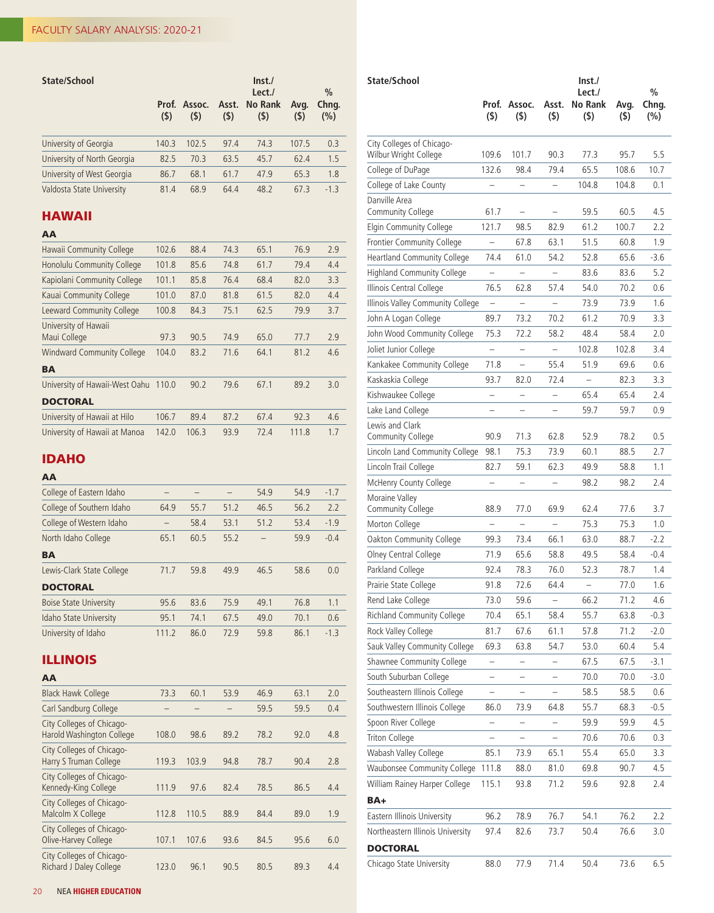| State/School                | (5)   | Prof. Assoc.<br>(5) | $($ \$) | Inst.<br>Lect./<br>Asst. No Rank<br>(5) | Avg.<br>(5) | $\frac{0}{0}$<br>Chng.<br>(%) |
|-----------------------------|-------|---------------------|---------|-----------------------------------------|-------------|-------------------------------|
| University of Georgia       | 140.3 | 102.5               | 97.4    | 74.3                                    | 107.5       | 0.3                           |
| University of North Georgia | 82.5  | 70.3                | 63.5    | 45.7                                    | 62.4        | 1.5                           |
| University of West Georgia  | 86.7  | 68.1                | 61.7    | 47.9                                    | 65.3        | 1.8                           |
| Valdosta State University   | 81.4  | 68.9                | 64.4    | 48.2                                    | 67.3        | $-1.3$                        |

## HAWAII

#### AA

| Hawaii Community College             | 102.6 | 88.4  | 74.3 | 65.1 | 76.9  | 2.9 |
|--------------------------------------|-------|-------|------|------|-------|-----|
| Honolulu Community College           | 101.8 | 85.6  | 74.8 | 61.7 | 79.4  | 4.4 |
| Kapiolani Community College          | 101.1 | 85.8  | 76.4 | 68.4 | 82.0  | 3.3 |
| Kauai Community College              | 101.0 | 87.0  | 81.8 | 61.5 | 82.0  | 4.4 |
| Leeward Community College            | 100.8 | 84.3  | 75.1 | 62.5 | 79.9  | 3.7 |
| University of Hawaii<br>Maui College | 97.3  | 90.5  | 74.9 | 65.0 | 77.7  | 2.9 |
| <b>Windward Community College</b>    | 104.0 | 83.2  | 71.6 | 64.1 | 81.2  | 4.6 |
| <b>BA</b>                            |       |       |      |      |       |     |
| University of Hawaii-West Oahu       | 110.0 | 90.2  | 79.6 | 67.1 | 89.2  | 3.0 |
| <b>DOCTORAL</b>                      |       |       |      |      |       |     |
| University of Hawaii at Hilo         | 106.7 | 89.4  | 87.2 | 67.4 | 92.3  | 4.6 |
| University of Hawaii at Manoa        | 142.0 | 106.3 | 93.9 | 72.4 | 111.8 | 1.7 |

## IDAHO

## AA

| College of Eastern Idaho      |       |      |      | 54.9 | 54.9 | $-1.7$ |
|-------------------------------|-------|------|------|------|------|--------|
| College of Southern Idaho     | 64.9  | 55.7 | 51.2 | 46.5 | 56.2 | 2.2    |
| College of Western Idaho      |       | 58.4 | 53.1 | 51.2 | 53.4 | $-1.9$ |
| North Idaho College           | 65.1  | 60.5 | 55.2 |      | 59.9 | $-0.4$ |
| BA                            |       |      |      |      |      |        |
| Lewis-Clark State College     | 71.7  | 59.8 | 49.9 | 46.5 | 58.6 | 0.0    |
| <b>DOCTORAL</b>               |       |      |      |      |      |        |
| <b>Boise State University</b> | 95.6  | 83.6 | 75.9 | 49.1 | 76.8 | 1.1    |
| Idaho State University        | 95.1  | 74.1 | 67.5 | 49.0 | 70.1 | 0.6    |
| University of Idaho           | 111.2 | 86.0 | 72.9 | 59.8 | 86.1 | $-1.3$ |

## ILLINOIS

| <b>Black Hawk College</b>                              | 73.3  | 60.1  | 53.9 | 46.9 | 63.1 | 2.0 |
|--------------------------------------------------------|-------|-------|------|------|------|-----|
| Carl Sandburg College                                  |       |       |      | 59.5 | 59.5 | 0.4 |
| City Colleges of Chicago-<br>Harold Washington College | 108.0 | 98.6  | 89.2 | 78.2 | 92.0 | 4.8 |
| City Colleges of Chicago-<br>Harry S Truman College    | 119.3 | 103.9 | 94.8 | 78.7 | 90.4 | 2.8 |
| City Colleges of Chicago-<br>Kennedy-King College      | 111.9 | 97.6  | 82.4 | 78.5 | 86.5 | 4.4 |
| City Colleges of Chicago-<br>Malcolm X College         | 112.8 | 110.5 | 88.9 | 84.4 | 89.0 | 1.9 |
| City Colleges of Chicago-<br>Olive-Harvey College      | 107.1 | 107.6 | 93.6 | 84.5 | 95.6 | 6.0 |
| City Colleges of Chicago-<br>Richard J Daley College   | 123.0 | 96.1  | 90.5 | 80.5 | 89.3 | 4.4 |

| State/School                                       |                          |                          |                          | $\mathsf{Inst}$<br>Lect./ |                 | $\frac{0}{0}$    |
|----------------------------------------------------|--------------------------|--------------------------|--------------------------|---------------------------|-----------------|------------------|
|                                                    | Prof.<br>$($ \$)         | Assoc.<br>$($ \$)        | Asst.<br>$($ \$)         | No Rank<br>$($ \$)        | Avg.<br>$($ \$) | Chng.<br>$(\% )$ |
| City Colleges of Chicago-<br>Wilbur Wright College | 109.6                    | 101.7                    | 90.3                     | 77.3                      | 95.7            | 5.5              |
| College of DuPage                                  | 132.6                    | 98.4                     | 79.4                     | 65.5                      | 108.6           | 10.7             |
| College of Lake County                             |                          |                          |                          | 104.8                     | 104.8           | 0.1              |
| Danville Area                                      |                          |                          |                          |                           |                 |                  |
| Community College                                  | 61.7                     | $\overline{\phantom{0}}$ | $\overline{\phantom{0}}$ | 59.5                      | 60.5            | 4.5              |
| Elgin Community College                            | 121.7                    | 98.5                     | 82.9                     | 61.2                      | 100.7           | 2.2              |
| Frontier Community College                         | $\overline{\phantom{0}}$ | 67.8                     | 63.1                     | 51.5                      | 60.8            | 1.9              |
| Heartland Community College                        | 74.4                     | 61.0                     | 54.2                     | 52.8                      | 65.6            | -3.6             |
| <b>Highland Community College</b>                  |                          |                          |                          | 83.6                      | 83.6            | 5.2              |
| Illinois Central College                           | 76.5                     | 62.8                     | 57.4                     | 54.0                      | 70.2            | 0.6              |
| Illinois Valley Community College                  | -                        |                          | $\overline{\phantom{0}}$ | 73.9                      | 73.9            | 1.6              |
| John A Logan College                               | 89.7                     | 73.2                     | 70.2                     | 61.2                      | 70.9            | 3.3              |
| John Wood Community College                        | 75.3                     | 72.2                     | 58.2                     | 48.4                      | 58.4            | 2.0              |
| Joliet Junior College                              |                          |                          |                          | 102.8                     | 102.8           | 3.4              |
| Kankakee Community College                         | 71.8                     |                          | 55.4                     | 51.9                      | 69.6            | 0.6              |
| Kaskaskia College                                  | 93.7                     | 82.0                     | 72.4                     | $\overline{\phantom{0}}$  | 82.3            | 3.3              |
| Kishwaukee College                                 | -                        | -                        | -                        | 65.4                      | 65.4            | 2.4              |
| Lake Land College                                  | $\overline{\phantom{0}}$ |                          | $\overline{\phantom{0}}$ | 59.7                      | 59.7            | 0.9              |
| Lewis and Clark<br>Community College               | 90.9                     | 71.3                     | 62.8                     | 52.9                      | 78.2            | 0.5              |
| Lincoln Land Community College                     | 98.1                     | 75.3                     | 73.9                     | 60.1                      | 88.5            | 2.7              |
| Lincoln Trail College                              | 82.7                     | 59.1                     | 62.3                     | 49.9                      | 58.8            | 1.1              |
| McHenry County College                             |                          |                          |                          | 98.2                      | 98.2            | 2.4              |
| Moraine Valley<br>Community College                | 88.9                     | 77.0                     | 69.9                     | 62.4                      | 77.6            | 3.7              |
| Morton College                                     |                          |                          |                          | 75.3                      | 75.3            | 1.0              |
| Oakton Community College                           | 99.3                     | 73.4                     | 66.1                     | 63.0                      | 88.7            | -2.2             |
| Olney Central College                              | 71.9                     | 65.6                     | 58.8                     | 49.5                      | 58.4            | $-0.4$           |
| Parkland College                                   | 92.4                     | 78.3                     | 76.0                     | 52.3                      | 78.7            | 1.4              |
| Prairie State College                              | 91.8                     | 72.6                     | 64.4                     | $\overline{\phantom{0}}$  | 77.0            | 1.6              |
| Rend Lake College                                  | 73.0                     | 59.6                     |                          | 66.2                      | 71.2            | 4.6              |
| <b>Richland Community College</b>                  | 70.4                     | 65.1                     | 58.4                     | 55.7                      | 63.8            | $-0.3$           |
| Rock Valley College                                | 81.7                     | 67.6                     | 61.1                     | 57.8                      | 71.2            | $-2.0$           |
| Sauk Valley Community College                      | 69.3                     | 63.8                     | 54.7                     | 53.0                      | 60.4            | 5.4              |
| Shawnee Community College                          | -                        | -                        |                          | 67.5                      | 67.5            | $-3.1$           |
| South Suburban College                             |                          |                          |                          | 70.0                      | 70.0            | $-3.0$           |
| Southeastern Illinois College                      |                          |                          |                          | 58.5                      | 58.5            | 0.6              |
| Southwestern Illinois College                      | 86.0                     | 73.9                     | 64.8                     | 55.7                      | 68.3            | $-0.5$           |
| Spoon River College                                | $\overline{\phantom{0}}$ | -                        | -                        | 59.9                      | 59.9            | 4.5              |
| Triton College                                     |                          |                          |                          | 70.6                      | 70.6            | 0.3              |
| Wabash Valley College                              | 85.1                     | 73.9                     | 65.1                     | 55.4                      | 65.0            | 3.3              |
| Waubonsee Community College                        | 111.8                    | 88.0                     | 81.0                     | 69.8                      | 90.7            | 4.5              |
| William Rainey Harper College                      | 115.1                    | 93.8                     | 71.2                     | 59.6                      | 92.8            | 2.4              |
| BA+                                                |                          |                          |                          |                           |                 |                  |
| Eastern Illinois University                        | 96.2                     | 78.9                     | 76.7                     | 54.1                      | 76.2            | 2.2              |
| Northeastern Illinois University                   | 97.4                     | 82.6                     | 73.7                     | 50.4                      | 76.6            | 3.0              |
| <b>DOCTORAL</b>                                    |                          |                          |                          |                           |                 |                  |
| Chicago State University                           | 88.0                     | 77.9                     | 71.4                     | 50.4                      | 73.6            | 6.5              |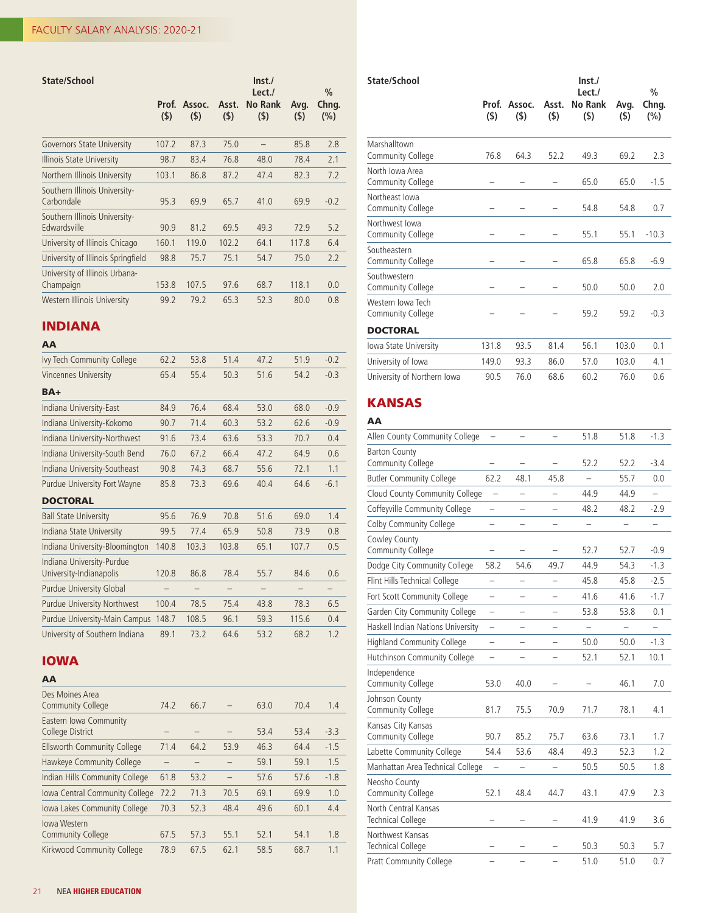| State/School                                  | Prof.<br>(5) | Assoc.<br>(5) | Asst.<br>(5) | $\ln$ st./<br>Lect./<br><b>No Rank</b><br>(5) | Avg.<br>(5) | $\frac{0}{0}$<br>Chng.<br>(%) |
|-----------------------------------------------|--------------|---------------|--------------|-----------------------------------------------|-------------|-------------------------------|
| <b>Governors State University</b>             | 107.2        | 87.3          | 75.0         |                                               | 85.8        | 2.8                           |
| Illinois State University                     | 98.7         | 83.4          | 76.8         | 48.0                                          | 78.4        | 2.1                           |
| Northern Illinois University                  | 103.1        | 86.8          | 87.2         | 47.4                                          | 82.3        | 7.2                           |
| Southern Illinois University-<br>Carbondale   | 95.3         | 69.9          | 65.7         | 41.0                                          | 69.9        | $-0.2$                        |
| Southern Illinois University-<br>Edwardsville | 90.9         | 81.2          | 69.5         | 49.3                                          | 72.9        | 5.2                           |
| University of Illinois Chicago                | 160.1        | 119.0         | 102.2        | 64.1                                          | 117.8       | 6.4                           |
| University of Illinois Springfield            | 98.8         | 75.7          | 75.1         | 54.7                                          | 75.0        | 2.2                           |
| University of Illinois Urbana-<br>Champaign   | 153.8        | 107.5         | 97.6         | 68.7                                          | 118.1       | 0.0                           |
| Western Illinois University                   | 99.2         | 79.2          | 65.3         | 52.3                                          | 80.0        | 0.8                           |

#### INDIANA

#### AA

| Ivy Tech Community College                           | 62.2  | 53.8  | 51.4  | 47.2 | 51.9  | $-0.2$ |
|------------------------------------------------------|-------|-------|-------|------|-------|--------|
| Vincennes University                                 | 65.4  | 55.4  | 50.3  | 51.6 | 54.2  | $-0.3$ |
| BA+                                                  |       |       |       |      |       |        |
| Indiana University-East                              | 84.9  | 76.4  | 68.4  | 53.0 | 68.0  | $-0.9$ |
| Indiana University-Kokomo                            | 90.7  | 71.4  | 60.3  | 53.2 | 62.6  | $-0.9$ |
| Indiana University-Northwest                         | 91.6  | 73.4  | 63.6  | 53.3 | 70.7  | 0.4    |
| Indiana University-South Bend                        | 76.0  | 67.2  | 66.4  | 47.2 | 64.9  | 0.6    |
| Indiana University-Southeast                         | 90.8  | 74.3  | 68.7  | 55.6 | 72.1  | 1.1    |
| Purdue University Fort Wayne                         | 85.8  | 73.3  | 69.6  | 40.4 | 64.6  | $-6.1$ |
| <b>DOCTORAL</b>                                      |       |       |       |      |       |        |
| <b>Ball State University</b>                         | 95.6  | 76.9  | 70.8  | 51.6 | 69.0  | 1.4    |
| Indiana State University                             | 99.5  | 77.4  | 65.9  | 50.8 | 73.9  | 0.8    |
| Indiana University-Bloomington                       | 140.8 | 103.3 | 103.8 | 65.1 | 107.7 | 0.5    |
| Indiana University-Purdue<br>University-Indianapolis | 120.8 | 86.8  | 78.4  | 55.7 | 84.6  | 0.6    |
| Purdue University Global                             |       | -     | -     |      |       |        |
| Purdue University Northwest                          | 100.4 | 78.5  | 75.4  | 43.8 | 78.3  | 6.5    |
| Purdue University-Main Campus                        | 148.7 | 108.5 | 96.1  | 59.3 | 115.6 | 0.4    |
| University of Southern Indiana                       | 89.1  | 73.2  | 64.6  | 53.2 | 68.2  | 1.2    |

## IOWA

#### AA

| Des Moines Area<br><b>Community College</b>     | 74.2 | 66.7 |      | 63.0 | 70.4 | 1.4    |
|-------------------------------------------------|------|------|------|------|------|--------|
| Eastern Iowa Community<br>College District      |      |      |      | 53.4 | 53.4 | $-3.3$ |
| <b>Ellsworth Community College</b>              | 71.4 | 64.2 | 53.9 | 46.3 | 64.4 | $-1.5$ |
| Hawkeye Community College                       |      |      |      | 59.1 | 59.1 | 1.5    |
| Indian Hills Community College                  | 61.8 | 53.2 |      | 57.6 | 57.6 | $-1.8$ |
| Iowa Central Community College                  | 72.2 | 71.3 | 70.5 | 69.1 | 69.9 | 1.0    |
| Iowa Lakes Community College                    | 70.3 | 52.3 | 48.4 | 49.6 | 60.1 | 4.4    |
| <b>lowa Western</b><br><b>Community College</b> | 67.5 | 57.3 | 55.1 | 52.1 | 54.1 | 1.8    |
| Kirkwood Community College                      | 78.9 | 67.5 | 62.1 | 58.5 | 68.7 | 1.1    |

| State/School                           |                  |                   |              | Inst.<br>Lect./           |                 | $\frac{0}{0}$    |
|----------------------------------------|------------------|-------------------|--------------|---------------------------|-----------------|------------------|
|                                        | Prof.<br>$($ \$) | Assoc.<br>$($ \$) | Asst.<br>(5) | <b>No Rank</b><br>$($ \$) | Avg.<br>$($ \$) | Chng.<br>$(\% )$ |
| Marshalltown<br>Community College      | 76.8             | 64.3              | 52.2         | 49.3                      | 69.2            | 2.3              |
| North Iowa Area<br>Community College   |                  |                   |              | 65.0                      | 65.0            | $-1.5$           |
| Northeast Iowa<br>Community College    |                  |                   |              | 54.8                      | 54.8            | 0.7              |
| Northwest Iowa<br>Community College    |                  |                   |              | 55.1                      | 55.1            | $-10.3$          |
| Southeastern<br>Community College      |                  |                   |              | 65.8                      | 65.8            | $-6.9$           |
| Southwestern<br>Community College      |                  |                   |              | 50.0                      | 50.0            | 2.0              |
| Western Iowa Tech<br>Community College |                  |                   |              | 59.2                      | 59.2            | $-0.3$           |
| <b>DOCTORAL</b>                        |                  |                   |              |                           |                 |                  |
| Iowa State University                  | 131.8            | 93.5              | 81.4         | 56.1                      | 103.0           | 0.1              |
| University of Iowa                     | 149.0            | 93.3              | 86.0         | 57.0                      | 103.0           | 4.1              |
| University of Northern Iowa            | 90.5             | 76.0              | 68.6         | 60.2                      | 76.0            | 0.6              |

## KANSAS

## AA Allen County Community College – – – 51.8 51.8 -1.3 Barton County Community College – – – 52.2 52.2 -3.4 Butler Community College 62.2 48.1 45.8 – 55.7 0.0 Cloud County Community College  $-$  44.9  $44.9$   $-$ Coffeyville Community College – – – 48.2 48.2 -2.9 Colby Community College – – – – – – – – Cowley County Community College – – – 52.7 52.7 -0.9 Dodge City Community College 58.2 54.6 49.7 44.9 54.3 -1.3 Flint Hills Technical College  $45.8$   $45.8$   $-2.5$ Fort Scott Community College – – – 41.6 41.6 -1.7 Garden City Community College – – – 53.8 53.8 0.1 Haskell Indian Nations University – – – – – – – – Highland Community College  $-$  50.0 50.0 -1.3 Hutchinson Community College  $-$  52.1 52.1 10.1 Independence Community College 53.0 40.0 – – 46.1 7.0 Johnson County Community College 81.7 75.5 70.9 71.7 78.1 4.1 Kansas City Kansas Community College 90.7 85.2 75.7 63.6 73.1 1.7 Labette Community College 54.4 53.6 48.4 49.3 52.3 1.2 Manhattan Area Technical College – – – 50.5 50.5 1.8 Neosho County Community College 52.1 48.4 44.7 43.1 47.9 2.3 North Central Kansas Technical College – – – 41.9 41.9 3.6 Northwest Kansas Technical College – – – 50.3 50.3 5.7 Pratt Community College – – – – 51.0 51.0 0.7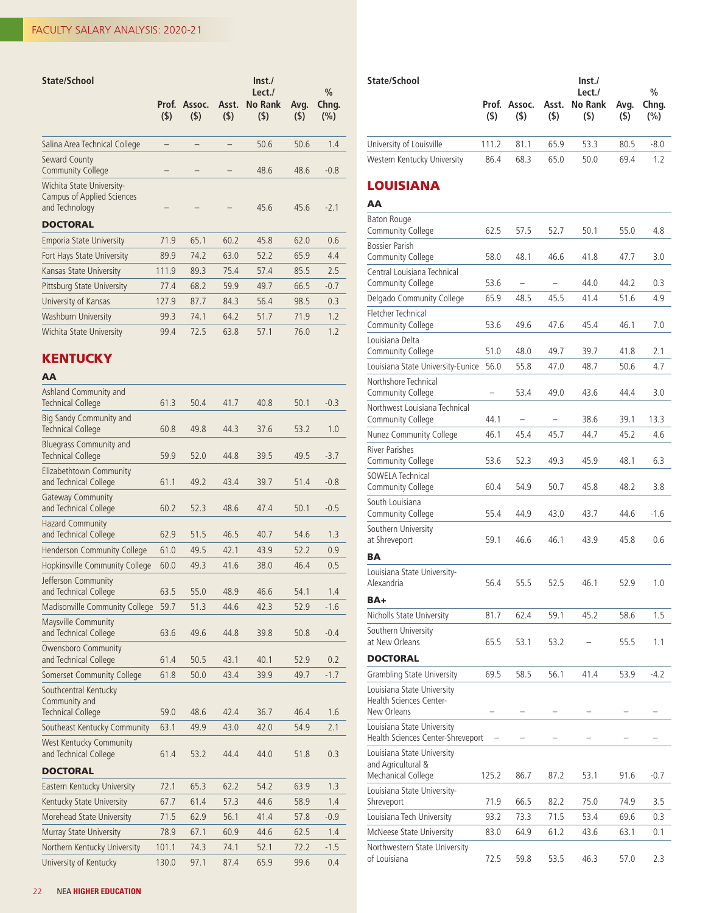| State/School                                                                                 | Inst.        |               |              |                                 |             |                               |  |
|----------------------------------------------------------------------------------------------|--------------|---------------|--------------|---------------------------------|-------------|-------------------------------|--|
|                                                                                              | Prof.<br>(5) | Assoc.<br>(5) | Asst.<br>(5) | Lect./<br><b>No Rank</b><br>(5) | Avg.<br>(5) | $\frac{0}{0}$<br>Chng.<br>(%) |  |
| Salina Area Technical College                                                                |              |               |              | 50.6                            | 50.6        | 1.4                           |  |
| Seward County<br><b>Community College</b>                                                    |              |               |              | 48.6                            | 48.6        | $-0.8$                        |  |
| Wichita State University-<br>Campus of Applied Sciences<br>and Technology<br><b>DOCTORAL</b> |              |               |              | 45.6                            | 45.6        | $-2.1$                        |  |
| <b>Emporia State University</b>                                                              | 71.9         | 65.1          | 60.2         | 45.8                            | 62.0        | 0.6                           |  |
| Fort Hays State University                                                                   | 89.9         | 74.2          | 63.0         | 52.2                            | 65.9        | 4.4                           |  |
| Kansas State University                                                                      | 111.9        | 89.3          | 75.4         | 57.4                            | 85.5        | 2.5                           |  |
| Pittsburg State University                                                                   | 77.4         | 68.2          | 59.9         | 49.7                            | 66.5        | $-0.7$                        |  |
| University of Kansas                                                                         | 127.9        | 87.7          | 84.3         | 56.4                            | 98.5        | 0.3                           |  |
| Washburn University                                                                          | 99.3         | 74.1          | 64.2         | 51.7                            | 71.9        | 1.2                           |  |
| Wichita State University                                                                     | 99.4         | 72.5          | 63.8         | 57.1                            | 76.0        | 1.2                           |  |

## **KENTUCKY**

## AA

| Ashland Community and<br><b>Technical College</b>                  | 61.3  | 50.4 | 41.7 | 40.8 | 50.1 | $-0.3$ |
|--------------------------------------------------------------------|-------|------|------|------|------|--------|
| Big Sandy Community and<br><b>Technical College</b>                | 60.8  | 49.8 | 44.3 | 37.6 | 53.2 | 1.0    |
| <b>Bluegrass Community and</b><br><b>Technical College</b>         | 59.9  | 52.0 | 44.8 | 39.5 | 49.5 | $-3.7$ |
| Elizabethtown Community<br>and Technical College                   | 61.1  | 49.2 | 43.4 | 39.7 | 51.4 | $-0.8$ |
| <b>Gateway Community</b><br>and Technical College                  | 60.2  | 52.3 | 48.6 | 47.4 | 50.1 | $-0.5$ |
| <b>Hazard Community</b><br>and Technical College                   | 62.9  | 51.5 | 46.5 | 40.7 | 54.6 | 1.3    |
| Henderson Community College                                        | 61.0  | 49.5 | 42.1 | 43.9 | 52.2 | 0.9    |
| Hopkinsville Community College                                     | 60.0  | 49.3 | 41.6 | 38.0 | 46.4 | 0.5    |
| Jefferson Community<br>and Technical College                       | 63.5  | 55.0 | 48.9 | 46.6 | 54.1 | 1.4    |
| Madisonville Community College                                     | 59.7  | 51.3 | 44.6 | 42.3 | 52.9 | $-1.6$ |
| Maysville Community<br>and Technical College                       | 63.6  | 49.6 | 44.8 | 39.8 | 50.8 | $-0.4$ |
| Owensboro Community<br>and Technical College                       | 61.4  | 50.5 | 43.1 | 40.1 | 52.9 | 0.2    |
| Somerset Community College                                         | 61.8  | 50.0 | 43.4 | 39.9 | 49.7 | $-1.7$ |
| Southcentral Kentucky<br>Community and<br><b>Technical College</b> | 59.0  | 48.6 | 42.4 | 36.7 | 46.4 | 1.6    |
| Southeast Kentucky Community                                       | 63.1  | 49.9 | 43.0 | 42.0 | 54.9 | 2.1    |
| West Kentucky Community<br>and Technical College                   | 61.4  | 53.2 | 44.4 | 44.0 | 51.8 | 0.3    |
| <b>DOCTORAL</b>                                                    |       |      |      |      |      |        |
| Eastern Kentucky University                                        | 72.1  | 65.3 | 62.2 | 54.2 | 63.9 | 1.3    |
| Kentucky State University                                          | 67.7  | 61.4 | 57.3 | 44.6 | 58.9 | 1.4    |
| Morehead State University                                          | 71.5  | 62.9 | 56.1 | 41.4 | 57.8 | $-0.9$ |
| Murray State University                                            | 78.9  | 67.1 | 60.9 | 44.6 | 62.5 | 1.4    |
| Northern Kentucky University                                       | 101.1 | 74.3 | 74.1 | 52.1 | 72.2 | $-1.5$ |
| University of Kentucky                                             | 130.0 | 97.1 | 87.4 | 65.9 | 99.6 | 0.4    |

|                                                                        | (5)   | Prof. Assoc.<br>(5) | Asst.<br>(5) | Lect./<br>No Rank<br>$($ \$) | Avg.<br>(5) | $\%$<br>Chng.<br>(%) |
|------------------------------------------------------------------------|-------|---------------------|--------------|------------------------------|-------------|----------------------|
| University of Louisville                                               | 111.2 | 81.1                | 65.9         | 53.3                         | 80.5        | $-8.0$               |
| Western Kentucky University                                            | 86.4  | 68.3                | 65.0         | 50.0                         | 69.4        | 1.2                  |
| <b>LOUISIANA</b>                                                       |       |                     |              |                              |             |                      |
| AA                                                                     |       |                     |              |                              |             |                      |
| Baton Rouge<br>Community College                                       | 62.5  | 57.5                | 52.7         | 50.1                         | 55.0        | 4.8                  |
| <b>Bossier Parish</b><br>Community College                             | 58.0  | 48.1                | 46.6         | 41.8                         | 47.7        | 3.0                  |
| Central Louisiana Technical<br>Community College                       | 53.6  |                     |              | 44.0                         | 44.2        | 0.3                  |
| Delgado Community College                                              | 65.9  | 48.5                | 45.5         | 41.4                         | 51.6        | 4.9                  |
| Fletcher Technical<br>Community College                                | 53.6  | 49.6                | 47.6         | 45.4                         | 46.1        | 7.0                  |
| Louisiana Delta<br>Community College                                   | 51.0  | 48.0                | 49.7         | 39.7                         | 41.8        | 2.1                  |
| Louisiana State University-Eunice                                      | 56.0  | 55.8                | 47.0         | 48.7                         | 50.6        | 4.7                  |
| Northshore Technical<br>Community College                              |       | 53.4                | 49.0         | 43.6                         | 44.4        | 3.0                  |
| Northwest Louisiana Technical<br>Community College                     | 44.1  |                     |              | 38.6                         | 39.1        | 13.3                 |
| Nunez Community College                                                | 46.1  | 45.4                | 45.7         | 44.7                         | 45.2        | 4.6                  |
| River Parishes<br>Community College                                    | 53.6  | 52.3                | 49.3         | 45.9                         | 48.1        | 6.3                  |
| SOWELA Technical                                                       |       |                     |              |                              |             |                      |
| Community College                                                      | 60.4  | 54.9                | 50.7         | 45.8                         | 48.2        | 3.8                  |
| South Louisiana<br>Community College                                   | 55.4  | 44.9                | 43.0         | 43.7                         | 44.6        | $-1.6$               |
| Southern University<br>at Shreveport                                   | 59.1  | 46.6                | 46.1         | 43.9                         | 45.8        | 0.6                  |
| <b>BA</b>                                                              |       |                     |              |                              |             |                      |
| Louisiana State University-<br>Alexandria                              | 56.4  | 55.5                | 52.5         | 46.1                         | 52.9        | 1.0                  |
| BA+                                                                    |       |                     |              |                              |             |                      |
| Nicholls State University                                              | 81.7  | 62.4                | 59.1         | 45.2                         | 58.6        | 1.5                  |
| Southern University<br>at New Orleans                                  | 65.5  | 53.1                | 53.2         |                              | 55.5        | 1.1                  |
| <b>DOCTORAL</b>                                                        |       |                     |              |                              |             |                      |
| Grambling State University                                             | 69.5  | 58.5                | 56.1         | 41.4                         | 53.9        | $-4.2$               |
| Louisiana State University<br>Health Sciences Center-<br>New Orleans   |       |                     |              |                              |             |                      |
| Louisiana State University<br>Health Sciences Center-Shreveport        |       |                     |              |                              |             |                      |
| Louisiana State University<br>and Agricultural &<br>Mechanical College | 125.2 | 86.7                | 87.2         | 53.1                         | 91.6        | $-0.7$               |
| Louisiana State University-<br>Shreveport                              | 71.9  | 66.5                | 82.2         | 75.0                         | 74.9        | 3.5                  |
| Louisiana Tech University                                              | 93.2  | 73.3                | 71.5         | 53.4                         | 69.6        | 0.3                  |
| McNeese State University                                               | 83.0  | 64.9                | 61.2         | 43.6                         | 63.1        | 0.1                  |
| Northwestern State University<br>of Louisiana                          | 72.5  | 59.8                | 53.5         | 46.3                         | 57.0        | 2.3                  |

State/School lnst./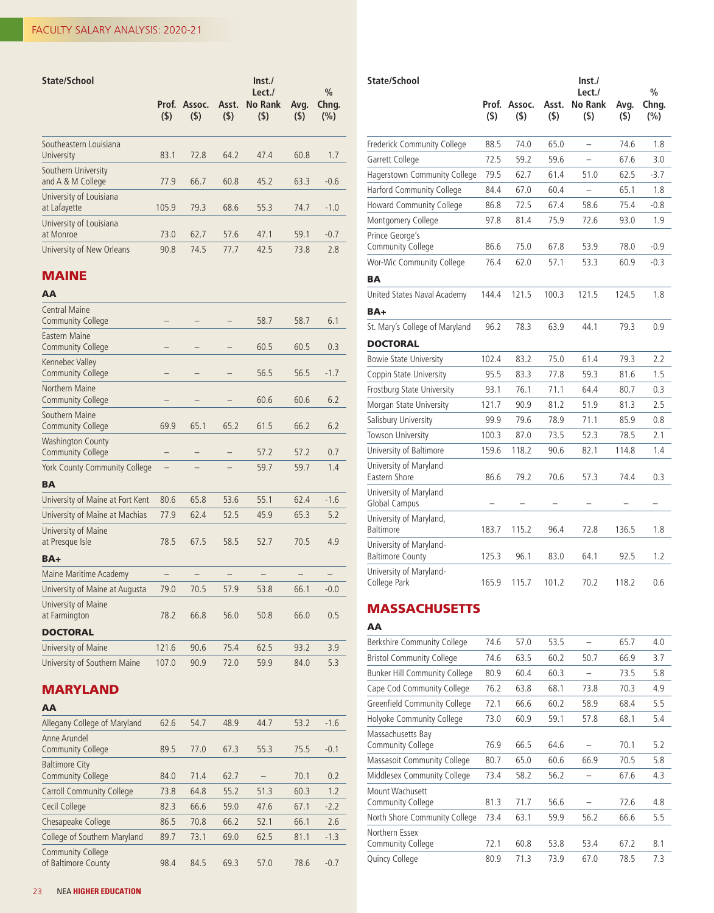| State/School                             | Prof.<br>(5) | Assoc.<br>(5) | Asst.<br>(5) | Inst.<br>Lect./<br><b>No Rank</b><br>(5) | Avg.<br>(5) | $\%$<br>Chng.<br>(%) |
|------------------------------------------|--------------|---------------|--------------|------------------------------------------|-------------|----------------------|
| Southeastern Louisiana<br>University     | 83.1         | 72.8          | 64.2         | 47.4                                     | 60.8        | 1.7                  |
| Southern University<br>and A & M College | 77.9         | 66.7          | 60.8         | 45.2                                     | 63.3        | $-0.6$               |
| University of Louisiana<br>at Lafayette  | 105.9        | 79.3          | 68.6         | 55.3                                     | 74.7        | $-1.0$               |
| University of Louisiana<br>at Monroe     | 73.0         | 62.7          | 57.6         | 47.1                                     | 59.1        | $-0.7$               |
| University of New Orleans                | 90.8         | 74.5          | 77.7         | 42.5                                     | 73.8        | 2.8                  |

## MAINE

| AA                                                   |                   |      |                   |      |      |        |
|------------------------------------------------------|-------------------|------|-------------------|------|------|--------|
| <b>Central Maine</b><br><b>Community College</b>     |                   |      |                   | 58.7 | 58.7 | 6.1    |
| Eastern Maine<br><b>Community College</b>            |                   |      |                   | 60.5 | 60.5 | 0.3    |
| Kennebec Valley<br><b>Community College</b>          |                   |      |                   | 56.5 | 56.5 | $-1.7$ |
| Northern Maine<br><b>Community College</b>           |                   |      |                   | 60.6 | 60.6 | 6.2    |
| Southern Maine<br><b>Community College</b>           | 69.9              | 65.1 | 65.2              | 61.5 | 66.2 | 6.2    |
| <b>Washington County</b><br><b>Community College</b> |                   |      |                   | 57.2 | 57.2 | 0.7    |
| <b>York County Community College</b>                 |                   |      |                   | 59.7 | 59.7 | 1.4    |
| <b>BA</b>                                            |                   |      |                   |      |      |        |
| University of Maine at Fort Kent                     | 80.6              | 65.8 | 53.6              | 55.1 | 62.4 | $-1.6$ |
| University of Maine at Machias                       | 77.9              | 62.4 | 52.5              | 45.9 | 65.3 | 5.2    |
| University of Maine<br>at Presque Isle               | 78.5              | 67.5 | 58.5              | 52.7 | 70.5 | 4.9    |
| BA+                                                  |                   |      |                   |      |      |        |
| Maine Maritime Academy                               | $\qquad \qquad -$ |      | $\qquad \qquad -$ |      |      |        |
| University of Maine at Augusta                       | 79.0              | 70.5 | 57.9              | 53.8 | 66.1 | $-0.0$ |
| University of Maine<br>at Farmington                 | 78.2              | 66.8 | 56.0              | 50.8 | 66.0 | 0.5    |
| <b>DOCTORAL</b>                                      |                   |      |                   |      |      |        |
| University of Maine                                  | 121.6             | 90.6 | 75.4              | 62.5 | 93.2 | 3.9    |
| University of Southern Maine                         | 107.0             | 90.9 | 72.0              | 59.9 | 84.0 | 5.3    |

## MARYLAND

| AA                                                |      |      |      |      |      |        |
|---------------------------------------------------|------|------|------|------|------|--------|
| Allegany College of Maryland                      | 62.6 | 54.7 | 48.9 | 44.7 | 53.2 | $-1.6$ |
| Anne Arundel<br><b>Community College</b>          | 89.5 | 77.0 | 67.3 | 55.3 | 75.5 | $-0.1$ |
| <b>Baltimore City</b><br><b>Community College</b> | 84.0 | 71.4 | 62.7 |      | 70.1 | 0.2    |
| <b>Carroll Community College</b>                  | 73.8 | 64.8 | 55.2 | 51.3 | 60.3 | 1.2    |
| Cecil College                                     | 82.3 | 66.6 | 59.0 | 47.6 | 67.1 | $-2.2$ |
| Chesapeake College                                | 86.5 | 70.8 | 66.2 | 52.1 | 66.1 | 2.6    |
| College of Southern Maryland                      | 89.7 | 73.1 | 69.0 | 62.5 | 81.1 | $-1.3$ |
| <b>Community College</b><br>of Baltimore County   | 98.4 | 84.5 | 69.3 | 57.0 | 78.6 | $-0.7$ |

| State/School                                       |                  |                   |                  | Inst.                        |             |                                   |
|----------------------------------------------------|------------------|-------------------|------------------|------------------------------|-------------|-----------------------------------|
|                                                    | Prof.<br>$($ \$) | Assoc.<br>$($ \$) | Asst.<br>$($ \$) | Lect./<br>No Rank<br>$($ \$) | Avg.<br>(5) | $\frac{0}{0}$<br>Chng.<br>$(\% )$ |
| Frederick Community College                        | 88.5             | 74.0              | 65.0             | $\overline{\phantom{0}}$     | 74.6        | 1.8                               |
| Garrett College                                    | 72.5             | 59.2              | 59.6             | $\overline{\phantom{0}}$     | 67.6        | 3.0                               |
| Hagerstown Community College                       | 79.5             | 62.7              | 61.4             | 51.0                         | 62.5        | $-3.7$                            |
| Harford Community College                          | 84.4             | 67.0              | 60.4             |                              | 65.1        | 1.8                               |
| Howard Community College                           | 86.8             | 72.5              | 67.4             | 58.6                         | 75.4        | $-0.8$                            |
| Montgomery College                                 | 97.8             | 81.4              | 75.9             | 72.6                         | 93.0        | 1.9                               |
| Prince George's<br>Community College               | 86.6             | 75.0              | 67.8             | 53.9                         | 78.0        | $-0.9$                            |
| Wor-Wic Community College                          | 76.4             | 62.0              | 57.1             | 53.3                         | 60.9        | $-0.3$                            |
| <b>BA</b>                                          |                  |                   |                  |                              |             |                                   |
| United States Naval Academy                        | 144.4            | 121.5             | 100.3            | 121.5                        | 124.5       | 1.8                               |
| BA+                                                |                  |                   |                  |                              |             |                                   |
| St. Mary's College of Maryland                     | 96.2             | 78.3              | 63.9             | 44.1                         | 79.3        | 0.9                               |
| <b>DOCTORAL</b>                                    |                  |                   |                  |                              |             |                                   |
| <b>Bowie State University</b>                      | 102.4            | 83.2              | 75.0             | 61.4                         | 79.3        | 2.2                               |
| Coppin State University                            | 95.5             | 83.3              | 77.8             | 59.3                         | 81.6        | 1.5                               |
| Frostburg State University                         | 93.1             | 76.1              | 71.1             | 64.4                         | 80.7        | 0.3                               |
| Morgan State University                            | 121.7            | 90.9              | 81.2             | 51.9                         | 81.3        | 2.5                               |
| Salisbury University                               | 99.9             | 79.6              | 78.9             | 71.1                         | 85.9        | 0.8                               |
| Towson University                                  | 100.3            | 87.0              | 73.5             | 52.3                         | 78.5        | 2.1                               |
| University of Baltimore                            | 159.6            | 118.2             | 90.6             | 82.1                         | 114.8       | 1.4                               |
| University of Maryland<br>Eastern Shore            | 86.6             | 79.2              | 70.6             | 57.3                         | 74.4        | 0.3                               |
| University of Maryland<br>Global Campus            |                  |                   |                  |                              |             |                                   |
| University of Maryland,<br>Baltimore               | 183.7            | 115.2             | 96.4             | 72.8                         | 136.5       | 1.8                               |
| University of Maryland-<br><b>Baltimore County</b> | 125.3            | 96.1              | 83.0             | 64.1                         | 92.5        | 1.2                               |
| University of Maryland-<br>College Park            | 165.9            | 115.7             | 101.2            | 70.2                         | 118.2       | 0.6                               |

## **MASSACHUSETTS**

| AA                                     |      |      |      |      |      |     |
|----------------------------------------|------|------|------|------|------|-----|
| Berkshire Community College            | 74.6 | 57.0 | 53.5 |      | 65.7 | 4.0 |
| <b>Bristol Community College</b>       | 74.6 | 63.5 | 60.2 | 50.7 | 66.9 | 3.7 |
| <b>Bunker Hill Community College</b>   | 80.9 | 60.4 | 60.3 |      | 73.5 | 5.8 |
| Cape Cod Community College             | 76.2 | 63.8 | 68.1 | 73.8 | 70.3 | 4.9 |
| Greenfield Community College           | 72.1 | 66.6 | 60.2 | 58.9 | 68.4 | 5.5 |
| Holyoke Community College              | 73.0 | 60.9 | 59.1 | 57.8 | 68.1 | 5.4 |
| Massachusetts Bay<br>Community College | 76.9 | 66.5 | 64.6 |      | 70.1 | 5.2 |
| Massasoit Community College            | 80.7 | 65.0 | 60.6 | 66.9 | 70.5 | 5.8 |
| Middlesex Community College            | 73.4 | 58.2 | 56.2 |      | 67.6 | 4.3 |
| Mount Wachusett<br>Community College   | 81.3 | 71.7 | 56.6 |      | 72.6 | 4.8 |
| North Shore Community College          | 73.4 | 63.1 | 59.9 | 56.2 | 66.6 | 5.5 |
| Northern Essex<br>Community College    | 72.1 | 60.8 | 53.8 | 53.4 | 67.2 | 8.1 |
| Quincy College                         | 80.9 | 71.3 | 73.9 | 67.0 | 78.5 | 7.3 |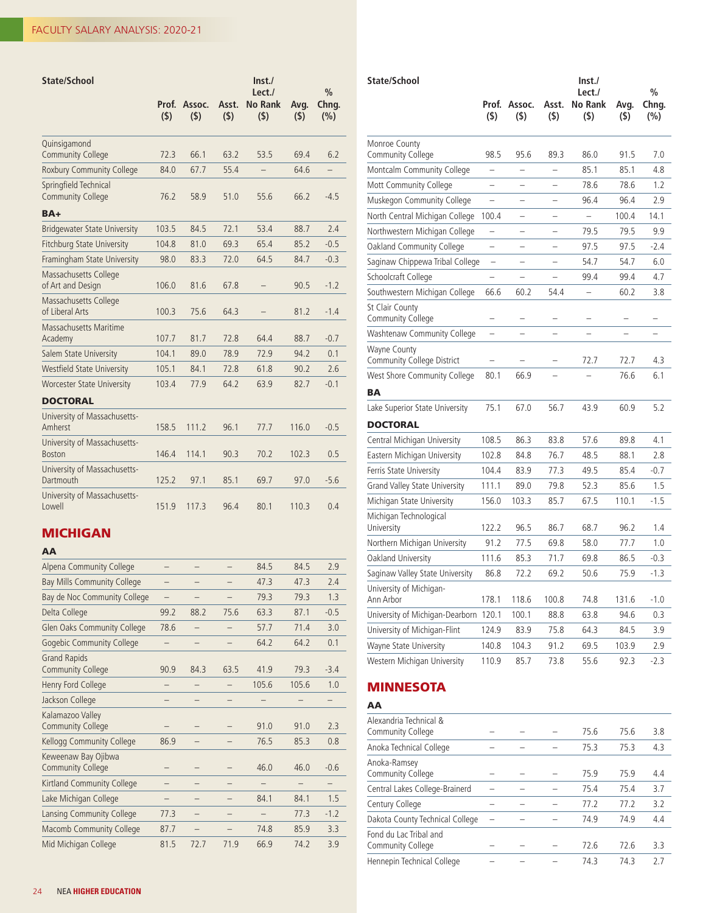| State/School                                      |              |               |              | Inst.<br>Lect./       |             | $\frac{0}{0}$ |
|---------------------------------------------------|--------------|---------------|--------------|-----------------------|-------------|---------------|
|                                                   | Prof.<br>(5) | Assoc.<br>(5) | Asst.<br>(5) | <b>No Rank</b><br>(5) | Avg.<br>(5) | Chng.<br>(%)  |
| Quinsigamond<br><b>Community College</b>          | 72.3         | 66.1          | 63.2         | 53.5                  | 69.4        | 6.2           |
| <b>Roxbury Community College</b>                  | 84.0         | 67.7          | 55.4         |                       | 64.6        |               |
| Springfield Technical<br><b>Community College</b> | 76.2         | 58.9          | 51.0         | 55.6                  | 66.2        | $-4.5$        |
| BA+                                               |              |               |              |                       |             |               |
| <b>Bridgewater State University</b>               | 103.5        | 84.5          | 72.1         | 53.4                  | 88.7        | 2.4           |
| <b>Fitchburg State University</b>                 | 104.8        | 81.0          | 69.3         | 65.4                  | 85.2        | $-0.5$        |
| Framingham State University                       | 98.0         | 83.3          | 72.0         | 64.5                  | 84.7        | $-0.3$        |
| Massachusetts College<br>of Art and Design        | 106.0        | 81.6          | 67.8         |                       | 90.5        | $-1.2$        |
| Massachusetts College<br>of Liberal Arts          | 100.3        | 75.6          | 64.3         |                       | 81.2        | $-1.4$        |
| Massachusetts Maritime<br>Academy                 | 107.7        | 81.7          | 72.8         | 64.4                  | 88.7        | $-0.7$        |
| Salem State University                            | 104.1        | 89.0          | 78.9         | 72.9                  | 94.2        | 0.1           |
| <b>Westfield State University</b>                 | 105.1        | 84.1          | 72.8         | 61.8                  | 90.2        | 2.6           |
| <b>Worcester State University</b>                 | 103.4        | 77.9          | 64.2         | 63.9                  | 82.7        | $-0.1$        |
| <b>DOCTORAL</b>                                   |              |               |              |                       |             |               |
| University of Massachusetts-<br>Amherst           | 158.5        | 111.2         | 96.1         | 77.7                  | 116.0       | $-0.5$        |
| University of Massachusetts-<br><b>Boston</b>     | 146.4        | 114.1         | 90.3         | 70.2                  | 102.3       | 0.5           |
| University of Massachusetts-<br>Dartmouth         | 125.2        | 97.1          | 85.1         | 69.7                  | 97.0        | $-5.6$        |
| University of Massachusetts-<br>Lowell            | 151.9        | 117.3         | 96.4         | 80.1                  | 110.3       | 0.4           |

## MICHIGAN

## AA

| Alpena Community College                        |      |      |      | 84.5  | 84.5  | 2.9    |
|-------------------------------------------------|------|------|------|-------|-------|--------|
| Bay Mills Community College                     |      |      |      | 47.3  | 47.3  | 2.4    |
| Bay de Noc Community College                    |      |      |      | 79.3  | 79.3  | 1.3    |
| Delta College                                   | 99.2 | 88.2 | 75.6 | 63.3  | 87.1  | $-0.5$ |
| <b>Glen Oaks Community College</b>              | 78.6 |      |      | 57.7  | 71.4  | 3.0    |
| <b>Gogebic Community College</b>                |      |      |      | 64.2  | 64.2  | 0.1    |
| <b>Grand Rapids</b><br><b>Community College</b> | 90.9 | 84.3 | 63.5 | 41.9  | 79.3  | $-3.4$ |
| Henry Ford College                              |      |      |      | 105.6 | 105.6 | 1.0    |
| Jackson College                                 |      |      |      |       |       |        |
| Kalamazoo Valley<br><b>Community College</b>    |      |      |      | 91.0  | 91.0  | 2.3    |
| Kellogg Community College                       | 86.9 |      |      | 76.5  | 85.3  | 0.8    |
| Keweenaw Bay Ojibwa<br><b>Community College</b> |      |      |      | 46.0  | 46.0  | $-0.6$ |
| Kirtland Community College                      |      |      |      |       |       |        |
| Lake Michigan College                           |      |      |      | 84.1  | 84.1  | 1.5    |
| Lansing Community College                       | 77.3 |      |      |       | 77.3  | $-1.2$ |
| <b>Macomb Community College</b>                 | 87.7 |      |      | 74.8  | 85.9  | 3.3    |
| Mid Michigan College                            | 81.5 | 72.7 | 71.9 | 66.9  | 74.2  | 3.9    |

| State/School                               | (5)                      | Prof. Assoc.<br>(5)      | Asst.<br>(\$)            | Inst.<br>Lect./<br><b>No Rank</b><br>(\$) | Avg.<br>$($ \$) | $\frac{0}{0}$<br>Chng.<br>$(\% )$ |
|--------------------------------------------|--------------------------|--------------------------|--------------------------|-------------------------------------------|-----------------|-----------------------------------|
| Monroe County<br>Community College         | 98.5                     | 95.6                     | 89.3                     | 86.0                                      | 91.5            | 7.0                               |
| Montcalm Community College                 | -                        | $\overline{\phantom{0}}$ | $\overline{\phantom{0}}$ | 85.1                                      | 85.1            | 4.8                               |
| Mott Community College                     |                          |                          |                          | 78.6                                      | 78.6            | 1.2                               |
| Muskegon Community College                 |                          | $\overline{\phantom{0}}$ | $\overline{\phantom{0}}$ | 96.4                                      | 96.4            | 2.9                               |
| North Central Michigan College             | 100.4                    |                          |                          |                                           | 100.4           | 14.1                              |
| Northwestern Michigan College              |                          | ÷                        | $\overline{\phantom{0}}$ | 79.5                                      | 79.5            | 9.9                               |
| Oakland Community College                  |                          |                          |                          | 97.5                                      | 97.5            | $-2.4$                            |
| Saginaw Chippewa Tribal College            | $\overline{\phantom{0}}$ | $\overline{a}$           | $\overline{\phantom{0}}$ | 54.7                                      | 54.7            | 6.0                               |
| Schoolcraft College                        |                          |                          |                          | 99.4                                      | 99.4            | 4.7                               |
| Southwestern Michigan College              | 66.6                     | 60.2                     | 54.4                     | $\overline{\phantom{0}}$                  | 60.2            | 3.8                               |
| St Clair County<br>Community College       |                          |                          |                          |                                           |                 |                                   |
| Washtenaw Community College                | $\overline{\phantom{0}}$ |                          |                          |                                           |                 |                                   |
| Wayne County<br>Community College District |                          |                          |                          | 72.7                                      | 72.7            | 4.3                               |
| West Shore Community College               | 80.1                     | 66.9                     |                          |                                           | 76.6            | 6.1                               |
| BA                                         |                          |                          |                          |                                           |                 |                                   |
| Lake Superior State University             | 75.1                     | 67.0                     | 56.7                     | 43.9                                      | 60.9            | 5.2                               |
| <b>DOCTORAL</b>                            |                          |                          |                          |                                           |                 |                                   |
| Central Michigan University                | 108.5                    | 86.3                     | 83.8                     | 57.6                                      | 89.8            | 4.1                               |
| Eastern Michigan University                | 102.8                    | 84.8                     | 76.7                     | 48.5                                      | 88.1            | 2.8                               |
| Ferris State University                    | 104.4                    | 83.9                     | 77.3                     | 49.5                                      | 85.4            | $-0.7$                            |
| Grand Valley State University              | 111.1                    | 89.0                     | 79.8                     | 52.3                                      | 85.6            | 1.5                               |
| Michigan State University                  | 156.0                    | 103.3                    | 85.7                     | 67.5                                      | 110.1           | $-1.5$                            |
| Michigan Technological<br>University       | 122.2                    | 96.5                     | 86.7                     | 68.7                                      | 96.2            | 1.4                               |
| Northern Michigan University               | 91.2                     | 77.5                     | 69.8                     | 58.0                                      | 77.7            | 1.0                               |
| Oakland University                         | 111.6                    | 85.3                     | 71.7                     | 69.8                                      | 86.5            | $-0.3$                            |
| Saginaw Valley State University            | 86.8                     | 72.2                     | 69.2                     | 50.6                                      | 75.9            | $-1.3$                            |
| University of Michigan-<br>Ann Arbor       | 178.1                    | 118.6                    | 100.8                    | 74.8                                      | 131.6           | $-1.0$                            |
| University of Michigan-Dearborn            | 120.1                    | 100.1                    | 88.8                     | 63.8                                      | 94.6            | 0.3                               |
| University of Michigan-Flint               | 124.9                    | 83.9                     | 75.8                     | 64.3                                      | 84.5            | 3.9                               |
| Wayne State University                     | 140.8                    | 104.3                    | 91.2                     | 69.5                                      | 103.9           | 2.9                               |
| Western Michigan University                | 110.9                    | 85.7                     | 73.8                     | 55.6                                      | 92.3            | $-2.3$                            |

## MINNESOTA

| PU 1 |
|------|
|------|

| Alexandria Technical &<br>Community College |  | 75.6 | 75.6 | 3.8 |
|---------------------------------------------|--|------|------|-----|
| Anoka Technical College                     |  | 75.3 | 75.3 | 4.3 |
| Anoka-Ramsey<br>Community College           |  | 75.9 | 75.9 | 4.4 |
| Central Lakes College-Brainerd              |  | 75.4 | 75.4 | 3.7 |
| Century College                             |  | 77.2 | 77.2 | 3.2 |
| Dakota County Technical College             |  | 74.9 | 74.9 | 4.4 |
| Fond du Lac Tribal and<br>Community College |  | 72.6 | 72.6 | 3.3 |
| Hennepin Technical College                  |  | 74.3 | 74.3 | 7.7 |
|                                             |  |      |      |     |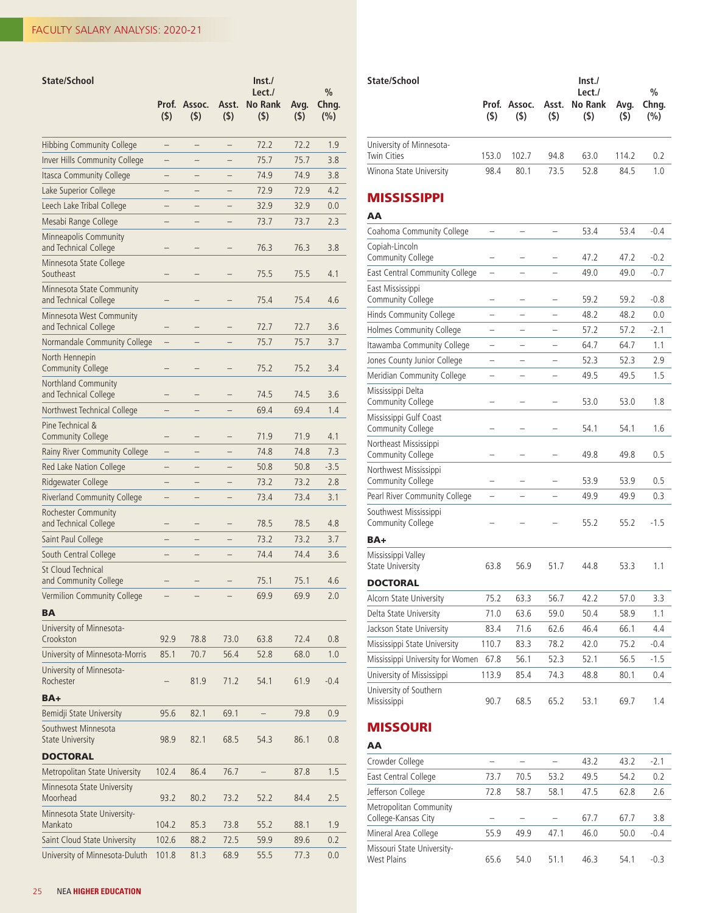| State/School                                       | Prof.<br>(5)      | Assoc.<br>$($ \$) | Asst.<br>(5) | $\mathsf{Inst}$<br>Lect./<br><b>No Rank</b><br>(5) | Avg.<br>(5) | $\frac{0}{0}$<br>Chng.<br>(%) |
|----------------------------------------------------|-------------------|-------------------|--------------|----------------------------------------------------|-------------|-------------------------------|
| <b>Hibbing Community College</b>                   | $\qquad \qquad -$ | —                 | —            | 72.2                                               | 72.2        | 1.9                           |
| Inver Hills Community College                      | ▃                 |                   |              | 75.7                                               | 75.7        | 3.8                           |
| Itasca Community College                           |                   |                   |              | 74.9                                               | 74.9        | 3.8                           |
| Lake Superior College                              |                   |                   |              | 72.9                                               | 72.9        | 4.2                           |
| Leech Lake Tribal College                          |                   |                   |              | 32.9                                               | 32.9        | 0.0                           |
| Mesabi Range College                               |                   |                   |              | 73.7                                               | 73.7        | 2.3                           |
| Minneapolis Community<br>and Technical College     |                   |                   |              | 76.3                                               | 76.3        | 3.8                           |
| Minnesota State College<br>Southeast               |                   |                   |              | 75.5                                               | 75.5        | 4.1                           |
| Minnesota State Community<br>and Technical College |                   |                   |              | 75.4                                               | 75.4        | 4.6                           |
| Minnesota West Community<br>and Technical College  |                   |                   |              | 72.7                                               | 72.7        | 3.6                           |
| Normandale Community College                       |                   |                   |              | 75.7                                               | 75.7        | 3.7                           |
| North Hennepin<br><b>Community College</b>         |                   |                   |              | 75.2                                               | 75.2        | 3.4                           |
| Northland Community<br>and Technical College       |                   |                   |              | 74.5                                               | 74.5        | 3.6                           |
| Northwest Technical College                        |                   |                   |              | 69.4                                               | 69.4        | 1.4                           |
| Pine Technical &<br><b>Community College</b>       |                   |                   |              | 71.9                                               | 71.9        | 4.1                           |
| Rainy River Community College                      |                   |                   |              | 74.8                                               | 74.8        | 7.3                           |
| Red Lake Nation College                            |                   |                   |              | 50.8                                               | 50.8        | $-3.5$                        |
| Ridgewater College                                 | -                 |                   |              | 73.2                                               | 73.2        | 2.8                           |
| <b>Riverland Community College</b>                 |                   |                   |              | 73.4                                               | 73.4        | 3.1                           |
| Rochester Community<br>and Technical College       |                   |                   |              | 78.5                                               | 78.5        | 4.8                           |
| Saint Paul College                                 |                   |                   |              | 73.2                                               | 73.2        | 3.7                           |
| South Central College                              |                   |                   |              | 74.4                                               | 74.4        | 3.6                           |
| <b>St Cloud Technical</b><br>and Community College |                   |                   |              | 75.1                                               | 75.1        | 4.6                           |
| Vermilion Community College                        |                   |                   |              | 69.9                                               | 69.9        | 2.0                           |
| BA                                                 |                   |                   |              |                                                    |             |                               |
| University of Minnesota-<br>Crookston              | 92.9              | 78.8              | 73.0         | 63.8                                               | 72.4        | 0.8                           |
| University of Minnesota-Morris                     | 85.1              | 70.7              | 56.4         | 52.8                                               | 68.0        | 1.0                           |
| University of Minnesota-<br>Rochester              |                   | 81.9              | 71.2         | 54.1                                               | 61.9        | $-0.4$                        |
| BA+                                                |                   |                   |              |                                                    |             |                               |
| Bemidji State University                           | 95.6              | 82.1              | 69.1         |                                                    | 79.8        | 0.9                           |
| Southwest Minnesota<br><b>State University</b>     | 98.9              | 82.1              | 68.5         | 54.3                                               | 86.1        | 0.8                           |
| <b>DOCTORAL</b>                                    |                   |                   |              |                                                    |             |                               |
| Metropolitan State University                      | 102.4             | 86.4              | 76.7         |                                                    | 87.8        | 1.5                           |
| Minnesota State University<br>Moorhead             | 93.2              | 80.2              | 73.2         | 52.2                                               | 84.4        | 2.5                           |
| Minnesota State University-<br>Mankato             | 104.2             | 85.3              | 73.8         | 55.2                                               | 88.1        | 1.9                           |
| Saint Cloud State University                       | 102.6             | 88.2              | 72.5         | 59.9                                               | 89.6        | 0.2                           |
| University of Minnesota-Duluth                     | 101.8             | 81.3              | 68.9         | 55.5                                               | 77.3        | 0.0                           |

| University of Minnesota-<br><b>Twin Cities</b> | 153.0                    | 102.7          | 94.8                     | 63.0 | 114.2 | 0.2    |
|------------------------------------------------|--------------------------|----------------|--------------------------|------|-------|--------|
| Winona State University                        | 98.4                     | 80.1           | 73.5                     | 52.8 | 84.5  | 1.0    |
|                                                |                          |                |                          |      |       |        |
| <b>MISSISSIPPI</b>                             |                          |                |                          |      |       |        |
| AA                                             |                          |                |                          |      |       |        |
| Coahoma Community College                      |                          |                |                          | 53.4 | 53.4  | $-0.4$ |
| Copiah-Lincoln<br>Community College            |                          |                |                          | 47.2 | 47.2  | $-0.2$ |
| East Central Community College                 |                          |                |                          | 49.0 | 49.0  | $-0.7$ |
| East Mississippi<br>Community College          |                          |                |                          | 59.2 | 59.2  | -0.8   |
| Hinds Community College                        |                          |                |                          | 48.2 | 48.2  | 0.0    |
| Holmes Community College                       | $\overline{\phantom{0}}$ | L.             | -                        | 57.2 | 57.2  | $-2.1$ |
| Itawamba Community College                     | -                        | $\overline{a}$ | $\overline{\phantom{0}}$ | 64.7 | 64.7  | 1.1    |
| Jones County Junior College                    | -                        | -              | $\overline{\phantom{0}}$ | 52.3 | 52.3  | 2.9    |
| Meridian Community College                     | $\overline{\phantom{0}}$ |                | $\overline{\phantom{0}}$ | 49.5 | 49.5  | 1.5    |
| Mississippi Delta<br>Community College         |                          |                |                          | 53.0 | 53.0  | 1.8    |
| Mississippi Gulf Coast<br>Community College    |                          |                |                          | 54.1 | 54.1  | 1.6    |
| Northeast Mississippi<br>Community College     |                          |                |                          | 49.8 | 49.8  | 0.5    |
| Northwest Mississippi<br>Community College     |                          |                |                          | 53.9 | 53.9  | 0.5    |
| Pearl River Community College                  |                          |                |                          | 49.9 | 49.9  | 0.3    |
| Southwest Mississippi<br>Community College     |                          |                |                          | 55.2 | 55.2  | $-1.5$ |
| BA+                                            |                          |                |                          |      |       |        |
| Mississippi Valley<br><b>State University</b>  | 63.8                     | 56.9           | 51.7                     | 44.8 | 53.3  | 1.1    |
| <b>DOCTORAL</b>                                |                          |                |                          |      |       |        |
| Alcorn State University                        | 75.2                     | 63.3           | 56.7                     | 42.2 | 57.0  | 3.3    |
| Delta State University                         | 71.0                     | 63.6           | 59.0                     | 50.4 | 58.9  | 1.1    |
| Jackson State University                       | 83.4                     | 71.6           | 62.6                     | 46.4 | 66.1  | 4.4    |
| Mississippi State University                   | 110.7                    | 83.3           | 78.2                     | 42.0 | 75.2  | -0.4   |
| Mississippi University for Women               | 67.8                     | 56.1           | 52.3                     | 52.1 | 56.5  | -1.5   |
| University of Mississippi                      | 113.9                    | 85.4           | 74.3                     | 48.8 | 80.1  | 0.4    |
| University of Southern<br>Mississippi          | 90.7                     | 68.5           | 65.2                     | 53.1 | 69.7  | 1.4    |
| <b>MISSOURI</b>                                |                          |                |                          |      |       |        |
| AA                                             |                          |                |                          |      |       |        |
| Crowder College                                |                          |                |                          | 43.2 | 43.2  | $-2.1$ |

**State/School Inst./**

 **Lect./ % Prof. Assoc. Asst. No Rank Avg. Chng. (\$) (\$) (\$) (\$) (\$) (%)**

| Crowder College                                  |      |      |      | 43.2 | 43.2 | $-2.1$ |
|--------------------------------------------------|------|------|------|------|------|--------|
| East Central College                             | 73.7 | 70.5 | 53.2 | 49.5 | 54.2 | 0.2    |
| Jefferson College                                | 72.8 | 58.7 | 58.1 | 47.5 | 62.8 | 2.6    |
| Metropolitan Community<br>College-Kansas City    |      |      |      | 67.7 | 67.7 | 3.8    |
| Mineral Area College                             | 55.9 | 49.9 | 47.1 | 46.0 | 50.0 | $-0.4$ |
| Missouri State University-<br><b>West Plains</b> | 65.6 | 54.0 | 51.1 | 46.3 | 54.1 | $-0.3$ |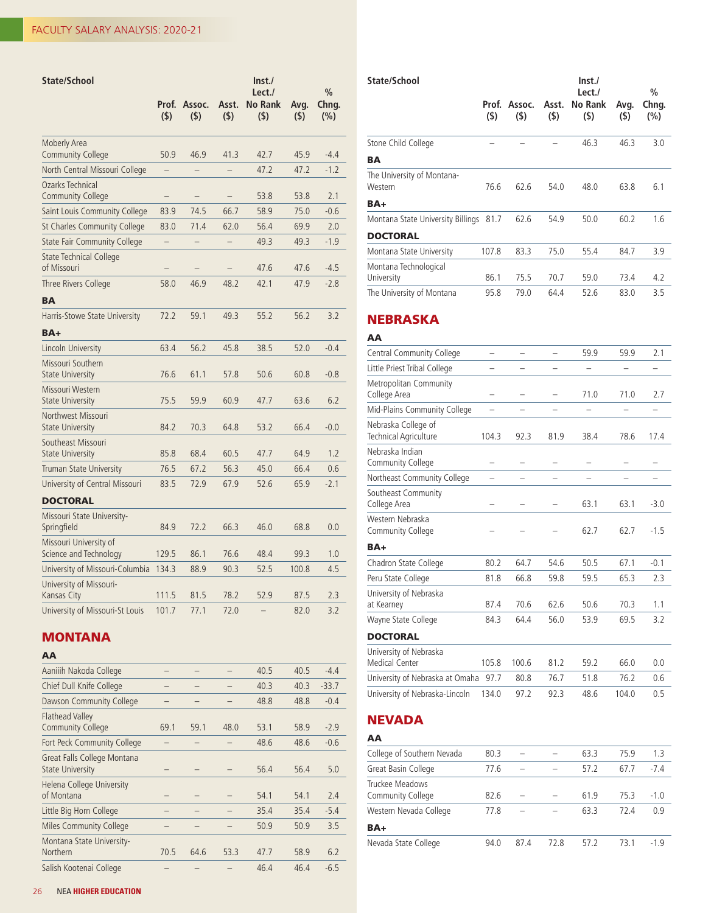| State/School                                     |              |               |              | Inst.<br>Lect./       |             | $\frac{0}{0}$ |
|--------------------------------------------------|--------------|---------------|--------------|-----------------------|-------------|---------------|
|                                                  | Prof.<br>(5) | Assoc.<br>(5) | Asst.<br>(5) | <b>No Rank</b><br>(5) | Avg.<br>(5) | Chng.<br>(%)  |
| <b>Moberly Area</b><br><b>Community College</b>  | 50.9         | 46.9          | 41.3         | 42.7                  | 45.9        | $-4.4$        |
| North Central Missouri College                   |              |               |              | 47.2                  | 47.2        | $-1.2$        |
| Ozarks Technical<br><b>Community College</b>     |              |               |              | 53.8                  | 53.8        | 2.1           |
| Saint Louis Community College                    | 83.9         | 74.5          | 66.7         | 58.9                  | 75.0        | $-0.6$        |
| St Charles Community College                     | 83.0         | 71.4          | 62.0         | 56.4                  | 69.9        | 2.0           |
| State Fair Community College                     |              |               |              | 49.3                  | 49.3        | $-1.9$        |
| State Technical College<br>of Missouri           |              |               |              | 47.6                  | 47.6        | $-4.5$        |
| Three Rivers College                             | 58.0         | 46.9          | 48.2         | 42.1                  | 47.9        | $-2.8$        |
| <b>BA</b>                                        |              |               |              |                       |             |               |
| Harris-Stowe State University                    | 72.2         | 59.1          | 49.3         | 55.2                  | 56.2        | 3.2           |
| BA+                                              |              |               |              |                       |             |               |
| Lincoln University                               | 63.4         | 56.2          | 45.8         | 38.5                  | 52.0        | $-0.4$        |
| Missouri Southern<br><b>State University</b>     | 76.6         | 61.1          | 57.8         | 50.6                  | 60.8        | $-0.8$        |
| Missouri Western<br><b>State University</b>      | 75.5         | 59.9          | 60.9         | 47.7                  | 63.6        | 6.2           |
| Northwest Missouri<br><b>State University</b>    | 84.2         | 70.3          | 64.8         | 53.2                  | 66.4        | $-0.0$        |
| Southeast Missouri<br><b>State University</b>    | 85.8         | 68.4          | 60.5         | 47.7                  | 64.9        | 1.2           |
| <b>Truman State University</b>                   | 76.5         | 67.2          | 56.3         | 45.0                  | 66.4        | 0.6           |
| University of Central Missouri                   | 83.5         | 72.9          | 67.9         | 52.6                  | 65.9        | $-2.1$        |
| <b>DOCTORAL</b>                                  |              |               |              |                       |             |               |
| Missouri State University-<br>Springfield        | 84.9         | 72.2          | 66.3         | 46.0                  | 68.8        | 0.0           |
| Missouri University of<br>Science and Technology | 129.5        | 86.1          | 76.6         | 48.4                  | 99.3        | 1.0           |
| University of Missouri-Columbia                  | 134.3        | 88.9          | 90.3         | 52.5                  | 100.8       | 4.5           |
| University of Missouri-<br>Kansas City           | 111.5        | 81.5          | 78.2         | 52.9                  | 87.5        | 2.3           |
| University of Missouri-St Louis                  | 101.7        | 77.1          | 72.0         |                       | 82.0        | 3.2           |

## **MONTANA**

| AA                                                     |      |      |      |      |      |         |
|--------------------------------------------------------|------|------|------|------|------|---------|
| Aaniiih Nakoda College                                 |      |      |      | 40.5 | 40.5 | $-4.4$  |
| Chief Dull Knife College                               |      |      |      | 40.3 | 40.3 | $-33.7$ |
| Dawson Community College                               |      |      |      | 48.8 | 48.8 | $-0.4$  |
| <b>Flathead Valley</b><br><b>Community College</b>     | 69.1 | 59.1 | 48.0 | 53.1 | 58.9 | $-2.9$  |
| Fort Peck Community College                            |      |      |      | 48.6 | 48.6 | $-0.6$  |
| Great Falls College Montana<br><b>State University</b> |      |      |      | 56.4 | 56.4 | 5.0     |
| Helena College University<br>of Montana                |      |      |      | 54.1 | 54.1 | 2.4     |
| Little Big Horn College                                |      |      |      | 35.4 | 35.4 | $-5.4$  |
| Miles Community College                                |      |      |      | 50.9 | 50.9 | 3.5     |
| Montana State University-<br>Northern                  | 70.5 | 64.6 | 53.3 | 47.7 | 58.9 | 6.2     |
| Salish Kootenai College                                |      |      |      | 46.4 | 46.4 | $-6.5$  |

| State/School                                 | $($ \$) | Prof. Assoc.<br>(5) | Asst.<br>(5) | Inst.<br>Lect./<br>No Rank<br>(5) | Avg.<br>(5) | %<br>Chng.<br>(%) |
|----------------------------------------------|---------|---------------------|--------------|-----------------------------------|-------------|-------------------|
| Stone Child College                          |         |                     |              | 46.3                              | 46.3        | 3.0               |
| BA                                           |         |                     |              |                                   |             |                   |
| The University of Montana-<br>Western<br>BA+ | 76.6    | 62.6                | 54.0         | 48.0                              | 63.8        | 6.1               |
| Montana State University Billings 81.7       |         | 62.6                | 54.9         | 50.0                              | 60.2        | 1.6               |
| <b>DOCTORAL</b>                              |         |                     |              |                                   |             |                   |
| Montana State University                     | 107.8   | 83.3                | 75.0         | 55.4                              | 84.7        | 3.9               |
| Montana Technological<br>University          | 86.1    | 75.5                | 70.7         | 59.0                              | 73.4        | 4.2               |
| The University of Montana                    | 95.8    | 79.0                | 64.4         | 52.6                              | 83.0        | 3.5               |

#### NEBRASKA

## AA Central Community College  $\qquad \qquad \qquad -$  59.9 59.9 2.1 Little Priest Tribal College – – – – – – – – Metropolitan Community College Area – – – 71.0 71.0 2.7 Mid-Plains Community College – – – – – – – – Nebraska College of Technical Agriculture 104.3 92.3 81.9 38.4 78.6 17.4 Nebraska Indian Community College – – – – – – Northeast Community College – – – – – – – – Southeast Community College Area – – – 63.1 63.1 -3.0 Western Nebraska Community College – – – 62.7 62.7 -1.5 BA+ Chadron State College 80.2 64.7 54.6 50.5 67.1 -0.1 Peru State College 81.8 66.8 59.8 59.5 65.3 2.3 University of Nebraska at Kearney 87.4 70.6 62.6 50.6 70.3 1.1 Wayne State College 84.3 64.4 56.0 53.9 69.5 3.2 **DOCTORAL** University of Nebraska Medical Center 105.8 100.6 81.2 59.2 66.0 0.0 University of Nebraska at Omaha 97.7 80.8 76.7 51.8 76.2 0.6 University of Nebraska-Lincoln 134.0 97.2 92.3 48.6 104.0 0.5

## NEVADA

| AA                                   |      |      |      |      |      |        |
|--------------------------------------|------|------|------|------|------|--------|
| College of Southern Nevada           | 80.3 |      |      | 63.3 | 75.9 | 1.3    |
| Great Basin College                  | 77.6 |      |      | 57.2 | 67.7 | $-7.4$ |
| Truckee Meadows<br>Community College | 82.6 |      |      | 61.9 | 75.3 | $-1.0$ |
| Western Nevada College               | 77.8 |      |      | 63.3 | 72.4 | 0.9    |
| BA+                                  |      |      |      |      |      |        |
| Nevada State College                 | 94.0 | 87.4 | 72.8 | 57.2 | 73.1 | $-1.9$ |
|                                      |      |      |      |      |      |        |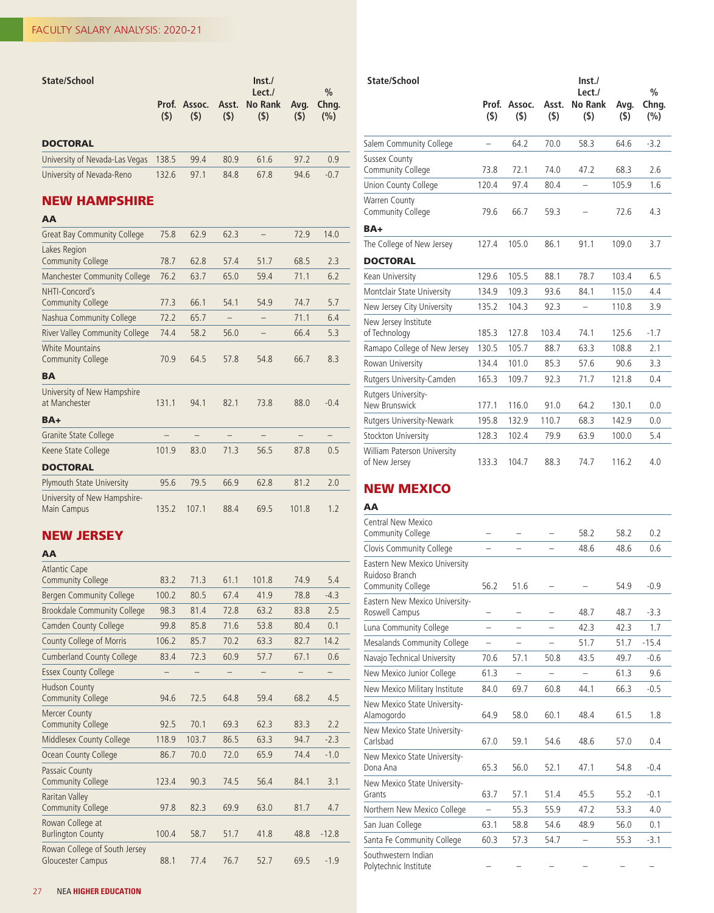| State/School                                       |                          |               |              | $\mathsf{Inst}./$<br>Lect./ |             | $\frac{0}{0}$            |  |  |  |
|----------------------------------------------------|--------------------------|---------------|--------------|-----------------------------|-------------|--------------------------|--|--|--|
|                                                    | Prof.<br>(5)             | Assoc.<br>(5) | Asst.<br>(5) | <b>No Rank</b><br>(5)       | Avg.<br>(5) | Chng.<br>(%)             |  |  |  |
| <b>DOCTORAL</b>                                    |                          |               |              |                             |             |                          |  |  |  |
| University of Nevada-Las Vegas                     | 138.5                    | 99.4          | 80.9         | 61.6                        | 97.2        | 0.9                      |  |  |  |
| University of Nevada-Reno                          | 132.6                    | 97.1          | 84.8         | 67.8                        | 94.6        | $-0.7$                   |  |  |  |
| <b>NEW HAMPSHIRE</b>                               |                          |               |              |                             |             |                          |  |  |  |
| AA                                                 |                          |               |              |                             |             |                          |  |  |  |
| <b>Great Bay Community College</b>                 | 75.8                     | 62.9          | 62.3         | $\overline{\phantom{0}}$    | 72.9        | 14.0                     |  |  |  |
| Lakes Region<br><b>Community College</b>           | 78.7                     | 62.8          | 57.4         | 51.7                        | 68.5        | 2.3                      |  |  |  |
| Manchester Community College                       | 76.2                     | 63.7          | 65.0         | 59.4                        | 71.1        | 6.2                      |  |  |  |
| NHTI-Concord's<br><b>Community College</b>         | 77.3                     | 66.1          | 54.1         | 54.9                        | 74.7        | 5.7                      |  |  |  |
| Nashua Community College                           | 72.2                     | 65.7          |              | $\overline{\phantom{0}}$    | 71.1        | 6.4                      |  |  |  |
| <b>River Valley Community College</b>              | 74.4                     | 58.2          | 56.0         |                             | 66.4        | 5.3                      |  |  |  |
| <b>White Mountains</b><br><b>Community College</b> | 70.9                     | 64.5          | 57.8         | 54.8                        | 66.7        | 8.3                      |  |  |  |
| <b>BA</b>                                          |                          |               |              |                             |             |                          |  |  |  |
| University of New Hampshire<br>at Manchester       | 131.1                    | 94.1          | 82.1         | 73.8                        | 88.0        | $-0.4$                   |  |  |  |
| BA+                                                |                          |               |              |                             |             |                          |  |  |  |
| Granite State College                              | $\overline{\phantom{0}}$ | $-$           | $-$          | $\overline{\phantom{0}}$    | $-$         | $\overline{\phantom{0}}$ |  |  |  |
| Keene State College                                | 101.9                    | 83.0          | 71.3         | 56.5                        | 87.8        | 0.5                      |  |  |  |
| <b>DOCTORAL</b>                                    |                          |               |              |                             |             |                          |  |  |  |
| <b>Plymouth State University</b>                   | 95.6                     | 79.5          | 66.9         | 62.8                        | 81.2        | 2.0                      |  |  |  |
| University of New Hampshire-<br>Main Campus        | 135.2                    | 107.1         | 88.4         | 69.5                        | 101.8       | 1.2                      |  |  |  |

# NEW JERSEY

## AA

| <b>Atlantic Cape</b>                                      |       |       |      |       |      |         |
|-----------------------------------------------------------|-------|-------|------|-------|------|---------|
| <b>Community College</b>                                  | 83.2  | 71.3  | 61.1 | 101.8 | 74.9 | 5.4     |
| <b>Bergen Community College</b>                           | 100.2 | 80.5  | 67.4 | 41.9  | 78.8 | $-4.3$  |
| <b>Brookdale Community College</b>                        | 98.3  | 81.4  | 72.8 | 63.2  | 83.8 | 2.5     |
| <b>Camden County College</b>                              | 99.8  | 85.8  | 71.6 | 53.8  | 80.4 | 0.1     |
| County College of Morris                                  | 106.2 | 85.7  | 70.2 | 63.3  | 82.7 | 14.2    |
| <b>Cumberland County College</b>                          | 83.4  | 72.3  | 60.9 | 57.7  | 67.1 | 0.6     |
| <b>Essex County College</b>                               |       |       |      |       |      | -       |
| <b>Hudson County</b><br><b>Community College</b>          | 94.6  | 72.5  | 64.8 | 59.4  | 68.2 | 4.5     |
| <b>Mercer County</b><br><b>Community College</b>          | 92.5  | 70.1  | 69.3 | 62.3  | 83.3 | 2.2     |
| Middlesex County College                                  | 118.9 | 103.7 | 86.5 | 63.3  | 94.7 | $-2.3$  |
| Ocean County College                                      | 86.7  | 70.0  | 72.0 | 65.9  | 74.4 | $-1.0$  |
| Passaic County<br><b>Community College</b>                | 123.4 | 90.3  | 74.5 | 56.4  | 84.1 | 3.1     |
| <b>Raritan Valley</b><br><b>Community College</b>         | 97.8  | 82.3  | 69.9 | 63.0  | 81.7 | 4.7     |
| Rowan College at<br><b>Burlington County</b>              | 100.4 | 58.7  | 51.7 | 41.8  | 48.8 | $-12.8$ |
| Rowan College of South Jersey<br><b>Gloucester Campus</b> | 88.1  | 77.4  | 76.7 | 52.7  | 69.5 | $-1.9$  |

| State/School                                 |                  |               |              | Inst./                   | Lect./      |              |  |
|----------------------------------------------|------------------|---------------|--------------|--------------------------|-------------|--------------|--|
|                                              | Prof.<br>$($ \$) | Assoc.<br>(5) | Asst.<br>(5) | <b>No Rank</b><br>(5)    | Avg.<br>(5) | Chng.<br>(%) |  |
| Salem Community College                      |                  | 64.2          | 70.0         | 58.3                     | 64.6        | $-3.2$       |  |
| <b>Sussex County</b><br>Community College    | 73.8             | 72.1          | 74.0         | 47.2                     | 68.3        | 2.6          |  |
| Union County College                         | 120.4            | 97.4          | 80.4         |                          | 105.9       | 1.6          |  |
| Warren County<br>Community College           | 79.6             | 66.7          | 59.3         |                          | 72.6        | 4.3          |  |
| BA+                                          |                  |               |              |                          |             |              |  |
| The College of New Jersey                    | 127.4            | 105.0         | 86.1         | 91.1                     | 109.0       | 3.7          |  |
| <b>DOCTORAL</b>                              |                  |               |              |                          |             |              |  |
| Kean University                              | 129.6            | 105.5         | 88.1         | 78.7                     | 103.4       | 6.5          |  |
| Montclair State University                   | 134.9            | 109.3         | 93.6         | 84.1                     | 115.0       | 4.4          |  |
| New Jersey City University                   | 135.2            | 104.3         | 92.3         | $\overline{\phantom{a}}$ | 110.8       | 3.9          |  |
| New Jersey Institute<br>of Technology        | 185.3            | 127.8         | 103.4        | 74.1                     | 125.6       | $-1.7$       |  |
| Ramapo College of New Jersey                 | 130.5            | 105.7         | 88.7         | 63.3                     | 108.8       | 2.1          |  |
| Rowan University                             | 134.4            | 101.0         | 85.3         | 57.6                     | 90.6        | 3.3          |  |
| Rutgers University-Camden                    | 165.3            | 109.7         | 92.3         | 71.7                     | 121.8       | 0.4          |  |
| Rutgers University-<br>New Brunswick         | 177.1            | 116.0         | 91.0         | 64.2                     | 130.1       | 0.0          |  |
| Rutgers University-Newark                    | 195.8            | 132.9         | 110.7        | 68.3                     | 142.9       | 0.0          |  |
| Stockton University                          | 128.3            | 102.4         | 79.9         | 63.9                     | 100.0       | 5.4          |  |
| William Paterson University<br>of New Jersey | 133.3            | 104.7         | 88.3         | 74.7                     | 116.2       | 4.0          |  |

## NEW MEXICO

| Central New Mexico<br>Community College                                     |                          |                          |                          | 58.2                     | 58.2 | 0.2     |
|-----------------------------------------------------------------------------|--------------------------|--------------------------|--------------------------|--------------------------|------|---------|
| Clovis Community College                                                    |                          |                          | -                        | 48.6                     | 48.6 | 0.6     |
| Eastern New Mexico University<br>Ruidoso Branch<br><b>Community College</b> | 56.2                     | 51.6                     |                          |                          | 54.9 | $-0.9$  |
| Eastern New Mexico University-<br>Roswell Campus                            | -                        |                          |                          | 48.7                     | 48.7 | $-3.3$  |
| Luna Community College                                                      | $\overline{\phantom{0}}$ | $\overline{\phantom{0}}$ | -                        | 42.3                     | 42.3 | 1.7     |
| Mesalands Community College                                                 |                          |                          |                          | 51.7                     | 51.7 | $-15.4$ |
| Navajo Technical University                                                 | 70.6                     | 57.1                     | 50.8                     | 43.5                     | 49.7 | $-0.6$  |
| New Mexico Junior College                                                   | 61.3                     | $\overline{\phantom{0}}$ | $\overline{\phantom{0}}$ | $\overline{\phantom{0}}$ | 61.3 | 9.6     |
| New Mexico Military Institute                                               | 84.0                     | 69.7                     | 60.8                     | 44.1                     | 66.3 | $-0.5$  |
| New Mexico State University-<br>Alamogordo                                  | 64.9                     | 58.0                     | 60.1                     | 48.4                     | 61.5 | 1.8     |
| New Mexico State University-<br>Carlsbad                                    | 67.0                     | 59.1                     | 54.6                     | 48.6                     | 57.0 | 0.4     |
| New Mexico State University-<br>Dona Ana                                    | 65.3                     | 56.0                     | 52.1                     | 47.1                     | 54.8 | $-0.4$  |
| New Mexico State University-<br>Grants                                      | 63.7                     | 57.1                     | 51.4                     | 45.5                     | 55.2 | $-0.1$  |
| Northern New Mexico College                                                 |                          | 55.3                     | 55.9                     | 47.2                     | 53.3 | 4.0     |
| San Juan College                                                            | 63.1                     | 58.8                     | 54.6                     | 48.9                     | 56.0 | 0.1     |
| Santa Fe Community College                                                  | 60.3                     | 57.3                     | 54.7                     |                          | 55.3 | $-3.1$  |
| Southwestern Indian<br>Polytechnic Institute                                |                          |                          |                          |                          |      |         |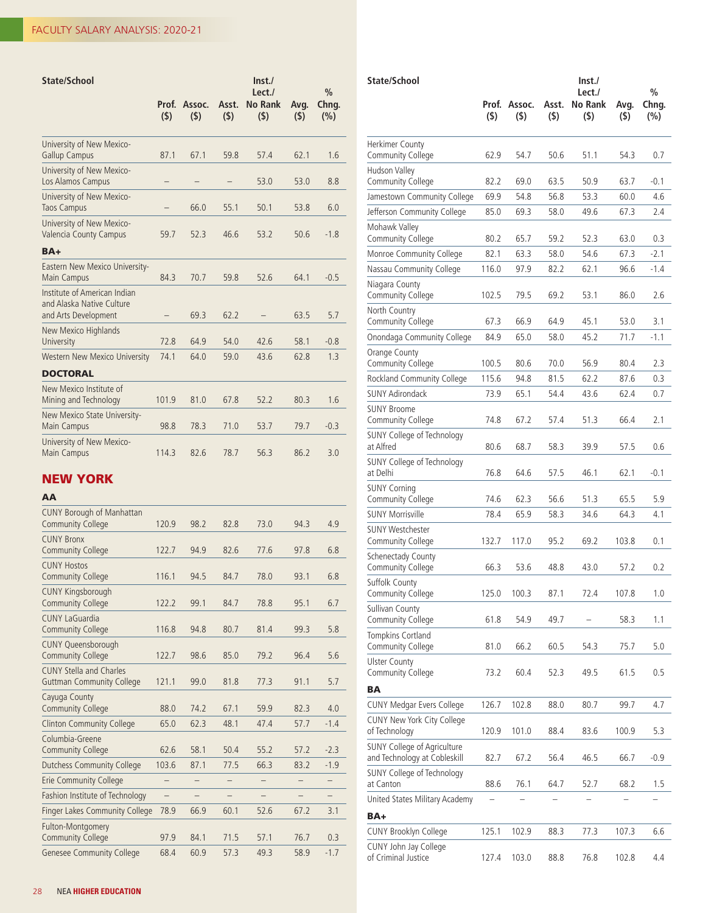| <b>State/School</b>                                                               | Prof.<br>(5) | Assoc.<br>(5) | Asst.<br>(5) | Inst.<br>Lect./<br><b>No Rank</b><br>$($ \$) | Avg.<br>(5) | $\frac{0}{0}$<br>Chng.<br>(%) |
|-----------------------------------------------------------------------------------|--------------|---------------|--------------|----------------------------------------------|-------------|-------------------------------|
| University of New Mexico-<br><b>Gallup Campus</b>                                 | 87.1         | 67.1          | 59.8         | 57.4                                         | 62.1        | 1.6                           |
| University of New Mexico-<br>Los Alamos Campus                                    |              |               |              | 53.0                                         | 53.0        | 8.8                           |
| University of New Mexico-<br><b>Taos Campus</b>                                   |              | 66.0          | 55.1         | 50.1                                         | 53.8        | 6.0                           |
| University of New Mexico-<br>Valencia County Campus                               | 59.7         | 52.3          | 46.6         | 53.2                                         | 50.6        | $-1.8$                        |
| $BA+$                                                                             |              |               |              |                                              |             |                               |
| Eastern New Mexico University-<br>Main Campus                                     | 84.3         | 70.7          | 59.8         | 52.6                                         | 64.1        | $-0.5$                        |
| Institute of American Indian<br>and Alaska Native Culture<br>and Arts Development |              | 69.3          | 62.2         |                                              | 63.5        | 5.7                           |
| New Mexico Highlands<br>University                                                | 72.8         | 64.9          | 54.0         | 42.6                                         | 58.1        | $-0.8$                        |
| Western New Mexico University                                                     | 74.1         | 64.0          | 59.0         | 43.6                                         | 62.8        | 1.3                           |
| <b>DOCTORAL</b>                                                                   |              |               |              |                                              |             |                               |
| New Mexico Institute of<br>Mining and Technology                                  | 101.9        | 81.0          | 67.8         | 52.2                                         | 80.3        | 1.6                           |
| New Mexico State University-<br>Main Campus                                       | 98.8         | 78.3          | 71.0         | 53.7                                         | 79.7        | $-0.3$                        |
| University of New Mexico-<br>Main Campus                                          | 114.3        | 82.6          | 78.7         | 56.3                                         | 86.2        | 3.0                           |

## NEW YORK

| <b>CUNY Borough of Manhattan</b><br><b>Community College</b>       | 120.9                    | 98.2 | 82.8              | 73.0 | 94.3              | 4.9               |
|--------------------------------------------------------------------|--------------------------|------|-------------------|------|-------------------|-------------------|
| <b>CUNY Bronx</b><br><b>Community College</b>                      | 122.7                    | 94.9 | 82.6              | 77.6 | 97.8              | 6.8               |
| <b>CUNY Hostos</b><br><b>Community College</b>                     | 116.1                    | 94.5 | 84.7              | 78.0 | 93.1              | 6.8               |
| <b>CUNY Kingsborough</b><br><b>Community College</b>               | 122.2                    | 99.1 | 84.7              | 78.8 | 95.1              | 6.7               |
| <b>CUNY LaGuardia</b><br><b>Community College</b>                  | 116.8                    | 94.8 | 80.7              | 81.4 | 99.3              | 5.8               |
| <b>CUNY Queensborough</b><br><b>Community College</b>              | 122.7                    | 98.6 | 85.0              | 79.2 | 96.4              | 5.6               |
| <b>CUNY Stella and Charles</b><br><b>Guttman Community College</b> | 121.1                    | 99.0 | 81.8              | 77.3 | 91.1              | 5.7               |
| Cayuga County<br><b>Community College</b>                          | 88.0                     | 74.2 | 67.1              | 59.9 | 82.3              | 4.0               |
| <b>Clinton Community College</b>                                   | 65.0                     | 62.3 | 48.1              | 47.4 | 57.7              | $-1.4$            |
| Columbia-Greene<br><b>Community College</b>                        | 62.6                     | 58.1 | 50.4              | 55.2 | 57.2              | $-2.3$            |
| <b>Dutchess Community College</b>                                  | 103.6                    | 87.1 | 77.5              | 66.3 | 83.2              | $-1.9$            |
| <b>Erie Community College</b>                                      | —                        | -    | $\qquad \qquad -$ |      |                   | $\qquad \qquad -$ |
| Fashion Institute of Technology                                    | $\overline{\phantom{0}}$ | -    | -                 |      | $\qquad \qquad -$ | $\qquad \qquad -$ |
| <b>Finger Lakes Community College</b>                              | 78.9                     | 66.9 | 60.1              | 52.6 | 67.2              | 3.1               |
| Fulton-Montgomery<br><b>Community College</b>                      | 97.9                     | 84.1 | 71.5              | 57.1 | 76.7              | 0.3               |
| <b>Genesee Community College</b>                                   | 68.4                     | 60.9 | 57.3              | 49.3 | 58.9              | $-1.7$            |

| State/School                                                       |              |               |              | Inst.<br>Lect./           |              | %            |
|--------------------------------------------------------------------|--------------|---------------|--------------|---------------------------|--------------|--------------|
|                                                                    | Prof.<br>(5) | Assoc.<br>(5) | Asst.<br>(5) | <b>No Rank</b><br>$($ \$) | Avg.<br>(5)  | Chng.<br>(%) |
| Herkimer County<br>Community College                               | 62.9         | 54.7          | 50.6         | 51.1                      | 54.3         | 0.7          |
| Hudson Valley                                                      |              |               |              |                           |              |              |
| Community College                                                  | 82.2<br>69.9 | 69.0          | 63.5<br>56.8 | 50.9                      | 63.7         | $-0.1$       |
| Jamestown Community College<br>Jefferson Community College         |              | 54.8          |              | 53.3<br>49.6              | 60.0<br>67.3 | 4.6<br>2.4   |
| Mohawk Valley                                                      | 85.0         | 69.3          | 58.0         |                           |              |              |
| Community College                                                  | 80.2         | 65.7          | 59.2         | 52.3                      | 63.0         | 0.3          |
| Monroe Community College                                           | 82.1         | 63.3          | 58.0         | 54.6                      | 67.3         | $-2.1$       |
| Nassau Community College                                           | 116.0        | 97.9          | 82.2         | 62.1                      | 96.6         | $-1.4$       |
| Niagara County<br>Community College                                | 102.5        | 79.5          | 69.2         | 53.1                      | 86.0         | 2.6          |
| North Country<br>Community College                                 | 67.3         | 66.9          | 64.9         | 45.1                      | 53.0         | 3.1          |
| Onondaga Community College                                         | 84.9         | 65.0          | 58.0         | 45.2                      | 71.7         | $-1.1$       |
| Orange County<br>Community College                                 | 100.5        | 80.6          | 70.0         | 56.9                      | 80.4         | 2.3          |
| Rockland Community College                                         | 115.6        | 94.8          | 81.5         | 62.2                      | 87.6         | 0.3          |
| <b>SUNY Adirondack</b>                                             | 73.9         | 65.1          | 54.4         | 43.6                      | 62.4         | 0.7          |
| <b>SUNY Broome</b><br>Community College                            | 74.8         | 67.2          | 57.4         | 51.3                      | 66.4         | 2.1          |
| SUNY College of Technology                                         |              |               |              |                           |              |              |
| at Alfred                                                          | 80.6         | 68.7          | 58.3         | 39.9                      | 57.5         | 0.6          |
| SUNY College of Technology<br>at Delhi                             | 76.8         | 64.6          | 57.5         | 46.1                      | 62.1         | $-0.1$       |
| <b>SUNY Corning</b><br>Community College                           | 74.6         | 62.3          | 56.6         | 51.3                      | 65.5         | 5.9          |
| <b>SUNY Morrisville</b>                                            | 78.4         | 65.9          | 58.3         | 34.6                      | 64.3         | 4.1          |
| <b>SUNY Westchester</b><br>Community College                       | 132.7        | 117.0         | 95.2         | 69.2                      | 103.8        | 0.1          |
| Schenectady County<br>Community College                            | 66.3         | 53.6          | 48.8         | 43.0                      | 57.2         | 0.2          |
| Suffolk County<br>Community College                                | 125.0        | 100.3         | 87.1         | 72.4                      | 107.8        | 1.0          |
| Sullivan County<br>Community College                               | 61.8         | 54.9          | 49.7         |                           | 58.3         | 1.1          |
| Tompkins Cortland<br>Community College                             | 81.0         | 66.2          | 60.5         | 54.3                      | 75.7         | 5.0          |
| <b>Ulster County</b><br>Community College                          | 73.2         | 60.4          | 52.3         | 49.5                      | 61.5         | 0.5          |
| ΒA                                                                 |              |               |              |                           |              |              |
| <b>CUNY Medgar Evers College</b>                                   | 126.7        | 102.8         | 88.0         | 80.7                      | 99.7         | 4.7          |
| CUNY New York City College<br>of Technology                        | 120.9        | 101.0         | 88.4         | 83.6                      | 100.9        | 5.3          |
| <b>SUNY College of Agriculture</b><br>and Technology at Cobleskill | 82.7         | 67.2          | 56.4         | 46.5                      | 66.7         | $-0.9$       |
| SUNY College of Technology<br>at Canton                            | 88.6         | 76.1          | 64.7         | 52.7                      | 68.2         | 1.5          |
| United States Military Academy<br>BA+                              |              |               |              |                           |              |              |
| CUNY Brooklyn College                                              | 125.1        | 102.9         | 88.3         | 77.3                      | 107.3        | 6.6          |
| CUNY John Jay College<br>of Criminal Justice                       | 127.4        | 103.0         | 88.8         | 76.8                      | 102.8        | 4.4          |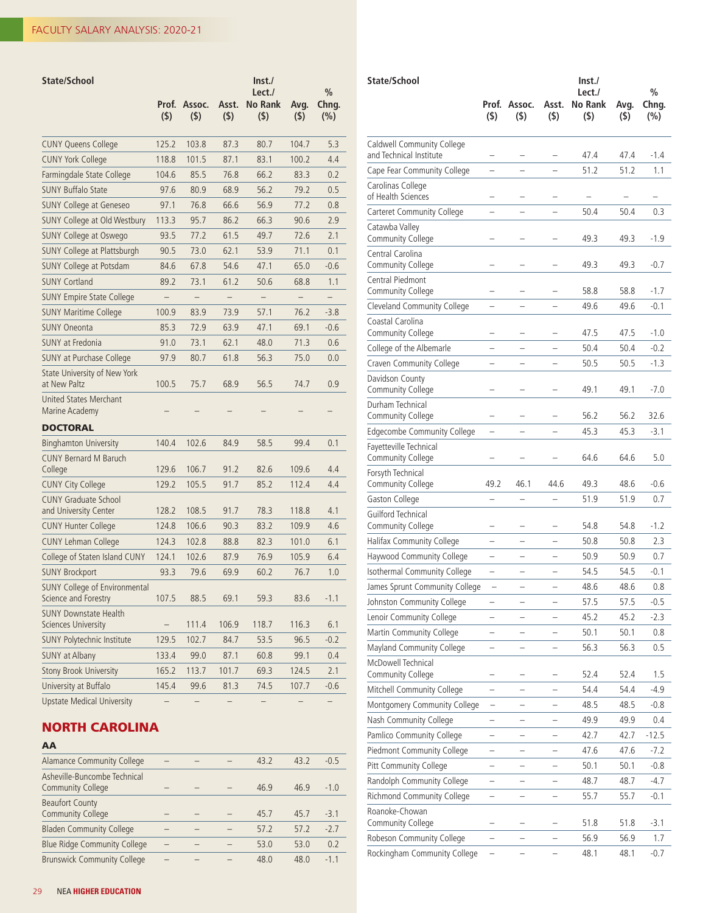| State/School                                                 | Prof.        | Assoc.                   | Asst.        | Inst.<br>Lect./<br><b>No Rank</b> |                          | $\frac{0}{0}$<br>Chng.   |
|--------------------------------------------------------------|--------------|--------------------------|--------------|-----------------------------------|--------------------------|--------------------------|
|                                                              | $($ \$)      | (5)                      | $($ \$)      | (5)                               | Avg.<br>$($ \$)          | $(\% )$                  |
| <b>CUNY Queens College</b>                                   | 125.2        | 103.8                    | 87.3         | 80.7                              | 104.7                    | 5.3                      |
| <b>CUNY York College</b>                                     | 118.8        | 101.5                    | 87.1         | 83.1                              | 100.2                    | 4.4                      |
| Farmingdale State College                                    | 104.6        | 85.5                     | 76.8         | 66.2                              | 83.3                     | 0.2                      |
| <b>SUNY Buffalo State</b>                                    | 97.6         | 80.9                     | 68.9         | 56.2                              | 79.2                     | 0.5                      |
| <b>SUNY College at Geneseo</b>                               | 97.1         | 76.8                     | 66.6         | 56.9                              | 77.2                     | 0.8                      |
| SUNY College at Old Westbury                                 | 113.3        | 95.7                     | 86.2         | 66.3                              | 90.6                     | 2.9                      |
| SUNY College at Oswego                                       | 93.5         | 77.2                     | 61.5         | 49.7                              | 72.6                     | 2.1                      |
| SUNY College at Plattsburgh                                  | 90.5         | 73.0                     | 62.1         | 53.9                              | 71.1                     | 0.1                      |
| SUNY College at Potsdam                                      | 84.6         | 67.8                     | 54.6         | 47.1                              | 65.0                     | $-0.6$                   |
| <b>SUNY Cortland</b>                                         | 89.2         | 73.1                     | 61.2         | 50.6                              | 68.8                     | 1.1                      |
| <b>SUNY Empire State College</b>                             |              | $\qquad \qquad -$        |              |                                   | $\overline{\phantom{0}}$ | -                        |
| <b>SUNY Maritime College</b>                                 | 100.9        | 83.9                     | 73.9         | 57.1                              | 76.2                     | $-3.8$                   |
| <b>SUNY Oneonta</b>                                          | 85.3         | 72.9                     | 63.9         | 47.1                              | 69.1                     | $-0.6$                   |
| <b>SUNY</b> at Fredonia                                      | 91.0         | 73.1                     | 62.1         | 48.0                              | 71.3                     | 0.6                      |
| SUNY at Purchase College                                     | 97.9         | 80.7                     | 61.8         | 56.3                              | 75.0                     | 0.0                      |
| State University of New York<br>at New Paltz                 | 100.5        | 75.7                     | 68.9         | 56.5                              | 74.7                     | 0.9                      |
| <b>United States Merchant</b><br>Marine Academy              |              |                          |              |                                   |                          |                          |
| <b>DOCTORAL</b>                                              |              |                          |              |                                   |                          |                          |
| <b>Binghamton University</b>                                 | 140.4        | 102.6                    | 84.9         | 58.5                              | 99.4                     | 0.1                      |
| <b>CUNY Bernard M Baruch</b><br>College                      | 129.6        | 106.7                    | 91.2         | 82.6                              | 109.6                    | 4.4                      |
| <b>CUNY City College</b>                                     | 129.2        | 105.5                    | 91.7         | 85.2                              | 112.4                    | 4.4                      |
| <b>CUNY Graduate School</b><br>and University Center         | 128.2        | 108.5                    | 91.7         | 78.3                              | 118.8                    | 4.1                      |
| <b>CUNY Hunter College</b>                                   | 124.8        | 106.6                    | 90.3         | 83.2                              | 109.9                    | 4.6                      |
| <b>CUNY Lehman College</b>                                   | 124.3        | 102.8                    | 88.8         | 82.3                              | 101.0                    | 6.1                      |
| College of Staten Island CUNY                                | 124.1        | 102.6                    | 87.9         | 76.9                              | 105.9                    | 6.4                      |
| <b>SUNY Brockport</b>                                        | 93.3         | 79.6                     | 69.9         | 60.2                              | 76.7                     | 1.0                      |
| <b>SUNY College of Environmental</b><br>Science and Forestry | 107.5        | 88.5                     | 69.1         | 59.3                              | 83.6                     | $-1.1$                   |
| <b>SUNY Downstate Health</b><br><b>Sciences University</b>   |              | 111.4                    | 106.9        | 118.7                             | 116.3                    | 6.1                      |
| SUNY Polytechnic Institute                                   | 129.5        | 102.7                    | 84.7         | 53.5                              | 96.5                     | $-0.2$                   |
| <b>SUNY at Albany</b>                                        | 133.4        | 99.0                     | 87.1         | 60.8                              | 99.1                     | 0.4                      |
| Stony Brook University                                       | 165.2        | 113.7                    | 101.7        | 69.3                              | 124.5                    | 2.1                      |
| University at Buffalo                                        | 145.4        | 99.6                     | 81.3         | 74.5                              | 107.7                    | $-0.6$                   |
| <b>Upstate Medical University</b>                            | <sup>-</sup> | $\overline{\phantom{0}}$ | <sup>-</sup> | <sup>-</sup>                      | $\qquad \qquad -$        | $\overline{\phantom{0}}$ |

# NORTH CAROLINA

| Alamance Community College                               |  | 43.2 | 43.2 | $-0.5$ |
|----------------------------------------------------------|--|------|------|--------|
| Asheville-Buncombe Technical<br><b>Community College</b> |  | 46.9 | 46.9 | $-1.0$ |
| <b>Beaufort County</b><br><b>Community College</b>       |  | 45.7 | 45.7 | $-3.1$ |
| <b>Bladen Community College</b>                          |  | 57.2 | 57.2 | $-2.7$ |
| <b>Blue Ridge Community College</b>                      |  | 53.0 | 53.0 | 0.2    |
| <b>Brunswick Community College</b>                       |  | 48.0 | 48.0 | $-1.1$ |

| State/School                                          | Inst.                    |                          |                          |                          |             |                        |  |  |
|-------------------------------------------------------|--------------------------|--------------------------|--------------------------|--------------------------|-------------|------------------------|--|--|
|                                                       | Prof.                    | Assoc.                   | Asst.                    | Lect./<br><b>No Rank</b> |             | $\frac{0}{0}$<br>Chng. |  |  |
|                                                       | $($ \$)                  | (5)                      | $($ \$)                  | $($ \$)                  | Avg.<br>(5) | (%)                    |  |  |
| Caldwell Community College<br>and Technical Institute |                          |                          |                          | 47.4                     | 47.4        | $-1.4$                 |  |  |
| Cape Fear Community College                           | $\overline{\phantom{0}}$ | L.                       | -                        | 51.2                     | 51.2        | 1.1                    |  |  |
| Carolinas College                                     |                          |                          |                          |                          |             |                        |  |  |
| of Health Sciences                                    |                          |                          |                          | -                        |             |                        |  |  |
| Carteret Community College                            |                          | -                        | -                        | 50.4                     | 50.4        | 0.3                    |  |  |
| Catawba Valley<br>Community College                   |                          |                          |                          | 49.3                     | 49.3        | $-1.9$                 |  |  |
| Central Carolina<br>Community College                 |                          |                          | -                        | 49.3                     | 49.3        | $-0.7$                 |  |  |
| Central Piedmont<br>Community College                 |                          |                          |                          | 58.8                     | 58.8        | $-1.7$                 |  |  |
| Cleveland Community College                           |                          |                          |                          | 49.6                     | 49.6        | $-0.1$                 |  |  |
| Coastal Carolina<br>Community College                 |                          |                          |                          | 47.5                     | 47.5        | $-1.0$                 |  |  |
| College of the Albemarle                              |                          |                          |                          | 50.4                     | 50.4        | $-0.2$                 |  |  |
| Craven Community College                              |                          |                          |                          | 50.5                     | 50.5        | $-1.3$                 |  |  |
| Davidson County<br>Community College                  |                          |                          |                          | 49.1                     | 49.1        | $-7.0$                 |  |  |
| Durham Technical<br>Community College                 |                          |                          |                          | 56.2                     | 56.2        | 32.6                   |  |  |
| Edgecombe Community College                           |                          |                          |                          | 45.3                     | 45.3        | $-3.1$                 |  |  |
| Fayetteville Technical<br>Community College           |                          |                          |                          | 64.6                     | 64.6        | 5.0                    |  |  |
| Forsyth Technical<br>Community College                | 49.2                     | 46.1                     | 44.6                     | 49.3                     | 48.6        | $-0.6$                 |  |  |
| Gaston College                                        | $\overline{\phantom{0}}$ | $\overline{\phantom{0}}$ | L.                       | 51.9                     | 51.9        | 0.7                    |  |  |
| <b>Guilford Technical</b><br>Community College        |                          |                          |                          | 54.8                     | 54.8        | $-1.2$                 |  |  |
| Halifax Community College                             | L.                       | -                        | -                        | 50.8                     | 50.8        | 2.3                    |  |  |
| Haywood Community College                             |                          |                          |                          | 50.9                     | 50.9        | 0.7                    |  |  |
| Isothermal Community College                          |                          |                          |                          | 54.5                     | 54.5        | $-0.1$                 |  |  |
| James Sprunt Community College                        | $\overline{\phantom{0}}$ | L.                       | L                        | 48.6                     | 48.6        | 0.8                    |  |  |
| Johnston Community College                            | $\overline{\phantom{0}}$ | $\overline{\phantom{0}}$ | $\overline{\phantom{0}}$ | 57.5                     | 57.5        | -0.5                   |  |  |
| Lenoir Community College                              |                          |                          |                          | 45.2                     | 45.2        | -2.3                   |  |  |
| Martin Community College                              |                          |                          |                          | 50.1                     | 50.1        | 0.8                    |  |  |
| Mayland Community College                             |                          |                          |                          | 56.3                     | 56.3        | 0.5                    |  |  |
| McDowell Technical<br>Community College               | -                        | -                        | $\overline{\phantom{0}}$ | 52.4                     | 52.4        | 1.5                    |  |  |
| Mitchell Community College                            |                          |                          |                          | 54.4                     | 54.4        | -4.9                   |  |  |
| Montgomery Community College                          |                          |                          |                          | 48.5                     | 48.5        | $-0.8$                 |  |  |
| Nash Community College                                | -                        |                          |                          | 49.9                     | 49.9        | 0.4                    |  |  |
| Pamlico Community College                             | -                        | -                        | -                        | 42.7                     | 42.7        | $-12.5$                |  |  |
| Piedmont Community College                            |                          |                          |                          | 47.6                     | 47.6        | $-7.2$                 |  |  |
| Pitt Community College                                |                          |                          |                          | 50.1                     | 50.1        | $-0.8$                 |  |  |
| Randolph Community College                            |                          |                          |                          | 48.7                     | 48.7        | -4.7                   |  |  |
| Richmond Community College                            | -                        | -                        | -                        | 55.7                     | 55.7        | $-0.1$                 |  |  |
| Roanoke-Chowan<br>Community College                   |                          |                          |                          | 51.8                     | 51.8        | $-3.1$                 |  |  |
| Robeson Community College                             |                          |                          |                          | 56.9                     | 56.9        | 1.7                    |  |  |
| Rockingham Community College                          | $\overline{\phantom{0}}$ | $\qquad \qquad -$        | $\overline{\phantom{0}}$ | 48.1                     | 48.1        | $-0.7$                 |  |  |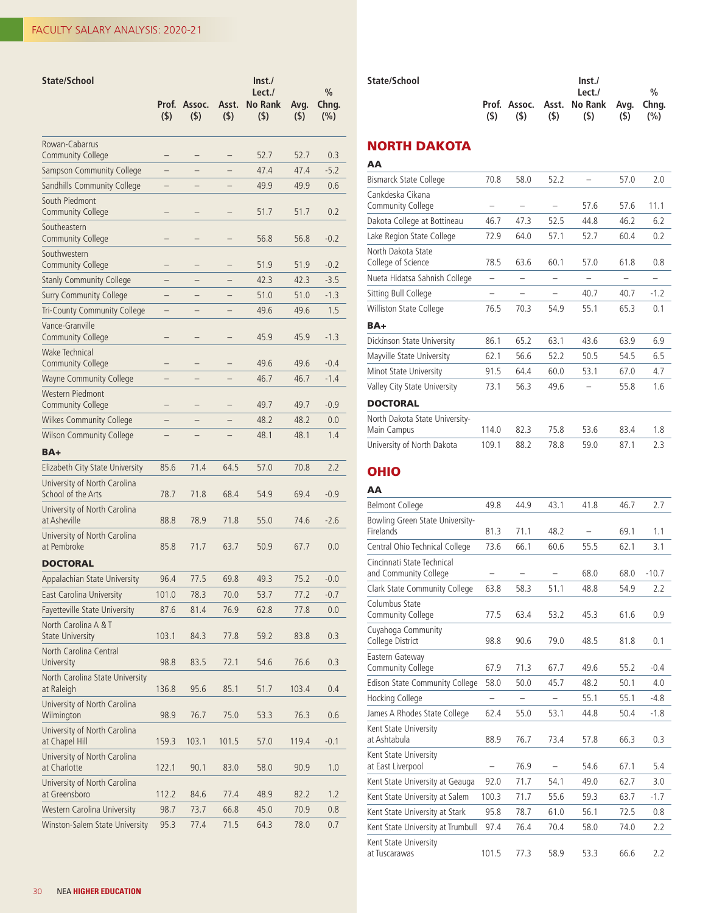| State/School                                        | Prof.<br>$($ \$)         | Assoc.<br>$($ \$) | Asst.<br>$($ \$) | Inst.<br>Lect./<br><b>No Rank</b><br>$($ \$) | Avg.<br>$($ \$) | $\frac{0}{0}$<br>Chng.<br>$(\% )$ |
|-----------------------------------------------------|--------------------------|-------------------|------------------|----------------------------------------------|-----------------|-----------------------------------|
| Rowan-Cabarrus<br><b>Community College</b>          |                          | —                 | -                | 52.7                                         | 52.7            | 0.3                               |
| <b>Sampson Community College</b>                    | $\overline{\phantom{0}}$ |                   |                  | 47.4                                         | 47.4            | $-5.2$                            |
| Sandhills Community College                         |                          |                   |                  | 49.9                                         | 49.9            | 0.6                               |
| South Piedmont<br><b>Community College</b>          |                          | -                 |                  | 51.7                                         | 51.7            | 0.2                               |
| Southeastern<br><b>Community College</b>            |                          | -                 |                  | 56.8                                         | 56.8            | $-0.2$                            |
| Southwestern<br><b>Community College</b>            |                          |                   |                  | 51.9                                         | 51.9            | $-0.2$                            |
| <b>Stanly Community College</b>                     |                          |                   |                  | 42.3                                         | 42.3            | $-3.5$                            |
| <b>Surry Community College</b>                      | $\overline{\phantom{0}}$ |                   |                  | 51.0                                         | 51.0            | $-1.3$                            |
| Tri-County Community College                        | -                        |                   |                  | 49.6                                         | 49.6            | 1.5                               |
| Vance-Granville<br><b>Community College</b>         |                          | —                 |                  | 45.9                                         | 45.9            | $-1.3$                            |
| <b>Wake Technical</b><br><b>Community College</b>   |                          |                   |                  | 49.6                                         | 49.6            | $-0.4$                            |
| <b>Wayne Community College</b>                      |                          |                   |                  | 46.7                                         | 46.7            | $-1.4$                            |
| <b>Western Piedmont</b><br><b>Community College</b> |                          |                   |                  | 49.7                                         | 49.7            | $-0.9$                            |
| <b>Wilkes Community College</b>                     |                          |                   |                  | 48.2                                         | 48.2            | 0.0                               |
| <b>Wilson Community College</b>                     |                          |                   |                  | 48.1                                         | 48.1            | 1.4                               |
| BA+                                                 |                          |                   |                  |                                              |                 |                                   |
| Elizabeth City State University                     | 85.6                     | 71.4              | 64.5             | 57.0                                         | 70.8            | 2.2                               |
| University of North Carolina<br>School of the Arts  | 78.7                     | 71.8              | 68.4             | 54.9                                         | 69.4            | $-0.9$                            |
| University of North Carolina<br>at Asheville        | 88.8                     | 78.9              | 71.8             | 55.0                                         | 74.6            | $-2.6$                            |
| University of North Carolina<br>at Pembroke         | 85.8                     | 71.7              | 63.7             | 50.9                                         | 67.7            | 0.0                               |
| <b>DOCTORAL</b>                                     |                          |                   |                  |                                              |                 |                                   |
| Appalachian State University                        | 96.4                     | 77.5              | 69.8             | 49.3                                         | 75.2            | $-0.0$                            |
| East Carolina University                            | 101.0                    | 78.3              | 70.0             | 53.7                                         | 77.2            | $-0.7$                            |
| Fayetteville State University                       | 87.6                     | 81.4              | 76.9             | 62.8                                         | 77.8            | 0.0                               |
| North Carolina A & T<br><b>State University</b>     | 103.1                    | 84.3              | 77.8             | 59.2                                         | 83.8            | 0.3                               |
| North Carolina Central<br>University                | 98.8                     | 83.5              | 72.1             | 54.6                                         | 76.6            | 0.3                               |
| North Carolina State University<br>at Raleigh       | 136.8                    | 95.6              | 85.1             | 51.7                                         | 103.4           | 0.4                               |
| University of North Carolina<br>Wilmington          | 98.9                     | 76.7              | 75.0             | 53.3                                         | 76.3            | 0.6                               |
| University of North Carolina<br>at Chapel Hill      | 159.3                    | 103.1             | 101.5            | 57.0                                         | 119.4           | $-0.1$                            |
| University of North Carolina<br>at Charlotte        | 122.1                    | 90.1              | 83.0             | 58.0                                         | 90.9            | 1.0                               |
| University of North Carolina<br>at Greensboro       | 112.2                    | 84.6              | 77.4             | 48.9                                         | 82.2            | 1.2                               |
| Western Carolina University                         | 98.7                     | 73.7              | 66.8             | 45.0                                         | 70.9            | 0.8                               |
| Winston-Salem State University                      | 95.3                     | 77.4              | 71.5             | 64.3                                         | 78.0            | 0.7                               |

|     |     |      | Inst. |     |                                              |
|-----|-----|------|-------|-----|----------------------------------------------|
|     |     |      | Let I |     | $\frac{1}{2}$                                |
|     |     |      |       |     |                                              |
| (S) | (S) | (\$) |       | (S) | (% )                                         |
|     |     |      |       |     | Prof. Assoc. Asst. No Rank Avg. Chng.<br>(5) |

## NORTH DAKOTA

AA

| Bismarck State College                        | 70.8  | 58.0 | 52.2                     |      | 57.0 | 2.0    |
|-----------------------------------------------|-------|------|--------------------------|------|------|--------|
| Cankdeska Cikana<br>Community College         |       |      |                          | 57.6 | 57.6 | 11.1   |
| Dakota College at Bottineau                   | 46.7  | 47.3 | 52.5                     | 44.8 | 46.2 | 6.2    |
| Lake Region State College                     | 72.9  | 64.0 | 57.1                     | 52.7 | 60.4 | 0.2    |
| North Dakota State<br>College of Science      | 78.5  | 63.6 | 60.1                     | 57.0 | 61.8 | 0.8    |
| Nueta Hidatsa Sahnish College                 |       |      |                          |      |      |        |
| Sitting Bull College                          |       | -    | $\overline{\phantom{0}}$ | 40.7 | 40.7 | $-1.2$ |
| Williston State College                       | 76.5  | 70.3 | 54.9                     | 55.1 | 65.3 | 0.1    |
| BA+                                           |       |      |                          |      |      |        |
| Dickinson State University                    | 86.1  | 65.2 | 63.1                     | 43.6 | 63.9 | 6.9    |
| Mayville State University                     | 62.1  | 56.6 | 52.2                     | 50.5 | 54.5 | 6.5    |
| Minot State University                        | 91.5  | 64.4 | 60.0                     | 53.1 | 67.0 | 4.7    |
| Valley City State University                  | 73.1  | 56.3 | 49.6                     |      | 55.8 | 1.6    |
| <b>DOCTORAL</b>                               |       |      |                          |      |      |        |
| North Dakota State University-<br>Main Campus | 114.0 | 82.3 | 75.8                     | 53.6 | 83.4 | 1.8    |
| University of North Dakota                    | 109.1 | 88.2 | 78.8                     | 59.0 | 87.1 | 2.3    |

## OHIO

| AΑ                                                  |       |      |      |      |      |         |
|-----------------------------------------------------|-------|------|------|------|------|---------|
| <b>Belmont College</b>                              | 49.8  | 44.9 | 43.1 | 41.8 | 46.7 | 2.7     |
| Bowling Green State University-<br>Firelands        | 81.3  | 71.1 | 48.2 |      | 69.1 | 1.1     |
| Central Ohio Technical College                      | 73.6  | 66.1 | 60.6 | 55.5 | 62.1 | 3.1     |
| Cincinnati State Technical<br>and Community College |       |      |      | 68.0 | 68.0 | $-10.7$ |
| Clark State Community College                       | 63.8  | 58.3 | 51.1 | 48.8 | 54.9 | 2.2     |
| Columbus State<br>Community College                 | 77.5  | 63.4 | 53.2 | 45.3 | 61.6 | 0.9     |
| Cuyahoga Community<br>College District              | 98.8  | 90.6 | 79.0 | 48.5 | 81.8 | 0.1     |
| Eastern Gateway<br>Community College                | 67.9  | 71.3 | 67.7 | 49.6 | 55.2 | $-0.4$  |
| Edison State Community College                      | 58.0  | 50.0 | 45.7 | 48.2 | 50.1 | 4.0     |
| Hocking College                                     | -     | -    | -    | 55.1 | 55.1 | $-4.8$  |
| James A Rhodes State College                        | 62.4  | 55.0 | 53.1 | 44.8 | 50.4 | $-1.8$  |
| Kent State University<br>at Ashtabula               | 88.9  | 76.7 | 73.4 | 57.8 | 66.3 | 0.3     |
| Kent State University<br>at East Liverpool          |       | 76.9 |      | 54.6 | 67.1 | 5.4     |
| Kent State University at Geauga                     | 92.0  | 71.7 | 54.1 | 49.0 | 62.7 | 3.0     |
| Kent State University at Salem                      | 100.3 | 71.7 | 55.6 | 59.3 | 63.7 | $-1.7$  |
| Kent State University at Stark                      | 95.8  | 78.7 | 61.0 | 56.1 | 72.5 | 0.8     |
| Kent State University at Trumbull                   | 97.4  | 76.4 | 70.4 | 58.0 | 74.0 | 2.2     |
| Kent State University<br>at Tuscarawas              | 101.5 | 77.3 | 58.9 | 53.3 | 66.6 | 2.2     |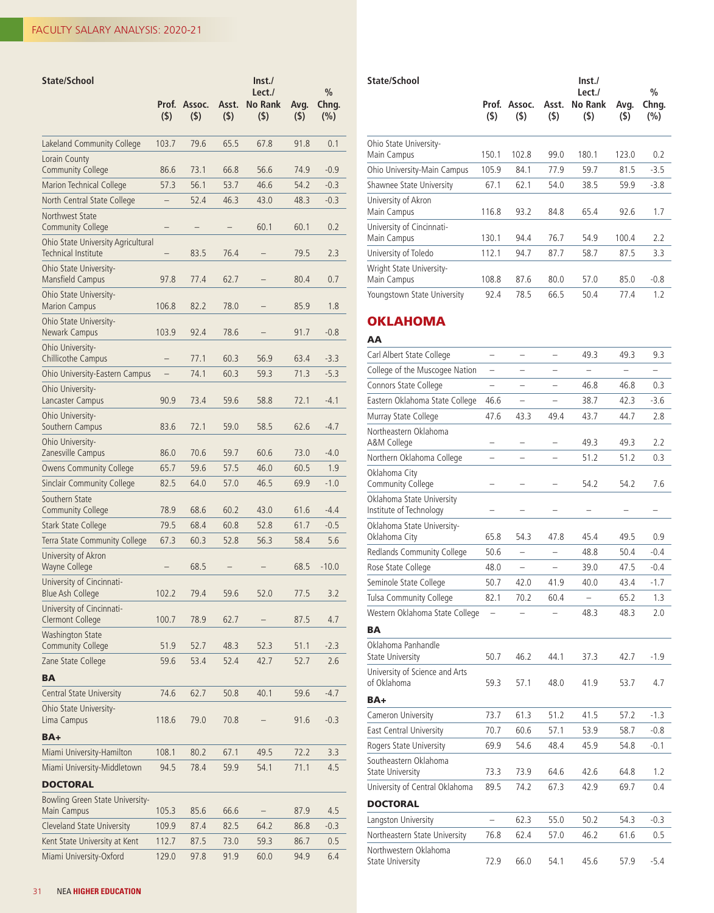| <b>State/School</b>                                                | Prof.<br>(5)             | Assoc.<br>$($ \$) | Asst.<br>(5) | $\ln$ st./<br>Lect./<br><b>No Rank</b><br>(5) | Avg.<br>(5)  | $\frac{0}{0}$<br>Chng.<br>(%) |
|--------------------------------------------------------------------|--------------------------|-------------------|--------------|-----------------------------------------------|--------------|-------------------------------|
| Lakeland Community College                                         | 103.7                    | 79.6              | 65.5         | 67.8                                          | 91.8         | 0.1                           |
| Lorain County                                                      |                          |                   |              |                                               |              |                               |
| <b>Community College</b>                                           | 86.6                     | 73.1              | 66.8         | 56.6                                          | 74.9         | $-0.9$                        |
| Marion Technical College                                           | 57.3                     | 56.1              | 53.7         | 46.6                                          | 54.2         | $-0.3$                        |
| North Central State College                                        |                          | 52.4              | 46.3         | 43.0                                          | 48.3         | $-0.3$                        |
| Northwest State<br><b>Community College</b>                        | $\overline{\phantom{0}}$ |                   |              | 60.1                                          | 60.1         | 0.2                           |
| Ohio State University Agricultural<br><b>Technical Institute</b>   |                          | 83.5              | 76.4         |                                               | 79.5         | 2.3                           |
| Ohio State University-<br>Mansfield Campus                         | 97.8                     | 77.4              | 62.7         |                                               | 80.4         | 0.7                           |
| Ohio State University-<br><b>Marion Campus</b>                     | 106.8                    | 82.2              | 78.0         |                                               | 85.9         | 1.8                           |
| Ohio State University-<br>Newark Campus                            | 103.9                    | 92.4              | 78.6         |                                               | 91.7         | $-0.8$                        |
| Ohio University-<br>Chillicothe Campus                             |                          | 77.1              | 60.3         | 56.9                                          | 63.4         | $-3.3$                        |
| Ohio University-Eastern Campus                                     | $\overline{\phantom{0}}$ | 74.1              | 60.3         | 59.3                                          | 71.3         | $-5.3$                        |
| Ohio University-<br>Lancaster Campus                               | 90.9                     | 73.4              | 59.6         | 58.8                                          | 72.1         | -4.1                          |
| Ohio University-<br>Southern Campus                                | 83.6                     | 72.1              | 59.0         | 58.5                                          | 62.6         | $-4.7$                        |
| Ohio University-<br>Zanesville Campus                              | 86.0                     | 70.6              | 59.7         | 60.6                                          | 73.0         | $-4.0$                        |
| <b>Owens Community College</b>                                     | 65.7                     | 59.6              | 57.5         | 46.0                                          | 60.5         | 1.9                           |
| Sinclair Community College                                         | 82.5                     | 64.0              | 57.0         | 46.5                                          | 69.9         | $-1.0$                        |
| Southern State                                                     |                          |                   |              |                                               |              |                               |
| <b>Community College</b>                                           | 78.9                     | 68.6              | 60.2         | 43.0                                          | 61.6         | $-4.4$                        |
| <b>Stark State College</b>                                         | 79.5                     | 68.4              | 60.8         | 52.8                                          | 61.7         | $-0.5$                        |
| Terra State Community College                                      | 67.3                     | 60.3              | 52.8         | 56.3                                          | 58.4         | 5.6                           |
| University of Akron<br><b>Wayne College</b>                        |                          | 68.5              |              |                                               | 68.5         | $-10.0$                       |
| University of Cincinnati-<br><b>Blue Ash College</b>               | 102.2                    | 79.4              | 59.6         | 52.0                                          | 77.5         | 3.2                           |
| University of Cincinnati-<br><b>Clermont College</b>               | 100.7                    | 78.9              | 62.7         |                                               | 87.5         | 4.7                           |
| <b>Washington State</b><br><b>Community College</b>                | 51.9                     | 52.7              | 48.3         | 52.3                                          | 51.1         | $-2.3$                        |
| Zane State College                                                 | 59.6                     | 53.4              | 52.4         | 42.7                                          | 52.7         | 2.6                           |
| <b>BA</b>                                                          |                          |                   |              |                                               |              |                               |
| Central State University                                           | 74.6                     | 62.7              | 50.8         | 40.1                                          | 59.6         | $-4.7$                        |
| Ohio State University-<br>Lima Campus                              | 118.6                    | 79.0              | 70.8         |                                               | 91.6         | $-0.3$                        |
| BA+                                                                |                          |                   |              |                                               |              |                               |
| Miami University-Hamilton                                          | 108.1                    | 80.2              | 67.1         | 49.5                                          | 72.2         | 3.3                           |
| Miami University-Middletown                                        | 94.5                     | 78.4              | 59.9         | 54.1                                          | 71.1         | 4.5                           |
| <b>DOCTORAL</b>                                                    |                          |                   |              |                                               |              |                               |
| Bowling Green State University-                                    |                          |                   |              |                                               |              |                               |
| Main Campus                                                        | 105.3                    | 85.6              | 66.6         |                                               | 87.9         | 4.5                           |
| <b>Cleveland State University</b><br>Kent State University at Kent | 109.9<br>112.7           | 87.4<br>87.5      | 82.5<br>73.0 | 64.2<br>59.3                                  | 86.8<br>86.7 | $-0.3$<br>0.5                 |
| Miami University-Oxford                                            | 129.0                    | 97.8              | 91.9         | 60.0                                          | 94.9         | 6.4                           |

| State/School                             |              |               |              | Inst.<br>Lect./       |             | %            |
|------------------------------------------|--------------|---------------|--------------|-----------------------|-------------|--------------|
|                                          | Prof.<br>(5) | Assoc.<br>(5) | Asst.<br>(5) | <b>No Rank</b><br>(5) | Avg.<br>(5) | Chng.<br>(%) |
| Ohio State University-<br>Main Campus    | 150.1        | 102.8         | 99.0         | 180.1                 | 123.0       | 0.2          |
| Ohio University-Main Campus              | 105.9        | 84.1          | 77.9         | 59.7                  | 81.5        | $-3.5$       |
| Shawnee State University                 | 67.1         | 62.1          | 54.0         | 38.5                  | 59.9        | $-3.8$       |
| University of Akron<br>Main Campus       | 116.8        | 93.2          | 84.8         | 65.4                  | 92.6        | 1.7          |
| University of Cincinnati-<br>Main Campus | 130.1        | 94.4          | 76.7         | 54.9                  | 100.4       | 2.2          |
| University of Toledo                     | 112.1        | 94.7          | 87.7         | 58.7                  | 87.5        | 3.3          |
| Wright State University-<br>Main Campus  | 108.8        | 87.6          | 80.0         | 57.0                  | 85.0        | $-0.8$       |
| Youngstown State University              | 92.4         | 78.5          | 66.5         | 50.4                  | 77.4        | 1.2          |

## OKLAHOMA

| ΑА                                                   |                          |                          |                          |                          |                          |        |
|------------------------------------------------------|--------------------------|--------------------------|--------------------------|--------------------------|--------------------------|--------|
| Carl Albert State College                            | $\overline{\phantom{0}}$ | $\overline{\phantom{0}}$ | $\overline{\phantom{0}}$ | 49.3                     | 49.3                     | 9.3    |
| College of the Muscogee Nation                       | $\overline{\phantom{0}}$ |                          |                          | $\overline{\phantom{0}}$ | $\overline{\phantom{0}}$ |        |
| Connors State College                                | -                        |                          |                          | 46.8                     | 46.8                     | 0.3    |
| Eastern Oklahoma State College                       | 46.6                     | $\overline{\phantom{0}}$ | $\overline{\phantom{0}}$ | 38.7                     | 42.3                     | $-3.6$ |
| Murray State College                                 | 47.6                     | 43.3                     | 49.4                     | 43.7                     | 44.7                     | 2.8    |
| Northeastern Oklahoma<br>A&M College                 |                          |                          |                          | 49.3                     | 49.3                     | 2.2    |
| Northern Oklahoma College                            |                          |                          | $\overline{\phantom{0}}$ | 51.2                     | 51.2                     | 0.3    |
| Oklahoma City<br>Community College                   |                          |                          |                          | 54.2                     | 54.2                     | 7.6    |
| Oklahoma State University<br>Institute of Technology |                          |                          |                          |                          |                          |        |
| Oklahoma State University-<br>Oklahoma City          | 65.8                     | 54.3                     | 47.8                     | 45.4                     | 49.5                     | 0.9    |
| Redlands Community College                           | 50.6                     | $\overline{a}$           |                          | 48.8                     | 50.4                     | $-0.4$ |
| Rose State College                                   | 48.0                     |                          |                          | 39.0                     | 47.5                     | $-0.4$ |
| Seminole State College                               | 50.7                     | 42.0                     | 41.9                     | 40.0                     | 43.4                     | $-1.7$ |
| Tulsa Community College                              | 82.1                     | 70.2                     | 60.4                     |                          | 65.2                     | 1.3    |
| Western Oklahoma State College                       | $\qquad \qquad -$        |                          |                          | 48.3                     | 48.3                     | 2.0    |
| BА                                                   |                          |                          |                          |                          |                          |        |
| Oklahoma Panhandle<br>State University               | 50.7                     | 46.2                     | 44.1                     | 37.3                     | 42.7                     | $-1.9$ |
| University of Science and Arts<br>of Oklahoma        | 59.3                     | 57.1                     | 48.0                     | 41.9                     | 53.7                     | 4.7    |
| BA+                                                  |                          |                          |                          |                          |                          |        |
| Cameron University                                   | 73.7                     | 61.3                     | 51.2                     | 41.5                     | 57.2                     | $-1.3$ |
| East Central University                              | 70.7                     | 60.6                     | 57.1                     | 53.9                     | 58.7                     | $-0.8$ |
| Rogers State University                              | 69.9                     | 54.6                     | 48.4                     | 45.9                     | 54.8                     | $-0.1$ |
| Southeastern Oklahoma<br>State University            | 73.3                     | 73.9                     | 64.6                     | 42.6                     | 64.8                     | 1.2    |
| University of Central Oklahoma                       | 89.5                     | 74.2                     | 67.3                     | 42.9                     | 69.7                     | 0.4    |
| DOCTORAL                                             |                          |                          |                          |                          |                          |        |
| Langston University                                  | $\overline{a}$           | 62.3                     | 55.0                     | 50.2                     | 54.3                     | $-0.3$ |
| Northeastern State University                        | 76.8                     | 62.4                     | 57.0                     | 46.2                     | 61.6                     | 0.5    |
| Northwestern Oklahoma<br>State University            | 72.9                     | 66.0                     | 54.1                     | 45.6                     | 57.9                     | $-5.4$ |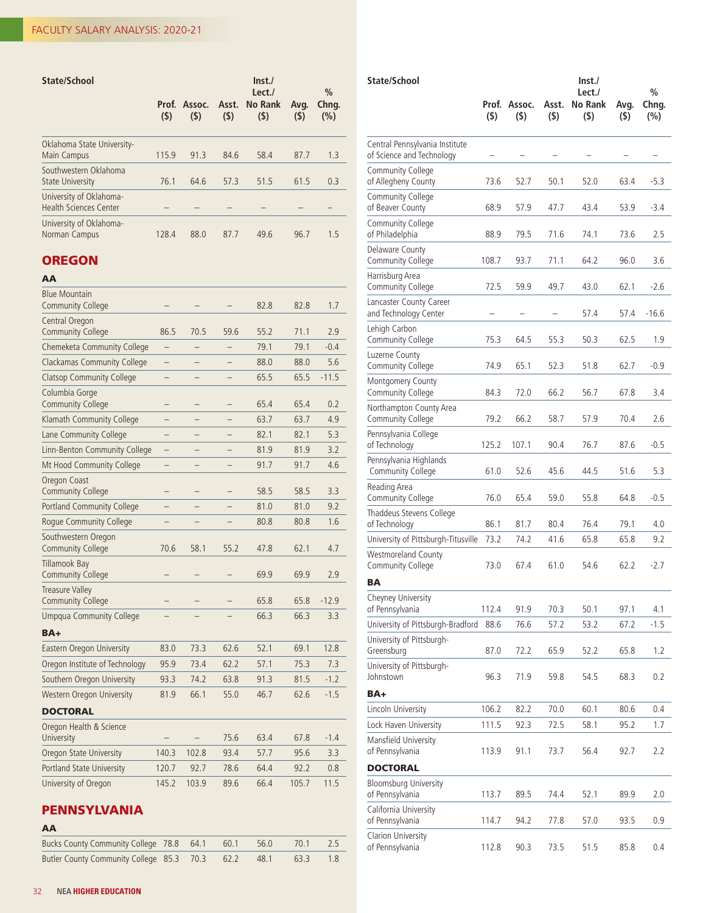| <b>State/School</b>                                      | (5)   | Prof. Assoc. Asst.<br>(5) | (5)  | Inst.<br>Lect./<br>No Rank<br>(5) | Avg.<br>(5) | $\frac{0}{0}$<br>Chng.<br>(%) |
|----------------------------------------------------------|-------|---------------------------|------|-----------------------------------|-------------|-------------------------------|
| Oklahoma State University-<br>Main Campus                | 115.9 | 91.3                      | 84.6 | 58.4                              | 87.7        | 1.3                           |
| Southwestern Oklahoma<br><b>State University</b>         | 76.1  | 64.6                      | 57.3 | 51.5                              | 61.5        | 0.3                           |
| University of Oklahoma-<br><b>Health Sciences Center</b> |       |                           |      |                                   |             |                               |
| University of Oklahoma-<br>Norman Campus                 | 128.4 | 88.0                      | 87.7 | 49.6                              | 96.7        | 1.5                           |

## **OREGON**

| AA                                                 |                          |       |      |      |       |         |
|----------------------------------------------------|--------------------------|-------|------|------|-------|---------|
| <b>Blue Mountain</b><br><b>Community College</b>   |                          |       |      | 82.8 | 82.8  | 1.7     |
| Central Oregon<br><b>Community College</b>         | 86.5                     | 70.5  | 59.6 | 55.2 | 71.1  | 2.9     |
| Chemeketa Community College                        |                          |       |      | 79.1 | 79.1  | $-0.4$  |
| <b>Clackamas Community College</b>                 |                          |       |      | 88.0 | 88.0  | 5.6     |
| <b>Clatsop Community College</b>                   |                          |       |      | 65.5 | 65.5  | $-11.5$ |
| Columbia Gorge<br><b>Community College</b>         |                          |       |      | 65.4 | 65.4  | 0.2     |
| Klamath Community College                          |                          |       |      | 63.7 | 63.7  | 4.9     |
| Lane Community College                             | -                        | -     |      | 82.1 | 82.1  | 5.3     |
| Linn-Benton Community College                      | $\overline{\phantom{0}}$ |       |      | 81.9 | 81.9  | 3.2     |
| Mt Hood Community College                          | —                        |       |      | 91.7 | 91.7  | 4.6     |
| Oregon Coast<br><b>Community College</b>           |                          | -     |      | 58.5 | 58.5  | 3.3     |
| <b>Portland Community College</b>                  |                          |       |      | 81.0 | 81.0  | 9.2     |
| Rogue Community College                            |                          |       |      | 80.8 | 80.8  | 1.6     |
| Southwestern Oregon<br><b>Community College</b>    | 70.6                     | 58.1  | 55.2 | 47.8 | 62.1  | 4.7     |
| <b>Tillamook Bay</b><br><b>Community College</b>   |                          |       |      | 69.9 | 69.9  | 2.9     |
| <b>Treasure Valley</b><br><b>Community College</b> |                          |       |      | 65.8 | 65.8  | $-12.9$ |
| <b>Umpqua Community College</b>                    |                          |       |      | 66.3 | 66.3  | 3.3     |
| $BA+$                                              |                          |       |      |      |       |         |
| Eastern Oregon University                          | 83.0                     | 73.3  | 62.6 | 52.1 | 69.1  | 12.8    |
| Oregon Institute of Technology                     | 95.9                     | 73.4  | 62.2 | 57.1 | 75.3  | 7.3     |
| Southern Oregon University                         | 93.3                     | 74.2  | 63.8 | 91.3 | 81.5  | $-1.2$  |
| Western Oregon University                          | 81.9                     | 66.1  | 55.0 | 46.7 | 62.6  | $-1.5$  |
| <b>DOCTORAL</b>                                    |                          |       |      |      |       |         |
| Oregon Health & Science<br>University              |                          |       | 75.6 | 63.4 | 67.8  | $-1.4$  |
| Oregon State University                            | 140.3                    | 102.8 | 93.4 | 57.7 | 95.6  | 3.3     |
| Portland State University                          | 120.7                    | 92.7  | 78.6 | 64.4 | 92.2  | 0.8     |
| University of Oregon                               | 145.2                    | 103.9 | 89.6 | 66.4 | 105.7 | 11.5    |

## PENNSYLVANIA

| AA |  |
|----|--|
|----|--|

| Bucks County Community College 78.8 64.1 60.1 56.0 70.1 2.5  |  |  |  |
|--------------------------------------------------------------|--|--|--|
| Butler County Community College 85.3 70.3 62.2 48.1 63.3 1.8 |  |  |  |

| State/School                                                | Prof.<br>(5) | Assoc.<br>(5) | Asst.<br>$($ \$) | Inst.<br>Lect./<br><b>No Rank</b><br>$($ \$) | Avg.<br>(5) | $\frac{0}{0}$<br>Chng.<br>(%) |
|-------------------------------------------------------------|--------------|---------------|------------------|----------------------------------------------|-------------|-------------------------------|
| Central Pennsylvania Institute<br>of Science and Technology |              |               |                  |                                              |             |                               |
| Community College<br>of Allegheny County                    | 73.6         | 52.7          | 50.1             | 52.0                                         | 63.4        | $-5.3$                        |
| Community College<br>of Beaver County                       | 68.9         | 57.9          | 47.7             | 43.4                                         | 53.9        | $-3.4$                        |
| Community College<br>of Philadelphia                        | 88.9         | 79.5          | 71.6             | 74.1                                         | 73.6        | 2.5                           |
| Delaware County<br>Community College                        | 108.7        | 93.7          | 71.1             | 64.2                                         | 96.0        | 3.6                           |
| Harrisburg Area<br>Community College                        | 72.5         | 59.9          | 49.7             | 43.0                                         | 62.1        | $-2.6$                        |
| Lancaster County Career<br>and Technology Center            |              |               |                  | 57.4                                         | 57.4        | $-16.6$                       |
| Lehigh Carbon<br>Community College                          | 75.3         | 64.5          | 55.3             | 50.3                                         | 62.5        | 1.9                           |
| Luzerne County<br>Community College                         | 74.9         | 65.1          | 52.3             | 51.8                                         | 62.7        | $-0.9$                        |
| Montgomery County<br>Community College                      | 84.3         | 72.0          | 66.2             | 56.7                                         | 67.8        | 3.4                           |
| Northampton County Area<br>Community College                | 79.2         | 66.2          | 58.7             | 57.9                                         | 70.4        | 2.6                           |
| Pennsylvania College<br>of Technology                       | 125.2        | 107.1         | 90.4             | 76.7                                         | 87.6        | $-0.5$                        |
| Pennsylvania Highlands<br>Community College                 | 61.0         | 52.6          | 45.6             | 44.5                                         | 51.6        | 5.3                           |
| Reading Area<br>Community College                           | 76.0         | 65.4          | 59.0             | 55.8                                         | 64.8        | $-0.5$                        |
| Thaddeus Stevens College<br>of Technology                   | 86.1         | 81.7          | 80.4             | 76.4                                         | 79.1        | 4.0                           |
| University of Pittsburgh-Titusville                         | 73.2         | 74.2          | 41.6             | 65.8                                         | 65.8        | 9.2                           |
| Westmoreland County<br>Community College                    | 73.0         | 67.4          | 61.0             | 54.6                                         | 62.2        | $-2.7$                        |
| BA                                                          |              |               |                  |                                              |             |                               |
| Cheyney University<br>of Pennsylvania                       | 112.4        | 91.9          | 70.3             | 50.1                                         | 97.1        | 4.1                           |
| University of Pittsburgh-Bradford                           | 88.6         | 76.6          | 57.2             | 53.2                                         | 67.2        | $-1.5$                        |
| University of Pittsburgh-<br>Greensburg                     | 87.0         | 72.2          | 65.9             | 52.2                                         | 65.8        | 1.2                           |
| University of Pittsburgh-<br>Johnstown                      | 96.3         | 71.9          | 59.8             | 54.5                                         | 68.3        | 0.2                           |
| BA+                                                         |              |               |                  |                                              |             |                               |
| Lincoln University                                          | 106.2        | 82.2          | 70.0             | 60.1                                         | 80.6        | 0.4                           |
| Lock Haven University                                       | 111.5        | 92.3          | 72.5             | 58.1                                         | 95.2        | 1.7                           |
| Mansfield University<br>of Pennsylvania                     | 113.9        | 91.1          | 73.7             | 56.4                                         | 92.7        | 2.2                           |
| <b>DOCTORAL</b>                                             |              |               |                  |                                              |             |                               |
| Bloomsburg University<br>of Pennsylvania                    | 113.7        | 89.5          | 74.4             | 52.1                                         | 89.9        | 2.0                           |
| California University<br>of Pennsylvania                    | 114.7        | 94.2          | 77.8             | 57.0                                         | 93.5        | 0.9                           |
| Clarion University<br>of Pennsylvania                       | 112.8        | 90.3          | 73.5             | 51.5                                         | 85.8        | 0.4                           |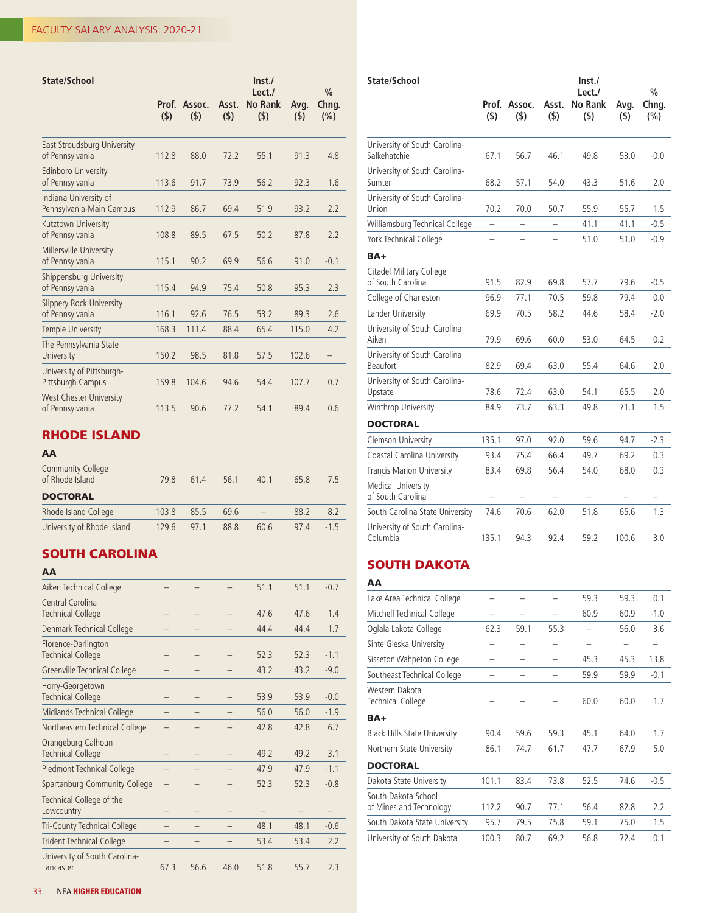| State/School                                      |              |                   |              | Inst.<br>Let.             |             | $\frac{0}{0}$ |
|---------------------------------------------------|--------------|-------------------|--------------|---------------------------|-------------|---------------|
|                                                   | Prof.<br>(5) | Assoc.<br>$($ \$) | Asst.<br>(5) | <b>No Rank</b><br>$($ \$) | Avg.<br>(5) | Chng.<br>(%)  |
| East Stroudsburg University<br>of Pennsylvania    | 112.8        | 88.0              | 72.2         | 55.1                      | 91.3        | 4.8           |
| <b>Edinboro University</b><br>of Pennsylvania     | 113.6        | 91.7              | 73.9         | 56.2                      | 92.3        | 1.6           |
| Indiana University of<br>Pennsylvania-Main Campus | 112.9        | 86.7              | 69.4         | 51.9                      | 93.2        | 2.2           |
| Kutztown University<br>of Pennsylvania            | 108.8        | 89.5              | 67.5         | 50.2                      | 87.8        | 2.2           |
| Millersville University<br>of Pennsylvania        | 115.1        | 90.2              | 69.9         | 56.6                      | 91.0        | $-0.1$        |
| Shippensburg University<br>of Pennsylvania        | 115.4        | 94.9              | 75.4         | 50.8                      | 95.3        | 2.3           |
| Slippery Rock University<br>of Pennsylvania       | 116.1        | 92.6              | 76.5         | 53.2                      | 89.3        | 2.6           |
| Temple University                                 | 168.3        | 111.4             | 88.4         | 65.4                      | 115.0       | 4.2           |
| The Pennsylvania State<br>University              | 150.2        | 98.5              | 81.8         | 57.5                      | 102.6       |               |
| University of Pittsburgh-<br>Pittsburgh Campus    | 159.8        | 104.6             | 94.6         | 54.4                      | 107.7       | 0.7           |
| West Chester University<br>of Pennsylvania        | 113.5        | 90.6              | 77.2         | 54.1                      | 89.4        | 0.6           |

## RHODE ISLAND

| AA                                          |       |      |      |                          |      |        |
|---------------------------------------------|-------|------|------|--------------------------|------|--------|
| <b>Community College</b><br>of Rhode Island | 79.8  | 61.4 | 56.1 | 40.1                     | 65.8 | 7.5    |
| <b>DOCTORAL</b>                             |       |      |      |                          |      |        |
| Rhode Island College                        | 103.8 | 85.5 | 69.6 | $\overline{\phantom{a}}$ | 88.2 | 8.2    |
| University of Rhode Island                  | 129.6 | 97.1 | 88.8 | 60.6                     | 97.4 | $-1.5$ |

# SOUTH CAROLINA

| AA                                              |      |      |      |      |      |        |
|-------------------------------------------------|------|------|------|------|------|--------|
| Aiken Technical College                         |      |      |      | 51.1 | 51.1 | $-0.7$ |
| Central Carolina<br><b>Technical College</b>    |      |      |      | 47.6 | 47.6 | 1.4    |
| Denmark Technical College                       |      |      |      | 44.4 | 44.4 | 1.7    |
| Florence-Darlington<br><b>Technical College</b> |      |      |      | 52.3 | 52.3 | $-1.1$ |
| Greenville Technical College                    |      |      |      | 43.2 | 43.2 | $-9.0$ |
| Horry-Georgetown<br><b>Technical College</b>    |      |      |      | 53.9 | 53.9 | $-0.0$ |
| Midlands Technical College                      |      |      |      | 56.0 | 56.0 | $-1.9$ |
| Northeastern Technical College                  |      |      |      | 42.8 | 42.8 | 6.7    |
| Orangeburg Calhoun<br><b>Technical College</b>  |      |      |      | 49.2 | 49.2 | 3.1    |
| Piedmont Technical College                      |      |      |      | 47.9 | 47.9 | $-1.1$ |
| Spartanburg Community College                   |      |      |      | 52.3 | 52.3 | $-0.8$ |
| Technical College of the<br>Lowcountry          |      |      |      |      |      |        |
| Tri-County Technical College                    |      |      |      | 48.1 | 48.1 | $-0.6$ |
| <b>Trident Technical College</b>                |      |      |      | 53.4 | 53.4 | 2.2    |
| University of South Carolina-<br>Lancaster      | 67.3 | 56.6 | 46.0 | 51.8 | 55.7 | 2.3    |

| State/School                                    |                          |                          |                          | Inst.<br>Lect./       |             | $\frac{0}{0}$            |
|-------------------------------------------------|--------------------------|--------------------------|--------------------------|-----------------------|-------------|--------------------------|
|                                                 | Prof.<br>(5)             | Assoc.<br>(5)            | Asst.<br>(5)             | <b>No Rank</b><br>(5) | Avg.<br>(5) | Chng.<br>$(\% )$         |
| University of South Carolina-<br>Salkehatchie   | 67.1                     | 56.7                     | 46.1                     | 49.8                  | 53.0        | $-0.0$                   |
| University of South Carolina-<br>Sumter         | 68.2                     | 57.1                     | 54.0                     | 43.3                  | 51.6        | 2.0                      |
| University of South Carolina-<br>Union          | 70.2                     | 70.0                     | 50.7                     | 55.9                  | 55.7        | 1.5                      |
| Williamsburg Technical College                  | $\overline{\phantom{0}}$ | $\overline{\phantom{0}}$ | $\overline{\phantom{0}}$ | 41.1                  | 41.1        | $-0.5$                   |
| York Technical College                          | $\overline{a}$           | $\overline{a}$           | $\overline{a}$           | 51.0                  | 51.0        | $-0.9$                   |
| BA+                                             |                          |                          |                          |                       |             |                          |
| Citadel Military College<br>of South Carolina   | 91.5                     | 82.9                     | 69.8                     | 57.7                  | 79.6        | $-0.5$                   |
| College of Charleston                           | 96.9                     | 77.1                     | 70.5                     | 59.8                  | 79.4        | 0.0                      |
| Lander University                               | 69.9                     | 70.5                     | 58.2                     | 44.6                  | 58.4        | $-2.0$                   |
| University of South Carolina<br>Aiken           | 79.9                     | 69.6                     | 60.0                     | 53.0                  | 64.5        | 0.2                      |
| University of South Carolina<br><b>Beaufort</b> | 82.9                     | 69.4                     | 63.0                     | 55.4                  | 64.6        | 2.0                      |
| University of South Carolina-<br>Upstate        | 78.6                     | 72.4                     | 63.0                     | 54.1                  | 65.5        | 2.0                      |
| Winthrop University                             | 84.9                     | 73.7                     | 63.3                     | 49.8                  | 71.1        | 1.5                      |
| <b>DOCTORAL</b>                                 |                          |                          |                          |                       |             |                          |
| Clemson University                              | 135.1                    | 97.0                     | 92.0                     | 59.6                  | 94.7        | $-2.3$                   |
| Coastal Carolina University                     | 93.4                     | 75.4                     | 66.4                     | 49.7                  | 69.2        | 0.3                      |
| Francis Marion University                       | 83.4                     | 69.8                     | 56.4                     | 54.0                  | 68.0        | 0.3                      |
| <b>Medical University</b><br>of South Carolina  |                          | $\overline{\phantom{0}}$ | $\overline{\phantom{0}}$ |                       |             | $\overline{\phantom{0}}$ |
| South Carolina State University                 | 74.6                     | 70.6                     | 62.0                     | 51.8                  | 65.6        | 1.3                      |
| University of South Carolina-<br>Columbia       | 135.1                    | 94.3                     | 92.4                     | 59.2                  | 100.6       | 3.0                      |

## SOUTH DAKOTA

| AΑ                                             |       |      |      |      |      |        |
|------------------------------------------------|-------|------|------|------|------|--------|
| Lake Area Technical College                    |       |      |      | 59.3 | 59.3 | 0.1    |
| Mitchell Technical College                     |       |      |      | 60.9 | 60.9 | $-1.0$ |
| Oglala Lakota College                          | 62.3  | 59.1 | 55.3 |      | 56.0 | 3.6    |
| Sinte Gleska University                        |       |      |      |      |      | -      |
| Sisseton Wahpeton College                      |       |      |      | 45.3 | 45.3 | 13.8   |
| Southeast Technical College                    |       |      |      | 59.9 | 59.9 | $-0.1$ |
| Western Dakota<br><b>Technical College</b>     |       |      |      | 60.0 | 60.0 | 1.7    |
| BA+                                            |       |      |      |      |      |        |
| <b>Black Hills State University</b>            | 90.4  | 59.6 | 59.3 | 45.1 | 64.0 | 1.7    |
| Northern State University                      | 86.1  | 74.7 | 61.7 | 47.7 | 67.9 | 5.0    |
| <b>DOCTORAL</b>                                |       |      |      |      |      |        |
| Dakota State University                        | 101.1 | 83.4 | 73.8 | 52.5 | 74.6 | $-0.5$ |
| South Dakota School<br>of Mines and Technology | 112.2 | 90.7 | 77.1 | 56.4 | 82.8 | 2.2    |
| South Dakota State University                  | 95.7  | 79.5 | 75.8 | 59.1 | 75.0 | 1.5    |
| University of South Dakota                     | 100.3 | 80.7 | 69.2 | 56.8 | 72.4 | 0.1    |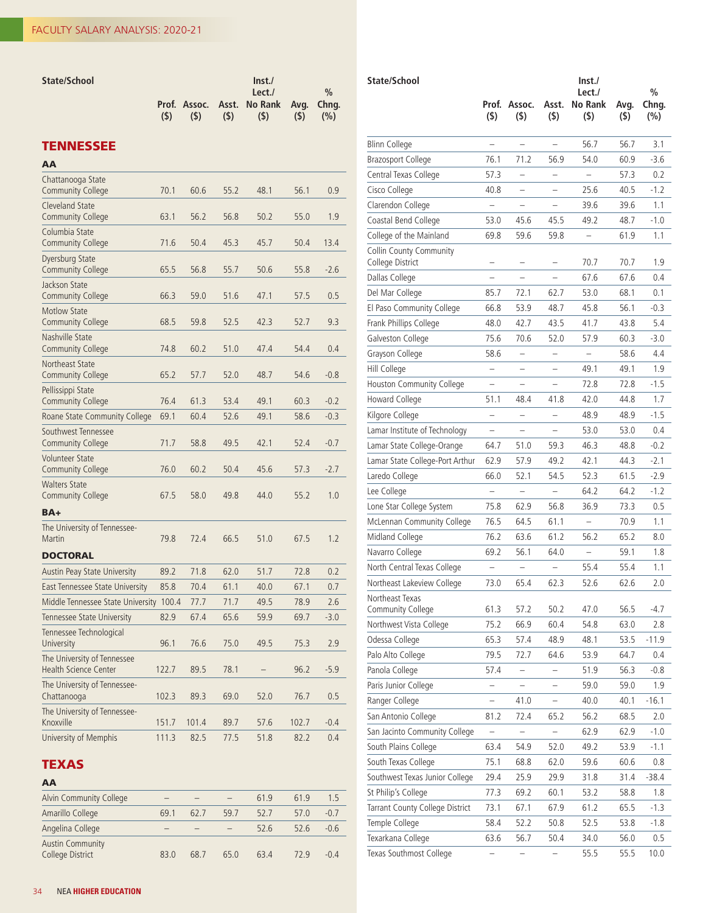| State/School                                         |              |               |              | Inst.<br>Lect.        |                 | $\frac{0}{0}$ |
|------------------------------------------------------|--------------|---------------|--------------|-----------------------|-----------------|---------------|
|                                                      | Prof.<br>(5) | Assoc.<br>(5) | Asst.<br>(5) | <b>No Rank</b><br>(5) | Avg.<br>$($ \$) | Chng.<br>(%)  |
| <b>TENNESSEE</b>                                     |              |               |              |                       |                 |               |
| AA                                                   |              |               |              |                       |                 |               |
| Chattanooga State<br><b>Community College</b>        | 70.1         | 60.6          | 55.2         | 48.1                  | 56.1            | 0.9           |
| <b>Cleveland State</b><br><b>Community College</b>   | 63.1         | 56.2          | 56.8         | 50.2                  | 55.0            | 1.9           |
| Columbia State<br><b>Community College</b>           | 71.6         | 50.4          | 45.3         | 45.7                  | 50.4            | 13.4          |
| Dyersburg State<br><b>Community College</b>          | 65.5         | 56.8          | 55.7         | 50.6                  | 55.8            | $-2.6$        |
| Jackson State<br><b>Community College</b>            | 66.3         | 59.0          | 51.6         | 47.1                  | 57.5            | 0.5           |
| <b>Motlow State</b><br><b>Community College</b>      | 68.5         | 59.8          | 52.5         | 42.3                  | 52.7            | 9.3           |
| Nashville State<br><b>Community College</b>          | 74.8         | 60.2          | 51.0         | 47.4                  | 54.4            | 0.4           |
| Northeast State<br><b>Community College</b>          | 65.2         | 57.7          | 52.0         | 48.7                  | 54.6            | $-0.8$        |
| Pellissippi State<br><b>Community College</b>        | 76.4         | 61.3          | 53.4         | 49.1                  | 60.3            | $-0.2$        |
| Roane State Community College                        | 69.1         | 60.4          | 52.6         | 49.1                  | 58.6            | $-0.3$        |
| Southwest Tennessee<br><b>Community College</b>      | 71.7         | 58.8          | 49.5         | 42.1                  | 52.4            | $-0.7$        |
| <b>Volunteer State</b><br><b>Community College</b>   | 76.0         | 60.2          | 50.4         | 45.6                  | 57.3            | $-2.7$        |
| <b>Walters State</b><br><b>Community College</b>     | 67.5         | 58.0          | 49.8         | 44.0                  | 55.2            | 1.0           |
| BA+                                                  |              |               |              |                       |                 |               |
| The University of Tennessee-<br>Martin               | 79.8         | 72.4          | 66.5         | 51.0                  | 67.5            | 1.2           |
| <b>DOCTORAL</b>                                      |              |               |              |                       |                 |               |
| Austin Peay State University                         | 89.2         | 71.8          | 62.0         | 51.7                  | 72.8            | 0.2           |
| <b>East Tennessee State University</b>               | 85.8         | 70.4          | 61.1         | 40.0                  | 67.1            | 0.7           |
| Middle Tennessee State University 100.4              |              | 77.7          | 71.7         | 49.5                  | 78.9            | 2.6           |
| Tennessee State University                           | 82.9         | 67.4          | 65.6         | 59.9                  | 69.7            | $-3.0$        |
| Tennessee Technological<br>University                | 96.1         | 76.6          | 75.0         | 49.5                  | 75.3            | 2.9           |
| The University of Tennessee<br>Health Science Center | 122.7        | 89.5          | 78.1         |                       | 96.2            | $-5.9$        |
| The University of Tennessee-<br>Chattanooga          | 102.3        | 89.3          | 69.0         | 52.0                  | 76.7            | 0.5           |
| The University of Tennessee-<br>Knoxville            | 151.7        | 101.4         | 89.7         | 57.6                  | 102.7           | $-0.4$        |

## TEXAS

## AA Alvin Community College – – – – 61.9 61.9 1.5 Amarillo College 69.1 62.7 59.7 52.7 57.0 -0.7 Angelina College – – – 52.6 52.6 -0.6 Austin Community<br>College District College District 83.0 68.7 65.0 63.4 72.9 -0.4

University of Memphis 111.3 82.5 77.5 51.8 82.2 0.4

| State/School                                |                          |                          |                          | $\mathsf{Inst}$<br>Lect./ |                 | $\frac{0}{0}$ |  |
|---------------------------------------------|--------------------------|--------------------------|--------------------------|---------------------------|-----------------|---------------|--|
|                                             | Prof.<br>$($ \$)         | Assoc.<br>(5)            | Asst.<br>$($ \$)         | No Rank<br>(5)            | Avg.<br>$($ \$) | Chng.<br>(%)  |  |
| Blinn College                               | $\overline{\phantom{0}}$ |                          | $\overline{\phantom{0}}$ | 56.7                      | 56.7            | 3.1           |  |
| <b>Brazosport College</b>                   | 76.1                     | 71.2                     | 56.9                     | 54.0                      | 60.9            | $-3.6$        |  |
| Central Texas College                       | 57.3                     | $\overline{a}$           | -                        | $\overline{\phantom{0}}$  | 57.3            | 0.2           |  |
| Cisco College                               | 40.8                     |                          |                          | 25.6                      | 40.5            | $-1.2$        |  |
| Clarendon College                           |                          |                          |                          | 39.6                      | 39.6            | 1.1           |  |
| Coastal Bend College                        | 53.0                     | 45.6                     | 45.5                     | 49.2                      | 48.7            | $-1.0$        |  |
| College of the Mainland                     | 69.8                     | 59.6                     | 59.8                     | -                         | 61.9            | 1.1           |  |
| Collin County Community<br>College District | -                        |                          |                          | 70.7                      | 70.7            | 1.9           |  |
| Dallas College                              |                          |                          |                          | 67.6                      | 67.6            | 0.4           |  |
| Del Mar College                             | 85.7                     | 72.1                     | 62.7                     | 53.0                      | 68.1            | 0.1           |  |
| El Paso Community College                   | 66.8                     | 53.9                     | 48.7                     | 45.8                      | 56.1            | $-0.3$        |  |
| Frank Phillips College                      | 48.0                     | 42.7                     | 43.5                     | 41.7                      | 43.8            | 5.4           |  |
| Galveston College                           | 75.6                     | 70.6                     | 52.0                     | 57.9                      | 60.3            | $-3.0$        |  |
| Grayson College                             | 58.6                     | $\overline{\phantom{0}}$ | $\overline{\phantom{0}}$ | $\overline{\phantom{0}}$  | 58.6            | 4.4           |  |
| Hill College                                | $\overline{\phantom{0}}$ | $\overline{a}$           | -                        | 49.1                      | 49.1            | 1.9           |  |
| Houston Community College                   | -                        |                          | $\overline{\phantom{0}}$ | 72.8                      | 72.8            | -1.5          |  |
| Howard College                              | 51.1                     | 48.4                     | 41.8                     | 42.0                      | 44.8            | 1.7           |  |
| Kilgore College                             | ÷,                       | $\overline{a}$           |                          | 48.9                      | 48.9            | $-1.5$        |  |
| Lamar Institute of Technology               |                          |                          |                          | 53.0                      | 53.0            | 0.4           |  |
| Lamar State College-Orange                  | 64.7                     | 51.0                     | 59.3                     | 46.3                      | 48.8            | $-0.2$        |  |
| Lamar State College-Port Arthur             | 62.9                     | 57.9                     | 49.2                     | 42.1                      | 44.3            | $-2.1$        |  |
| Laredo College                              | 66.0                     | 52.1                     | 54.5                     | 52.3                      | 61.5            | $-2.9$        |  |
| Lee College                                 | $\overline{a}$           | $\overline{\phantom{0}}$ | $\overline{\phantom{0}}$ | 64.2                      | 64.2            | $-1.2$        |  |
| Lone Star College System                    | 75.8                     | 62.9                     | 56.8                     | 36.9                      | 73.3            | 0.5           |  |
| McLennan Community College                  | 76.5                     | 64.5                     | 61.1                     | $\overline{\phantom{0}}$  | 70.9            | 1.1           |  |
| Midland College                             | 76.2                     | 63.6                     | 61.2                     | 56.2                      | 65.2            | 8.0           |  |
| Navarro College                             | 69.2                     | 56.1                     | 64.0                     | $\overline{\phantom{0}}$  | 59.1            | 1.8           |  |
| North Central Texas College                 | $\overline{\phantom{0}}$ | $\overline{\phantom{0}}$ | $\equiv$                 | 55.4                      | 55.4            | 1.1           |  |
| Northeast Lakeview College                  | 73.0                     | 65.4                     | 62.3                     | 52.6                      | 62.6            | 2.0           |  |
| Northeast Texas<br>Community College        | 61.3                     | 57.2                     | 50.2                     | 47.0                      | 56.5            | $-4.7$        |  |
| Northwest Vista College                     | 75.2                     | 66.9                     | 60.4                     | 54.8                      | 63.0            | 2.8           |  |
| Odessa College                              | 65.3                     | 57.4                     | 48.9                     | 48.1                      | 53.5            | $-11.9$       |  |
| Palo Alto College                           | 79.5                     | 72.7                     | 64.6                     | 53.9                      | 64.7            | 0.4           |  |
| Panola College                              | 57.4                     |                          |                          | 51.9                      | 56.3            | $-0.8$        |  |
| Paris Junior College                        | $\overline{\phantom{0}}$ | $\overline{\phantom{0}}$ |                          | 59.0                      | 59.0            | 1.9           |  |
| Ranger College                              |                          | 41.0                     |                          | 40.0                      | 40.1            | $-16.1$       |  |
| San Antonio College                         | 81.2                     | 72.4                     | 65.2                     | 56.2                      | 68.5            | 2.0           |  |
| San Jacinto Community College               |                          |                          |                          | 62.9                      | 62.9            | $-1.0$        |  |
| South Plains College                        | 63.4                     | 54.9                     | 52.0                     | 49.2                      | 53.9            | $-1.1$        |  |
| South Texas College                         | 75.1                     | 68.8                     | 62.0                     | 59.6                      | 60.6            | 0.8           |  |
| Southwest Texas Junior College              | 29.4                     | 25.9                     | 29.9                     | 31.8                      | 31.4            | $-38.4$       |  |
| St Philip's College                         | 77.3                     | 69.2                     | 60.1                     | 53.2                      | 58.8            | 1.8           |  |
| Tarrant County College District             | 73.1                     | 67.1                     | 67.9                     | 61.2                      | 65.5            | $-1.3$        |  |
| Temple College                              | 58.4                     | 52.2                     | 50.8                     | 52.5                      | 53.8            | $-1.8$        |  |
| Texarkana College                           | 63.6                     | 56.7                     | 50.4                     | 34.0                      | 56.0            | 0.5           |  |
| Texas Southmost College                     |                          |                          |                          | 55.5                      | 55.5            | 10.0          |  |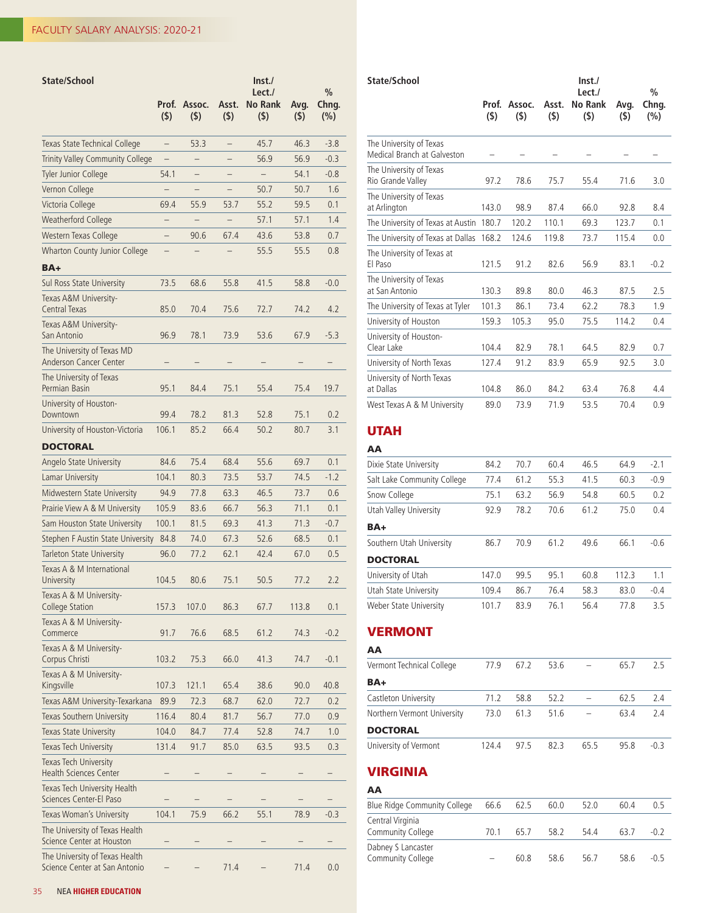| State/School                                                    |                          |                   |                          | $\ln$ st./                      |             |                               |
|-----------------------------------------------------------------|--------------------------|-------------------|--------------------------|---------------------------------|-------------|-------------------------------|
|                                                                 | Prof.<br>(5)             | Assoc.<br>$($ \$) | Asst.<br>(5)             | Lect./<br><b>No Rank</b><br>(5) | Avg.<br>(5) | $\frac{0}{0}$<br>Chng.<br>(%) |
| Texas State Technical College                                   | $\overline{\phantom{0}}$ | 53.3              | $\overline{\phantom{0}}$ | 45.7                            | 46.3        | $-3.8$                        |
| Trinity Valley Community College                                | -                        |                   |                          | 56.9                            | 56.9        | $-0.3$                        |
| Tyler Junior College                                            | 54.1                     |                   |                          | $\overline{\phantom{0}}$        | 54.1        | $-0.8$                        |
| Vernon College                                                  |                          |                   |                          | 50.7                            | 50.7        | 1.6                           |
| Victoria College                                                | 69.4                     | 55.9              | 53.7                     | 55.2                            | 59.5        | 0.1                           |
| <b>Weatherford College</b>                                      |                          |                   |                          | 57.1                            | 57.1        | 1.4                           |
| Western Texas College                                           | —                        | 90.6              | 67.4                     | 43.6                            | 53.8        | 0.7                           |
| Wharton County Junior College                                   | $\overline{\phantom{0}}$ |                   |                          | 55.5                            | 55.5        | 0.8                           |
| BA+                                                             |                          |                   |                          |                                 |             |                               |
| Sul Ross State University                                       | 73.5                     | 68.6              | 55.8                     | 41.5                            | 58.8        | $-0.0$                        |
| Texas A&M University-<br>Central Texas                          | 85.0                     | 70.4              | 75.6                     | 72.7                            | 74.2        | 4.2                           |
| Texas A&M University-<br>San Antonio                            | 96.9                     | 78.1              | 73.9                     | 53.6                            | 67.9        | $-5.3$                        |
| The University of Texas MD<br>Anderson Cancer Center            |                          |                   |                          |                                 |             |                               |
| The University of Texas<br>Permian Basin                        | 95.1                     | 84.4              | 75.1                     | 55.4                            | 75.4        | 19.7                          |
| University of Houston-<br>Downtown                              | 99.4                     | 78.2              | 81.3                     | 52.8                            | 75.1        | 0.2                           |
| University of Houston-Victoria                                  | 106.1                    | 85.2              | 66.4                     | 50.2                            | 80.7        | 3.1                           |
| <b>DOCTORAL</b>                                                 |                          |                   |                          |                                 |             |                               |
| Angelo State University                                         | 84.6                     | 75.4              | 68.4                     | 55.6                            | 69.7        | 0.1                           |
| Lamar University                                                | 104.1                    | 80.3              | 73.5                     | 53.7                            | 74.5        | $-1.2$                        |
| Midwestern State University                                     | 94.9                     | 77.8              | 63.3                     | 46.5                            | 73.7        | 0.6                           |
| Prairie View A & M University                                   | 105.9                    | 83.6              | 66.7                     | 56.3                            | 71.1        | 0.1                           |
| Sam Houston State University                                    | 100.1                    | 81.5              | 69.3                     | 41.3                            | 71.3        | $-0.7$                        |
| Stephen F Austin State University                               | 84.8                     | 74.0              | 67.3                     | 52.6                            | 68.5        | 0.1                           |
| <b>Tarleton State University</b>                                | 96.0                     | 77.2              | 62.1                     | 42.4                            | 67.0        | 0.5                           |
| Texas A & M International<br>University                         | 104.5                    | 80.6              | 75.1                     | 50.5                            | 77.2        | 2.2                           |
| Texas A & M University-<br><b>College Station</b>               | 157.3                    | 107.0             | 86.3                     | 67.7                            | 113.8       | 0.1                           |
| Texas A & M University-<br>Commerce                             | 91.7                     | 76.6              | 68.5                     | 61.2                            | 74.3        | $-0.2$                        |
| Texas A & M University-<br>Corpus Christi                       | 103.2                    | 75.3              | 66.0                     | 41.3                            | 74.7        | $-0.1$                        |
| Texas A & M University-<br>Kingsville                           | 107.3                    | 121.1             | 65.4                     | 38.6                            | 90.0        | 40.8                          |
| Texas A&M University-Texarkana                                  | 89.9                     | 72.3              | 68.7                     | 62.0                            | 72.7        | 0.2                           |
| Texas Southern University                                       | 116.4                    | 80.4              | 81.7                     | 56.7                            | 77.0        | 0.9                           |
| Texas State University                                          | 104.0                    | 84.7              | 77.4                     | 52.8                            | 74.7        | 1.0                           |
| Texas Tech University                                           | 131.4                    | 91.7              | 85.0                     | 63.5                            | 93.5        | 0.3                           |
| Texas Tech University<br><b>Health Sciences Center</b>          |                          |                   |                          |                                 |             |                               |
| Texas Tech University Health<br>Sciences Center-El Paso         |                          |                   |                          |                                 |             |                               |
| Texas Woman's University                                        | 104.1                    | 75.9              | 66.2                     | 55.1                            | 78.9        | $-0.3$                        |
| The University of Texas Health<br>Science Center at Houston     |                          |                   |                          |                                 |             |                               |
| The University of Texas Health<br>Science Center at San Antonio |                          |                   | 71.4                     |                                 | 71.4        | 0.0                           |

| State/School                                           | Prof.<br>(5) | Assoc.<br>(5) | Asst.<br>(5) | Inst.<br>Lect./<br>No Rank<br>$($ \$) | Avg.<br>(5) | $\frac{0}{0}$<br>Chng.<br>(%) |
|--------------------------------------------------------|--------------|---------------|--------------|---------------------------------------|-------------|-------------------------------|
|                                                        |              |               |              |                                       |             |                               |
| The University of Texas<br>Medical Branch at Galveston |              |               |              |                                       |             |                               |
| The University of Texas<br>Rio Grande Valley           | 97.2         | 78.6          | 75.7         | 55.4                                  | 71.6        | 3.0                           |
| The University of Texas<br>at Arlington                | 143.0        | 98.9          | 87.4         | 66.0                                  | 92.8        | 8.4                           |
| The University of Texas at Austin                      | 180.7        | 120.2         | 110.1        | 69.3                                  | 123.7       | 0.1                           |
| The University of Texas at Dallas                      | 168.2        | 124.6         | 119.8        | 73.7                                  | 115.4       | 0.0                           |
| The University of Texas at<br>El Paso                  | 121.5        | 91.2          | 82.6         | 56.9                                  | 83.1        | $-0.2$                        |
| The University of Texas<br>at San Antonio              | 130.3        | 89.8          | 80.0         | 46.3                                  | 87.5        | 2.5                           |
| The University of Texas at Tyler                       | 101.3        | 86.1          | 73.4         | 62.2                                  | 78.3        | 1.9                           |
| University of Houston                                  | 159.3        | 105.3         | 95.0         | 75.5                                  | 114.2       | 0.4                           |
| University of Houston-<br>Clear Lake                   | 104.4        | 82.9          | 78.1         | 64.5                                  | 82.9        | 0.7                           |
| University of North Texas                              | 127.4        | 91.2          | 83.9         | 65.9                                  | 92.5        | 3.0                           |
| University of North Texas<br>at Dallas                 | 104.8        | 86.0          | 84.2         | 63.4                                  | 76.8        | 4.4                           |
| West Texas A & M University                            | 89.0         | 73.9          | 71.9         | 53.5                                  | 70.4        | 0.9                           |

# UTAH

| AA                          |       |      |      |      |       |        |
|-----------------------------|-------|------|------|------|-------|--------|
| Dixie State University      | 84.2  | 70.7 | 60.4 | 46.5 | 64.9  | $-2.1$ |
| Salt Lake Community College | 77.4  | 61.2 | 55.3 | 41.5 | 60.3  | $-0.9$ |
| Snow College                | 75.1  | 63.2 | 56.9 | 54.8 | 60.5  | 0.2    |
| Utah Valley University      | 92.9  | 78.2 | 70.6 | 61.2 | 75.0  | 0.4    |
| BA+                         |       |      |      |      |       |        |
| Southern Utah University    | 86.7  | 70.9 | 61.2 | 49.6 | 66.1  | $-0.6$ |
| <b>DOCTORAL</b>             |       |      |      |      |       |        |
| University of Utah          | 147.0 | 99.5 | 95.1 | 60.8 | 112.3 | 1.1    |
| Utah State University       | 109.4 | 86.7 | 76.4 | 58.3 | 83.0  | $-0.4$ |
| Weber State University      | 101.7 | 83.9 | 76.1 | 56.4 | 77.8  | 3.5    |

## VERMONT

| AA                          |       |      |      |      |      |        |
|-----------------------------|-------|------|------|------|------|--------|
| Vermont Technical College   | 77.9  | 67.2 | 53.6 |      | 65.7 | 2.5    |
| BA+                         |       |      |      |      |      |        |
| Castleton University        | 71.2  | 58.8 | 52.2 |      | 62.5 | 74     |
| Northern Vermont University | 73.0  | 61.3 | 51.6 |      | 63.4 | 74     |
| <b>DOCTORAL</b>             |       |      |      |      |      |        |
| University of Vermont       | 124.4 | 97.5 | 82.3 | 65.5 | 95.8 | $-0.3$ |

## VIRGINIA

| AA                                      |      |      |      |      |      |        |
|-----------------------------------------|------|------|------|------|------|--------|
| Blue Ridge Community College            | 66.6 | 62.5 | 60.0 | 52.0 | 60.4 | 0.5    |
| Central Virginia<br>Community College   | 70.1 | 65.7 | 58.2 | 54.4 | 63.7 | $-0.2$ |
| Dabney S Lancaster<br>Community College |      | 60.8 | 58.6 | 56.7 | 58.6 | $-0.5$ |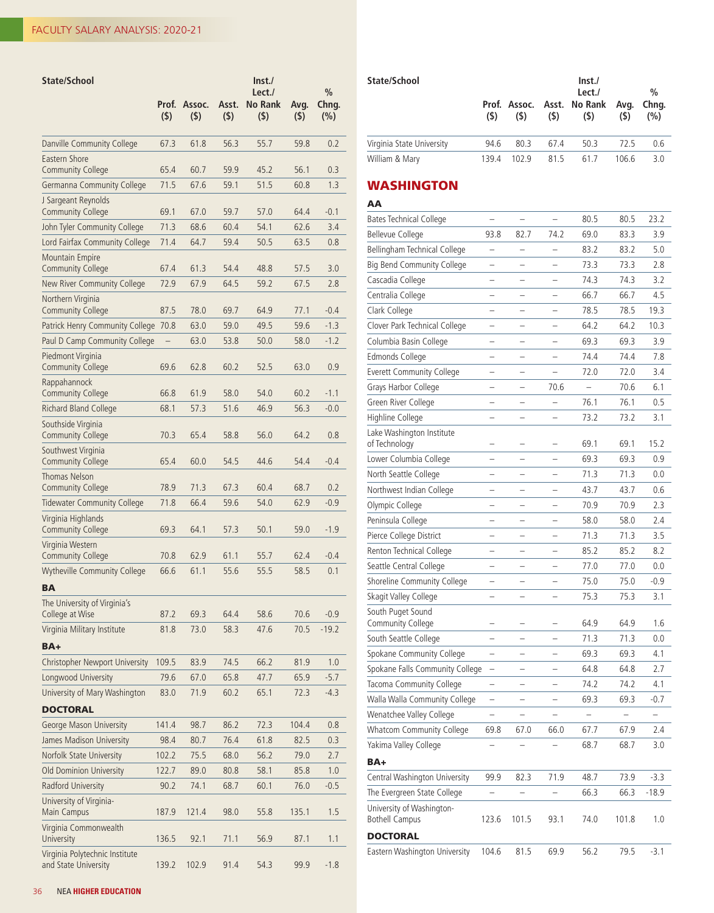| State/School                                           | Prof.<br>(5) | Assoc.<br>(5) | Asst.<br>$($ \$) | $\mathsf{Inst}$<br>Lect./<br><b>No Rank</b><br>(5) | Avg.<br>$($ \$) | $\frac{0}{0}$<br>Chng.<br>(%) |
|--------------------------------------------------------|--------------|---------------|------------------|----------------------------------------------------|-----------------|-------------------------------|
| Danville Community College                             | 67.3         | 61.8          | 56.3             | 55.7                                               | 59.8            | 0.2                           |
| Eastern Shore<br><b>Community College</b>              | 65.4         | 60.7          | 59.9             | 45.2                                               | 56.1            | 0.3                           |
| Germanna Community College                             | 71.5         | 67.6          | 59.1             | 51.5                                               | 60.8            | 1.3                           |
| J Sargeant Reynolds                                    |              |               |                  |                                                    |                 |                               |
| <b>Community College</b>                               | 69.1         | 67.0          | 59.7             | 57.0                                               | 64.4            | $-0.1$                        |
| John Tyler Community College                           | 71.3         | 68.6          | 60.4             | 54.1                                               | 62.6            | 3.4                           |
| Lord Fairfax Community College                         | 71.4         | 64.7          | 59.4             | 50.5                                               | 63.5            | 0.8                           |
| <b>Mountain Empire</b><br><b>Community College</b>     | 67.4         | 61.3          | 54.4             | 48.8                                               | 57.5            | 3.0                           |
| New River Community College                            | 72.9         | 67.9          | 64.5             | 59.2                                               | 67.5            | 2.8                           |
| Northern Virginia<br><b>Community College</b>          | 87.5         | 78.0          | 69.7             | 64.9                                               | 77.1            | $-0.4$                        |
| Patrick Henry Community College                        | 70.8         | 63.0          | 59.0             | 49.5                                               | 59.6            | $-1.3$                        |
| Paul D Camp Community College                          |              | 63.0          | 53.8             | 50.0                                               | 58.0            | $-1.2$                        |
| Piedmont Virginia<br><b>Community College</b>          | 69.6         | 62.8          | 60.2             | 52.5                                               | 63.0            | 0.9                           |
| Rappahannock<br><b>Community College</b>               | 66.8         | 61.9          | 58.0             | 54.0                                               | 60.2            | $-1.1$                        |
| Richard Bland College                                  | 68.1         | 57.3          | 51.6             | 46.9                                               | 56.3            | $-0.0$                        |
| Southside Virginia<br><b>Community College</b>         | 70.3         | 65.4          | 58.8             | 56.0                                               | 64.2            | 0.8                           |
| Southwest Virginia<br><b>Community College</b>         | 65.4         | 60.0          | 54.5             | 44.6                                               | 54.4            | $-0.4$                        |
| Thomas Nelson<br><b>Community College</b>              | 78.9         | 71.3          | 67.3             | 60.4                                               | 68.7            | 0.2                           |
| <b>Tidewater Community College</b>                     | 71.8         | 66.4          | 59.6             | 54.0                                               | 62.9            | $-0.9$                        |
| Virginia Highlands<br><b>Community College</b>         | 69.3         | 64.1          | 57.3             | 50.1                                               | 59.0            | $-1.9$                        |
| Virginia Western<br><b>Community College</b>           | 70.8         | 62.9          | 61.1             | 55.7                                               | 62.4            | $-0.4$                        |
| <b>Wytheville Community College</b>                    | 66.6         | 61.1          | 55.6             | 55.5                                               | 58.5            | 0.1                           |
| <b>BA</b>                                              |              |               |                  |                                                    |                 |                               |
| The University of Virginia's                           |              |               |                  |                                                    |                 |                               |
| College at Wise                                        | 87.2         | 69.3          | 64.4             | 58.6                                               | 70.6            | $-0.9$                        |
| Virginia Military Institute                            | 81.8         | 73.0          | 58.3             | 47.6                                               | 70.5            | $-19.2$                       |
| BA+                                                    |              |               |                  |                                                    |                 |                               |
| Christopher Newport University                         | 109.5        | 83.9          | 74.5             | 66.2                                               | 81.9            | 1.0                           |
| Longwood University                                    | 79.6         | 67.0          | 65.8             | 47.7                                               | 65.9            | $-5.7$                        |
| University of Mary Washington                          | 83.0         | 71.9          | 60.2             | 65.1                                               | 72.3            | $-4.3$                        |
| <b>DOCTORAL</b>                                        |              |               |                  |                                                    |                 |                               |
| George Mason University                                | 141.4        | 98.7          | 86.2             | 72.3                                               | 104.4           | 0.8                           |
| James Madison University                               | 98.4         | 80.7          | 76.4             | 61.8                                               | 82.5            | 0.3                           |
| Norfolk State University                               | 102.2        | 75.5          | 68.0             | 56.2                                               | 79.0            | 2.7                           |
| Old Dominion University                                | 122.7        | 89.0          | 80.8             | 58.1                                               | 85.8            | 1.0                           |
| Radford University                                     | 90.2         | 74.1          | 68.7             | 60.1                                               | 76.0            | $-0.5$                        |
| University of Virginia-<br>Main Campus                 | 187.9        | 121.4         | 98.0             | 55.8                                               | 135.1           | 1.5                           |
| Virginia Commonwealth<br>University                    | 136.5        | 92.1          | 71.1             | 56.9                                               | 87.1            | 1.1                           |
| Virginia Polytechnic Institute<br>and State University | 139.2        | 102.9         | 91.4             | 54.3                                               | 99.9            | $-1.8$                        |

|                                                    | Prof.<br>(5)             | Assoc.<br>(5)            | Asst.<br>(5)             | No Rank<br>(5) | Avg.<br>$($ \$)          | Chng.<br>(%)             |
|----------------------------------------------------|--------------------------|--------------------------|--------------------------|----------------|--------------------------|--------------------------|
| Virginia State University                          | 94.6                     | 80.3                     | 67.4                     | 50.3           | 72.5                     | 0.6                      |
| William & Mary                                     | 139.4                    | 102.9                    | 81.5                     | 61.7           | 106.6                    | 3.0                      |
| <b>WASHINGTON</b><br>AA                            |                          |                          |                          |                |                          |                          |
| <b>Bates Technical College</b>                     |                          |                          |                          | 80.5           | 80.5                     | 23.2                     |
| <b>Bellevue College</b>                            | 93.8                     | 82.7                     | 74.2                     | 69.0           | 83.3                     | 3.9                      |
| Bellingham Technical College                       | $\overline{\phantom{0}}$ | $\overline{\phantom{0}}$ | L.                       | 83.2           | 83.2                     | 5.0                      |
| Big Bend Community College                         | Ξ                        |                          |                          | 73.3           | 73.3                     | 2.8                      |
| Cascadia College                                   |                          |                          |                          | 74.3           | 74.3                     | 3.2                      |
| Centralia College                                  |                          |                          |                          | 66.7           | 66.7                     | 4.5                      |
| Clark College                                      | -                        |                          |                          | 78.5           | 78.5                     | 19.3                     |
| Clover Park Technical College                      | $\overline{\phantom{0}}$ | $\overline{\phantom{0}}$ | $\overline{\phantom{0}}$ | 64.2           | 64.2                     | 10.3                     |
| Columbia Basin College                             | -                        | -                        | -                        | 69.3           | 69.3                     | 3.9                      |
| Edmonds College                                    | -                        | -                        | -                        | 74.4           | 74.4                     | 7.8                      |
| <b>Everett Community College</b>                   | -                        |                          |                          | 72.0           | 72.0                     | 3.4                      |
| Grays Harbor College                               |                          |                          | 70.6                     |                | 70.6                     | 6.1                      |
| Green River College                                | $\overline{\phantom{0}}$ | -                        |                          | 76.1           | 76.1                     | 0.5                      |
| Highline College                                   | -                        |                          | -                        | 73.2           | 73.2                     | 3.1                      |
| Lake Washington Institute<br>of Technology         | -                        | -                        | $\overline{\phantom{0}}$ | 69.1           | 69.1                     | 15.2                     |
| Lower Columbia College                             | -                        | -                        | $\overline{\phantom{0}}$ | 69.3           | 69.3                     | 0.9                      |
| North Seattle College                              |                          |                          |                          | 71.3           | 71.3                     | 0.0                      |
| Northwest Indian College                           |                          |                          |                          | 43.7           | 43.7                     | 0.6                      |
| Olympic College                                    |                          |                          |                          | 70.9           | 70.9                     | 2.3                      |
| Peninsula College                                  |                          |                          |                          | 58.0           | 58.0                     | 2.4                      |
| Pierce College District                            | -                        |                          |                          | 71.3           | 71.3                     | 3.5                      |
| Renton Technical College                           | -                        | -                        | $\overline{\phantom{0}}$ | 85.2           | 85.2                     | 8.2                      |
| Seattle Central College                            | -                        | -                        |                          | 77.0           | 77.0                     | 0.0                      |
| Shoreline Community College                        |                          |                          |                          | 75.0           | 75.0                     | $-0.9$                   |
| Skagit Valley College                              |                          |                          |                          | 75.3           | 75.3                     | 3.1                      |
| South Puget Sound                                  |                          |                          |                          |                |                          |                          |
| Community College                                  |                          |                          |                          | 64.9           | 64.9                     | 1.6                      |
| South Seattle College                              | -                        |                          |                          | 71.3           | 71.3                     | 0.0                      |
| Spokane Community College                          | -                        |                          |                          | 69.3           | 69.3                     | 4.1                      |
| Spokane Falls Community College                    | -                        | -                        | -                        | 64.8           | 64.8                     | 2.7                      |
| Tacoma Community College                           | -                        | -                        | -                        | 74.2           | 74.2                     | 4.1                      |
| Walla Walla Community College                      | $\overline{\phantom{0}}$ | $\overline{\phantom{0}}$ | $\overline{\phantom{0}}$ | 69.3           | 69.3                     | $-0.7$                   |
| Wenatchee Valley College                           | -                        | $\overline{\phantom{0}}$ | $\overline{\phantom{0}}$ |                | $\overline{\phantom{0}}$ | $\overline{\phantom{0}}$ |
| Whatcom Community College                          | 69.8                     | 67.0                     | 66.0                     | 67.7           | 67.9                     | 2.4                      |
| Yakima Valley College                              | -                        |                          |                          | 68.7           | 68.7                     | 3.0                      |
| BA+                                                |                          |                          |                          |                |                          |                          |
| Central Washington University                      | 99.9                     | 82.3                     | 71.9                     | 48.7           | 73.9                     | $-3.3$                   |
| The Evergreen State College                        |                          |                          |                          | 66.3           | 66.3                     | -18.9                    |
| University of Washington-<br><b>Bothell Campus</b> | 123.6                    | 101.5                    | 93.1                     | 74.0           | 101.8                    | 1.0                      |
| <b>DOCTORAL</b>                                    |                          |                          |                          |                |                          |                          |
| Eastern Washington University                      | 104.6                    | 81.5                     | 69.9                     | 56.2           | 79.5                     | $-3.1$                   |
|                                                    |                          |                          |                          |                |                          |                          |

**State/School Inst./**

 **Lect./ %**